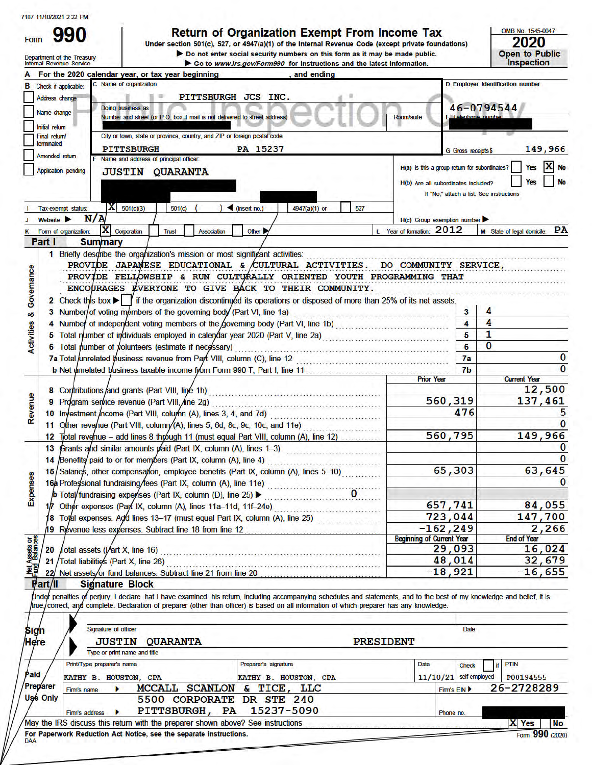| 990<br>Form<br>Department of the Treasury<br>Internal Revenue Service                                                                            | Return of Organization Exempt From Income Tax<br>Under section 501(c), 527, or 4947(a)(1) of the Internal Revenue Code (except private foundations)<br>Do not enter social security numbers on this form as it may be made public.<br>Go to www.irs.gov/Form990 for instructions and the latest information.     |                                                                     |                     | OMB No. 1545-0047<br>2020<br><b>Open to Public</b><br><b>Inspection</b>                                                           |
|--------------------------------------------------------------------------------------------------------------------------------------------------|------------------------------------------------------------------------------------------------------------------------------------------------------------------------------------------------------------------------------------------------------------------------------------------------------------------|---------------------------------------------------------------------|---------------------|-----------------------------------------------------------------------------------------------------------------------------------|
|                                                                                                                                                  | For the 2020 calendar year, or tax year beginning<br>. and ending                                                                                                                                                                                                                                                |                                                                     |                     |                                                                                                                                   |
| <b>B</b> Check if applicable:                                                                                                                    | Name of organization                                                                                                                                                                                                                                                                                             |                                                                     |                     | D Employer identification number                                                                                                  |
| Address change                                                                                                                                   | PITTSBURGH JCS INC.                                                                                                                                                                                                                                                                                              |                                                                     |                     |                                                                                                                                   |
| Name change                                                                                                                                      | Doing business as                                                                                                                                                                                                                                                                                                |                                                                     | 46-0794544          |                                                                                                                                   |
| Initial return                                                                                                                                   | Number and street (or P.O. box if mail is not delivered to street address)                                                                                                                                                                                                                                       | <b>Room/suite</b>                                                   | F Telephone numbe   |                                                                                                                                   |
| Final return/                                                                                                                                    | City or town, state or province, country, and ZIP or foreign postal code                                                                                                                                                                                                                                         |                                                                     |                     |                                                                                                                                   |
| terminated                                                                                                                                       | PA 15237<br><b>PITTSBURGH</b>                                                                                                                                                                                                                                                                                    |                                                                     |                     | 149,966                                                                                                                           |
| Amended return                                                                                                                                   | F Name and address of principal officer.                                                                                                                                                                                                                                                                         |                                                                     | G Gross receipts \$ |                                                                                                                                   |
| Application pending                                                                                                                              | <b>JUSTIN QUARANTA</b>                                                                                                                                                                                                                                                                                           | H(a) Is this a group return for subordinates?                       |                     | Yes                                                                                                                               |
|                                                                                                                                                  |                                                                                                                                                                                                                                                                                                                  | H(b) Are all subordinates included?                                 |                     |                                                                                                                                   |
|                                                                                                                                                  |                                                                                                                                                                                                                                                                                                                  | If "No," attach a list. See instructions                            |                     |                                                                                                                                   |
|                                                                                                                                                  |                                                                                                                                                                                                                                                                                                                  |                                                                     |                     |                                                                                                                                   |
| IХI<br>Tax-exempt status:                                                                                                                        | 501(c)(3)<br>501(c)<br>$\blacksquare$ (insert no.)<br>4947(a)(1) or<br>527                                                                                                                                                                                                                                       |                                                                     |                     |                                                                                                                                   |
| N/A<br>Website <b>D</b>                                                                                                                          |                                                                                                                                                                                                                                                                                                                  | $H(c)$ Group exemption number                                       |                     |                                                                                                                                   |
| x<br>Form of organization:                                                                                                                       | Corporation<br>Trust<br>Association<br>Other D                                                                                                                                                                                                                                                                   | L Year of formation: 2012                                           |                     | M State of legal domicile: PA                                                                                                     |
| Part I<br><b>Summary</b>                                                                                                                         | 1 Briefly describe the organization's mission or most significant activities:                                                                                                                                                                                                                                    |                                                                     |                     |                                                                                                                                   |
| Governance<br>οö                                                                                                                                 | ENCOURAGES EVERYONE TO GIVE BACK TO THEIR COMMUNITY.<br>2 Check this box $\blacktriangleright$   if the organization discontinued its operations or disposed of more than 25% of its net assets.<br>3 Number/of voting members of the governing body (Part VI, line 1a)                                          | .<br>Na disebente di soli del romano di solo di solo di Solo di Sol | 4<br>3              |                                                                                                                                   |
| <b>Activities</b>                                                                                                                                | 4 Number of independent voting members of the Governing body (Part VI, line 1b)                                                                                                                                                                                                                                  |                                                                     | 4<br>4              |                                                                                                                                   |
|                                                                                                                                                  | 5 Total number of individuals employed in calendar year 2020 (Part V, line 2a)                                                                                                                                                                                                                                   |                                                                     | 1<br>5              |                                                                                                                                   |
|                                                                                                                                                  | 6 Total number of volunteers (estimate if necessary)                                                                                                                                                                                                                                                             |                                                                     | 0<br>6              |                                                                                                                                   |
|                                                                                                                                                  | 7a Total unrelated business revenue from Part VIII, column (C), line 12                                                                                                                                                                                                                                          |                                                                     | 7a                  | 0                                                                                                                                 |
|                                                                                                                                                  |                                                                                                                                                                                                                                                                                                                  |                                                                     | 7 <sub>b</sub>      | $\Omega$                                                                                                                          |
|                                                                                                                                                  |                                                                                                                                                                                                                                                                                                                  | <b>Prior Year</b>                                                   |                     | <b>Current Year</b>                                                                                                               |
|                                                                                                                                                  | 8 Contributions and grants (Part VIII, line 1h)                                                                                                                                                                                                                                                                  |                                                                     |                     | 12,500                                                                                                                            |
|                                                                                                                                                  | 9 Program service revenue (Part VIII, /ine 2g)                                                                                                                                                                                                                                                                   | 560,319                                                             |                     | 137,461                                                                                                                           |
|                                                                                                                                                  |                                                                                                                                                                                                                                                                                                                  |                                                                     |                     |                                                                                                                                   |
|                                                                                                                                                  | 10 Investment /ncome (Part VIII, column (A), lines 3, 4, and 7d)                                                                                                                                                                                                                                                 |                                                                     | 476                 |                                                                                                                                   |
|                                                                                                                                                  | 11 Other revenue (Part VIII, column/(A), lines 5, 6d, 8c, 9c, 10c, and 11e)                                                                                                                                                                                                                                      |                                                                     |                     |                                                                                                                                   |
|                                                                                                                                                  | 12 Total revenue - add lines 8 through 11 (must equal Part VIII, column (A), line 12)                                                                                                                                                                                                                            | 560,795                                                             |                     |                                                                                                                                   |
|                                                                                                                                                  | 13 Grants and similar amounts paid (Part IX, column (A), lines 1-3)                                                                                                                                                                                                                                              |                                                                     |                     |                                                                                                                                   |
|                                                                                                                                                  | 14 Benefits paid to or for members (Part IX, column (A), line 4)<br><u>La Lorent a la Lorent de Bara</u>                                                                                                                                                                                                         |                                                                     |                     |                                                                                                                                   |
| 15                                                                                                                                               | Salaries, other compensation, employee benefits (Part IX, column (A), lines 5-10)                                                                                                                                                                                                                                | 65,303                                                              |                     |                                                                                                                                   |
|                                                                                                                                                  |                                                                                                                                                                                                                                                                                                                  |                                                                     |                     |                                                                                                                                   |
|                                                                                                                                                  |                                                                                                                                                                                                                                                                                                                  |                                                                     |                     |                                                                                                                                   |
|                                                                                                                                                  | 16 Professional fundraising fees (Part IX, column (A), line 11e)<br>p Total fundraising experises (Part IX, column (D), line 25) ><br>1/7 Other expenses (Part IX, column (A), lines 11a-11d, 11f-24e)                                                                                                           | 657,741                                                             |                     |                                                                                                                                   |
|                                                                                                                                                  | 18 Total expenses. Add lines 13-17 (must equal Part IX, column (A), line 25)                                                                                                                                                                                                                                     | 723,044                                                             |                     |                                                                                                                                   |
|                                                                                                                                                  | 19 Revenue less expenses. Subtract line 18 from line 12                                                                                                                                                                                                                                                          | $-162, 249$                                                         |                     |                                                                                                                                   |
|                                                                                                                                                  |                                                                                                                                                                                                                                                                                                                  | <b>Beginning of Current Year</b>                                    |                     | <b>End of Year</b>                                                                                                                |
| 20<br>$\int$ otal assets ( $\int$ art X, line 16)                                                                                                |                                                                                                                                                                                                                                                                                                                  | 29,093                                                              |                     |                                                                                                                                   |
| Total liabilities (Part X, line 26)<br>21                                                                                                        | 0. De service de la construcción de la construcción de la construcción                                                                                                                                                                                                                                           | 48,014                                                              |                     |                                                                                                                                   |
|                                                                                                                                                  | 22 Net assets/or fund balances. Subtract line 21 from line 20                                                                                                                                                                                                                                                    | $-18,921$                                                           |                     |                                                                                                                                   |
| <b>Signature Block</b>                                                                                                                           | Under penalties of perjury, I declare hat I have examined his return, including accompanying schedules and statements, and to the best of my knowledge and belief, it is<br>correct, and complete. Declaration of preparer (other than officer) is based on all information of which preparer has any knowledge. |                                                                     |                     |                                                                                                                                   |
|                                                                                                                                                  |                                                                                                                                                                                                                                                                                                                  |                                                                     |                     |                                                                                                                                   |
| Signature of officer                                                                                                                             |                                                                                                                                                                                                                                                                                                                  |                                                                     | <b>Date</b>         |                                                                                                                                   |
| <b>JUSTIN</b>                                                                                                                                    | <b>QUARANTA</b>                                                                                                                                                                                                                                                                                                  | <b>PRESIDENT</b>                                                    |                     |                                                                                                                                   |
|                                                                                                                                                  | Type or print name and title                                                                                                                                                                                                                                                                                     |                                                                     |                     |                                                                                                                                   |
| Print/Type preparer's name                                                                                                                       | Preparer's signature                                                                                                                                                                                                                                                                                             | Date                                                                | <b>Check</b>        | <b>PTIN</b><br>if                                                                                                                 |
| Revenue<br>Expenses<br><b>Vet Assets or<br/>und Balances</b><br>西<br>Part/II<br>Sign<br>Here<br>Paid<br>KATHY B. HOUSTON, CPA<br><b>Preparer</b> | KATHY B. HOUSTON, CPA<br>MCCALL SCANLON & TICE, LLC                                                                                                                                                                                                                                                              | $11/10/21$ self-employed<br>Firm's EIN                              |                     | 149,966<br>O<br>$\Omega$<br>63,645<br>0<br>84,055<br>147,700<br>2,266<br>16,024<br>32,679<br>$-16,655$<br>P00194555<br>26-2728289 |

|            | Firm's address ▶                                                   |  |  | PITTSBURGH, PA 15237-5090                                                        |  |
|------------|--------------------------------------------------------------------|--|--|----------------------------------------------------------------------------------|--|
|            |                                                                    |  |  | /May the IRS discuss this return with the preparer shown above? See instructions |  |
| <b>DAA</b> | For Paperwork Reduction Act Notice, see the separate instructions. |  |  |                                                                                  |  |

Phone no.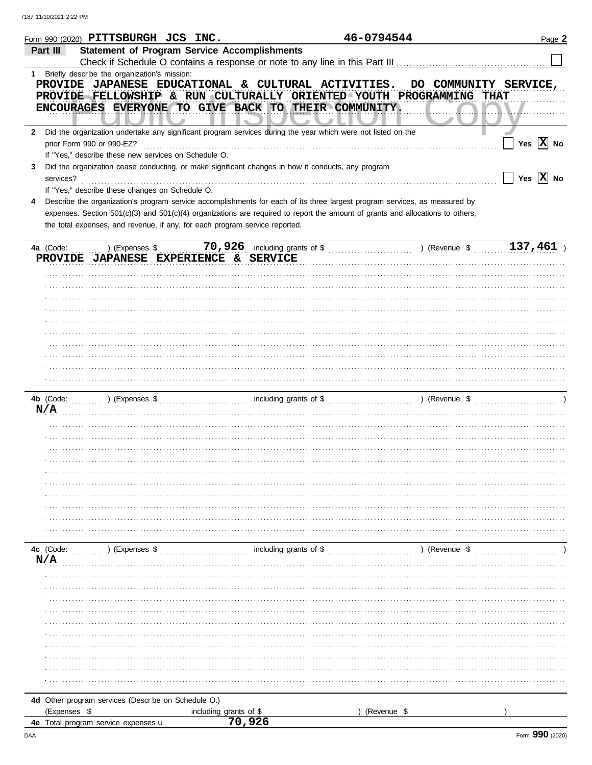|              | Form 990 (2020) $PITTSBURGH$ $JCS$ $INC.$                                                                                      |                                  |                               | 46-0794544             | Page 2                |
|--------------|--------------------------------------------------------------------------------------------------------------------------------|----------------------------------|-------------------------------|------------------------|-----------------------|
|              | <b>Statement of Program Service Accomplishments</b><br>Part III                                                                |                                  |                               |                        |                       |
|              |                                                                                                                                |                                  |                               |                        |                       |
|              | 1 Briefly descr be the organization's mission:                                                                                 |                                  |                               |                        |                       |
|              | PROVIDE JAPANESE EDUCATIONAL & CULTURAL ACTIVITIES.                                                                            |                                  |                               | DO COMMUNITY SERVICE,  |                       |
|              | PROVIDE FELLOWSHIP & RUN CULTURALLY ORIENTED YOUTH PROGRAMMING THAT                                                            |                                  |                               |                        |                       |
|              | ENCOURAGES EVERYONE TO GIVE BACK TO THEIR COMMUNITY.                                                                           |                                  |                               |                        |                       |
|              |                                                                                                                                |                                  |                               |                        |                       |
| $\mathbf{2}$ | Did the organization undertake any significant program services during the year which were not listed on the                   |                                  |                               |                        |                       |
|              | prior Form 990 or 990-EZ?                                                                                                      |                                  |                               |                        | Yes $ X $ No          |
|              | If "Yes," describe these new services on Schedule O.                                                                           |                                  |                               |                        |                       |
| 3            | Did the organization cease conducting, or make significant changes in how it conducts, any program                             |                                  |                               |                        |                       |
|              | services?                                                                                                                      |                                  |                               |                        | Yes $\overline{X}$ No |
|              | If "Yes," describe these changes on Schedule O.                                                                                |                                  |                               |                        |                       |
| 4            | Describe the organization's program service accomplishments for each of its three largest program services, as measured by     |                                  |                               |                        |                       |
|              | expenses. Section 501(c)(3) and 501(c)(4) organizations are required to report the amount of grants and allocations to others, |                                  |                               |                        |                       |
|              | the total expenses, and revenue, if any, for each program service reported.                                                    |                                  |                               |                        |                       |
|              |                                                                                                                                |                                  |                               |                        |                       |
|              | 4a (Code:<br>) (Expenses \$                                                                                                    |                                  | 70,926 including grants of \$ | ) (Revenue \$          | 137,461               |
|              | PROVIDE JAPANESE EXPERIENCE & SERVICE                                                                                          |                                  |                               |                        |                       |
|              |                                                                                                                                |                                  |                               |                        |                       |
|              |                                                                                                                                |                                  |                               |                        |                       |
|              |                                                                                                                                |                                  |                               |                        |                       |
|              |                                                                                                                                |                                  |                               |                        |                       |
|              |                                                                                                                                |                                  |                               |                        |                       |
|              |                                                                                                                                |                                  |                               |                        |                       |
|              |                                                                                                                                |                                  |                               |                        |                       |
|              |                                                                                                                                |                                  |                               |                        |                       |
|              |                                                                                                                                |                                  |                               |                        |                       |
|              |                                                                                                                                |                                  |                               |                        |                       |
|              |                                                                                                                                |                                  |                               |                        |                       |
|              | 4b (Code:                                                                                                                      |                                  |                               |                        |                       |
|              | N/A                                                                                                                            |                                  |                               |                        |                       |
|              |                                                                                                                                |                                  |                               |                        |                       |
|              |                                                                                                                                |                                  |                               |                        |                       |
|              |                                                                                                                                |                                  |                               |                        |                       |
|              |                                                                                                                                |                                  |                               |                        |                       |
|              |                                                                                                                                |                                  |                               |                        |                       |
|              |                                                                                                                                |                                  |                               |                        |                       |
|              |                                                                                                                                |                                  |                               |                        |                       |
|              |                                                                                                                                |                                  |                               |                        |                       |
|              |                                                                                                                                |                                  |                               |                        |                       |
|              |                                                                                                                                |                                  |                               |                        |                       |
|              |                                                                                                                                |                                  |                               |                        |                       |
|              |                                                                                                                                |                                  |                               |                        |                       |
|              |                                                                                                                                |                                  |                               |                        |                       |
|              | 4c (Code:<br>$(1, 1, 1, 1, 1, 1)$ (Expenses \$                                                                                 |                                  | including grants of \$        | $\ldots$ ) (Revenue \$ |                       |
|              | N/A                                                                                                                            |                                  |                               |                        |                       |
|              |                                                                                                                                |                                  |                               |                        |                       |
|              |                                                                                                                                |                                  |                               |                        |                       |
|              |                                                                                                                                |                                  |                               |                        |                       |
|              |                                                                                                                                |                                  |                               |                        |                       |
|              |                                                                                                                                |                                  |                               |                        |                       |
|              |                                                                                                                                |                                  |                               |                        |                       |
|              |                                                                                                                                |                                  |                               |                        |                       |
|              |                                                                                                                                |                                  |                               |                        |                       |
|              |                                                                                                                                |                                  |                               |                        |                       |
|              |                                                                                                                                |                                  |                               |                        |                       |
|              |                                                                                                                                |                                  |                               |                        |                       |
|              | 4d Other program services (Descr be on Schedule O.)                                                                            |                                  |                               |                        |                       |
|              | (Expenses \$                                                                                                                   | including grants of \$<br>70,926 |                               | (Revenue \$            |                       |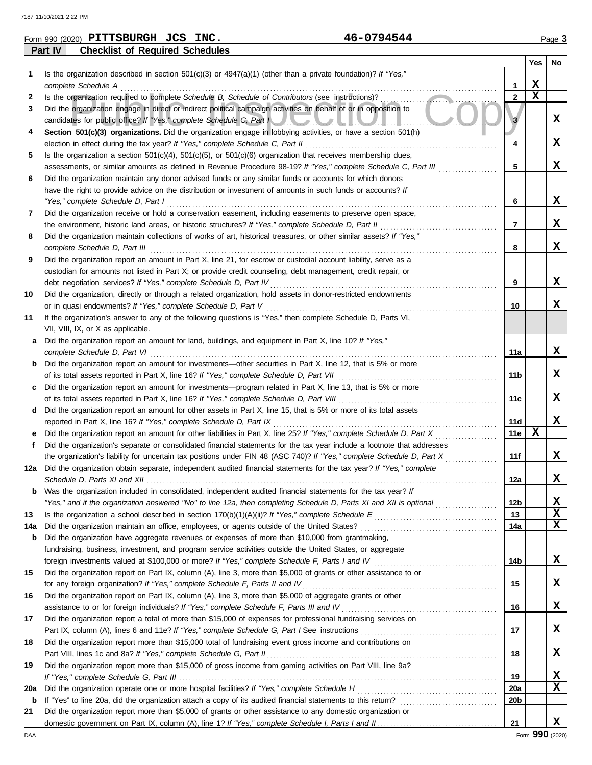|     | 46-0794544<br>Form 990 (2020) PITTSBURGH JCS INC.                                                                                                                                       |                 |             | Page 3 |
|-----|-----------------------------------------------------------------------------------------------------------------------------------------------------------------------------------------|-----------------|-------------|--------|
|     | <b>Checklist of Required Schedules</b><br>Part IV                                                                                                                                       |                 |             |        |
|     |                                                                                                                                                                                         |                 | Yes         | No     |
| 1   | Is the organization described in section 501(c)(3) or 4947(a)(1) (other than a private foundation)? If "Yes,"                                                                           |                 |             |        |
|     | complete Schedule A                                                                                                                                                                     | 1               | X           |        |
| 2   | Is the organization required to complete Schedule B, Schedule of Contributors (see instructions)?                                                                                       | $\overline{2}$  | $\mathbf x$ |        |
| 3   | Did the organization engage in direct or indirect political campaign activities on behalf of or in opposition to<br>candidates for public office? If "Yes," complete Schedule C, Part I | $\mathbf{3}$    |             | x      |
| 4   | Section 501(c)(3) organizations. Did the organization engage in lobbying activities, or have a section 501(h)                                                                           |                 |             |        |
|     | election in effect during the tax year? If "Yes," complete Schedule C, Part II                                                                                                          | 4               |             | x      |
| 5   | Is the organization a section $501(c)(4)$ , $501(c)(5)$ , or $501(c)(6)$ organization that receives membership dues,                                                                    |                 |             |        |
|     | assessments, or similar amounts as defined in Revenue Procedure 98-19? If "Yes," complete Schedule C, Part III                                                                          | 5               |             | x      |
| 6   | Did the organization maintain any donor advised funds or any similar funds or accounts for which donors                                                                                 |                 |             |        |
|     | have the right to provide advice on the distribution or investment of amounts in such funds or accounts? If                                                                             |                 |             |        |
|     | "Yes," complete Schedule D, Part I                                                                                                                                                      | 6               |             | X      |
| 7   | Did the organization receive or hold a conservation easement, including easements to preserve open space,                                                                               |                 |             |        |
|     | the environment, historic land areas, or historic structures? If "Yes," complete Schedule D, Part II                                                                                    | $\overline{7}$  |             | X      |
| 8   | Did the organization maintain collections of works of art, historical treasures, or other similar assets? If "Yes,"                                                                     |                 |             |        |
|     | complete Schedule D, Part III                                                                                                                                                           | 8               |             | x      |
| 9   | Did the organization report an amount in Part X, line 21, for escrow or custodial account liability, serve as a                                                                         |                 |             |        |
|     | custodian for amounts not listed in Part X; or provide credit counseling, debt management, credit repair, or                                                                            |                 |             |        |
|     | debt negotiation services? If "Yes," complete Schedule D, Part IV                                                                                                                       | 9               |             | X      |
| 10  | Did the organization, directly or through a related organization, hold assets in donor-restricted endowments                                                                            |                 |             |        |
|     | or in quasi endowments? If "Yes," complete Schedule D, Part V                                                                                                                           | 10              |             | x      |
| 11  | If the organization's answer to any of the following questions is "Yes," then complete Schedule D, Parts VI,<br>VII, VIII, IX, or X as applicable.                                      |                 |             |        |
| a   | Did the organization report an amount for land, buildings, and equipment in Part X, line 10? If "Yes,"                                                                                  |                 |             |        |
|     | complete Schedule D, Part VI                                                                                                                                                            | 11a             |             | X      |
| b   | Did the organization report an amount for investments—other securities in Part X, line 12, that is 5% or more                                                                           |                 |             |        |
|     | of its total assets reported in Part X, line 16? If "Yes," complete Schedule D, Part VII                                                                                                | 11b             |             | x      |
| c   | Did the organization report an amount for investments—program related in Part X, line 13, that is 5% or more                                                                            |                 |             |        |
|     | of its total assets reported in Part X, line 16? If "Yes," complete Schedule D, Part VIII                                                                                               | 11c             |             | x      |
| d   | Did the organization report an amount for other assets in Part X, line 15, that is 5% or more of its total assets                                                                       |                 |             |        |
|     | reported in Part X, line 16? If "Yes," complete Schedule D, Part IX                                                                                                                     | 11d             |             | X      |
|     | Did the organization report an amount for other liabilities in Part X, line 25? If "Yes," complete Schedule D, Part X                                                                   | <b>11e</b>      | $\mathbf x$ |        |
| f   | Did the organization's separate or consolidated financial statements for the tax year include a footnote that addresses                                                                 |                 |             |        |
|     | the organization's liability for uncertain tax positions under FIN 48 (ASC 740)? If "Yes," complete Schedule D, Part X                                                                  | 11f             |             | x      |
|     | 12a Did the organization obtain separate, independent audited financial statements for the tax year? If "Yes," complete                                                                 | 12a             |             | X      |
| b   | Was the organization included in consolidated, independent audited financial statements for the tax year? If                                                                            |                 |             |        |
|     | "Yes," and if the organization answered "No" to line 12a, then completing Schedule D, Parts XI and XII is optional                                                                      | 12 <sub>b</sub> |             | х      |
| 13  |                                                                                                                                                                                         | 13              |             | X      |
| 14a | Did the organization maintain an office, employees, or agents outside of the United States?                                                                                             | 14a             |             | X      |
| b   | Did the organization have aggregate revenues or expenses of more than \$10,000 from grantmaking,                                                                                        |                 |             |        |
|     | fundraising, business, investment, and program service activities outside the United States, or aggregate                                                                               |                 |             |        |
|     | foreign investments valued at \$100,000 or more? If "Yes," complete Schedule F, Parts I and IV                                                                                          | 14b             |             | x      |
| 15  | Did the organization report on Part IX, column (A), line 3, more than \$5,000 of grants or other assistance to or                                                                       |                 |             |        |
|     | for any foreign organization? If "Yes," complete Schedule F, Parts II and IV                                                                                                            | 15              |             | X      |

|    | for any foreign organization? If "Yes," complete Schedule F, Parts II and IV                                   |
|----|----------------------------------------------------------------------------------------------------------------|
| 16 | Did the organization report on Part IX, column (A), line 3, more than \$5,000 of aggregate grants or other     |
|    | assistance to or for foreign individuals? If "Yes," complete Schedule F, Parts III and IV                      |
|    | Did the organization report a total of more than \$15,000 of expenses for professional fundraising services on |
|    | Part IX, column (A), lines 6 and 11e? If "Yes," complete Schedule G, Part I See instructions                   |
| 18 | Did the organization report more than \$15,000 total of fundraising event gross income and contributions on    |

| 17 | Did the organization report a total of more than \$15,000 of expenses for professional fundraising services on        |                 |  |
|----|-----------------------------------------------------------------------------------------------------------------------|-----------------|--|
|    | Part IX, column (A), lines 6 and 11e? If "Yes," complete Schedule G, Part I See instructions                          | 17              |  |
| 18 | Did the organization report more than \$15,000 total of fundraising event gross income and contributions on           |                 |  |
|    | Part VIII, lines 1c and 8a? If "Yes," complete Schedule G, Part II                                                    | 18              |  |
| 19 | Did the organization report more than \$15,000 of gross income from gaming activities on Part VIII, line 9a?          |                 |  |
|    |                                                                                                                       | 19              |  |
|    | 20a Did the organization operate one or more hospital facilities? If "Yes," complete Schedule H                       | 20a             |  |
|    | <b>b</b> If "Yes" to line 20a, did the organization attach a copy of its audited financial statements to this return? | 20 <sub>b</sub> |  |
| 21 | Did the organization report more than \$5,000 of grants or other assistance to any domestic organization or           |                 |  |
|    |                                                                                                                       | 21              |  |

for any foreign organization? *If "Yes," complete Schedule F, Parts II and IV* . . . . . . . . . . . . . . . . . . . . . . . . . . . . . . . . . . . . . . . . . . . . . . . . . . . . . . . . . . . .

**16**

**X**

**X**

**X**

**X**

**X**

**X**

**X**

**X**

**X**

**X**

**X**

**X**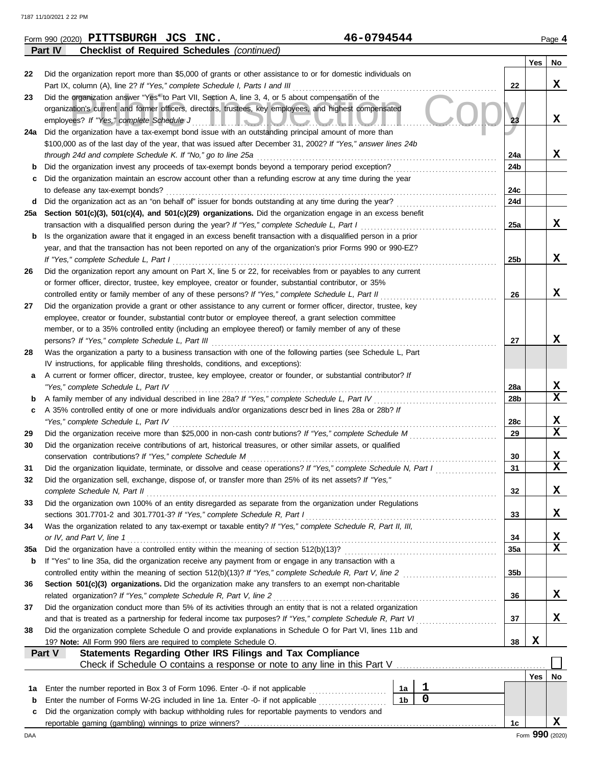|        | 46-0794544<br>Form 990 (2020) PITTSBURGH JCS INC.                                                                                                                                                              |     |     | Page 4                  |
|--------|----------------------------------------------------------------------------------------------------------------------------------------------------------------------------------------------------------------|-----|-----|-------------------------|
|        | Part IV<br><b>Checklist of Required Schedules (continued)</b>                                                                                                                                                  |     |     |                         |
|        |                                                                                                                                                                                                                |     | Yes | No                      |
| 22     | Did the organization report more than \$5,000 of grants or other assistance to or for domestic individuals on                                                                                                  |     |     |                         |
|        | Part IX, column (A), line 2? If "Yes," complete Schedule I, Parts I and III                                                                                                                                    | 22  |     | X                       |
| 23     | Did the organization answer "Yes" to Part VII, Section A, line 3, 4, or 5 about compensation of the<br>organization's current and former officers, directors, trustees, key employees, and highest compensated |     |     |                         |
|        |                                                                                                                                                                                                                | 23  |     | X                       |
|        | employees? If "Yes," complete Schedule J<br><u>HEIOIVUUTI</u><br>24a Did the organization have a tax-exempt bond issue with an outstanding principal amount of more than                                       |     |     |                         |
|        | \$100,000 as of the last day of the year, that was issued after December 31, 2002? If "Yes," answer lines 24b                                                                                                  |     |     |                         |
|        | through 24d and complete Schedule K. If "No," go to line 25a                                                                                                                                                   | 24a |     | x                       |
| b      | Did the organization invest any proceeds of tax-exempt bonds beyond a temporary period exception?                                                                                                              | 24b |     |                         |
| c      | Did the organization maintain an escrow account other than a refunding escrow at any time during the year                                                                                                      |     |     |                         |
|        | to defease any tax-exempt bonds?                                                                                                                                                                               | 24c |     |                         |
|        | d Did the organization act as an "on behalf of" issuer for bonds outstanding at any time during the year?                                                                                                      | 24d |     |                         |
|        | 25a Section 501(c)(3), 501(c)(4), and 501(c)(29) organizations. Did the organization engage in an excess benefit                                                                                               |     |     |                         |
|        | transaction with a disqualified person during the year? If "Yes," complete Schedule L, Part I                                                                                                                  | 25a |     | x                       |
| b      | Is the organization aware that it engaged in an excess benefit transaction with a disqualified person in a prior                                                                                               |     |     |                         |
|        | year, and that the transaction has not been reported on any of the organization's prior Forms 990 or 990-EZ?                                                                                                   |     |     |                         |
|        | If "Yes," complete Schedule L, Part I                                                                                                                                                                          | 25b |     | x                       |
| 26     | Did the organization report any amount on Part X, line 5 or 22, for receivables from or payables to any current                                                                                                |     |     |                         |
|        | or former officer, director, trustee, key employee, creator or founder, substantial contributor, or 35%                                                                                                        |     |     |                         |
|        | controlled entity or family member of any of these persons? If "Yes," complete Schedule L, Part II                                                                                                             | 26  |     | X                       |
| 27     | Did the organization provide a grant or other assistance to any current or former officer, director, trustee, key                                                                                              |     |     |                         |
|        | employee, creator or founder, substantial contributor or employee thereof, a grant selection committee                                                                                                         |     |     |                         |
|        | member, or to a 35% controlled entity (including an employee thereof) or family member of any of these                                                                                                         |     |     |                         |
|        | persons? If "Yes," complete Schedule L, Part III                                                                                                                                                               | 27  |     | x                       |
| 28     | Was the organization a party to a business transaction with one of the following parties (see Schedule L, Part                                                                                                 |     |     |                         |
|        | IV instructions, for applicable filing thresholds, conditions, and exceptions):                                                                                                                                |     |     |                         |
| а      | A current or former officer, director, trustee, key employee, creator or founder, or substantial contributor? If                                                                                               |     |     |                         |
|        | "Yes," complete Schedule L, Part IV                                                                                                                                                                            | 28a |     | X<br>$\mathbf x$        |
| b      | A family member of any individual described in line 28a? If "Yes," complete Schedule L, Part IV                                                                                                                | 28b |     |                         |
| c      | A 35% controlled entity of one or more individuals and/or organizations descr bed in lines 28a or 28b? If<br>"Yes," complete Schedule L, Part IV                                                               | 28c |     | X                       |
| 29     | Did the organization receive more than \$25,000 in non-cash contrbutions? If "Yes," complete Schedule M                                                                                                        | 29  |     | $\mathbf x$             |
| 30     | Did the organization receive contributions of art, historical treasures, or other similar assets, or qualified                                                                                                 |     |     |                         |
|        | conservation contributions? If "Yes," complete Schedule M                                                                                                                                                      | 30  |     | X                       |
| 31     | Did the organization liquidate, terminate, or dissolve and cease operations? If "Yes," complete Schedule N, Part I                                                                                             | 31  |     | $\overline{\mathbf{x}}$ |
| 32     | Did the organization sell, exchange, dispose of, or transfer more than 25% of its net assets? If "Yes,"                                                                                                        |     |     |                         |
|        | complete Schedule N, Part II                                                                                                                                                                                   | 32  |     | X                       |
| 33     | Did the organization own 100% of an entity disregarded as separate from the organization under Regulations                                                                                                     |     |     |                         |
|        | sections 301.7701-2 and 301.7701-3? If "Yes," complete Schedule R, Part I                                                                                                                                      | 33  |     | X                       |
| 34     | Was the organization related to any tax-exempt or taxable entity? If "Yes," complete Schedule R, Part II, III,                                                                                                 |     |     |                         |
|        | or IV, and Part V, line 1                                                                                                                                                                                      | 34  |     | х                       |
| 35a    | Did the organization have a controlled entity within the meaning of section 512(b)(13)?                                                                                                                        | 35a |     | $\mathbf x$             |
| b      | If "Yes" to line 35a, did the organization receive any payment from or engage in any transaction with a                                                                                                        |     |     |                         |
|        | controlled entity within the meaning of section 512(b)(13)? If "Yes," complete Schedule R, Part V, line 2                                                                                                      | 35b |     |                         |
| 36     | Section 501(c)(3) organizations. Did the organization make any transfers to an exempt non-charitable                                                                                                           |     |     |                         |
|        | related organization? If "Yes," complete Schedule R, Part V, line 2                                                                                                                                            | 36  |     | X                       |
| 37     | Did the organization conduct more than 5% of its activities through an entity that is not a related organization                                                                                               |     |     |                         |
|        | and that is treated as a partnership for federal income tax purposes? If "Yes," complete Schedule R, Part VI                                                                                                   | 37  |     | X                       |
| 38     | Did the organization complete Schedule O and provide explanations in Schedule O for Part VI, lines 11b and                                                                                                     |     |     |                         |
|        | 19? Note: All Form 990 filers are required to complete Schedule O.                                                                                                                                             | 38  | X   |                         |
|        | Statements Regarding Other IRS Filings and Tax Compliance<br>Part V                                                                                                                                            |     |     |                         |
|        |                                                                                                                                                                                                                |     |     |                         |
|        |                                                                                                                                                                                                                |     | Yes | No                      |
| 1a     | 1<br>Enter the number reported in Box 3 of Form 1096. Enter -0- if not applicable<br>1a<br>$\overline{0}$<br>1 <sub>b</sub>                                                                                    |     |     |                         |
| b<br>c | Enter the number of Forms W-2G included in line 1a. Enter -0- if not applicable<br>Did the organization comply with backup withholding rules for reportable payments to vendors and                            |     |     |                         |
|        |                                                                                                                                                                                                                |     |     |                         |
|        |                                                                                                                                                                                                                | 1c  |     | X                       |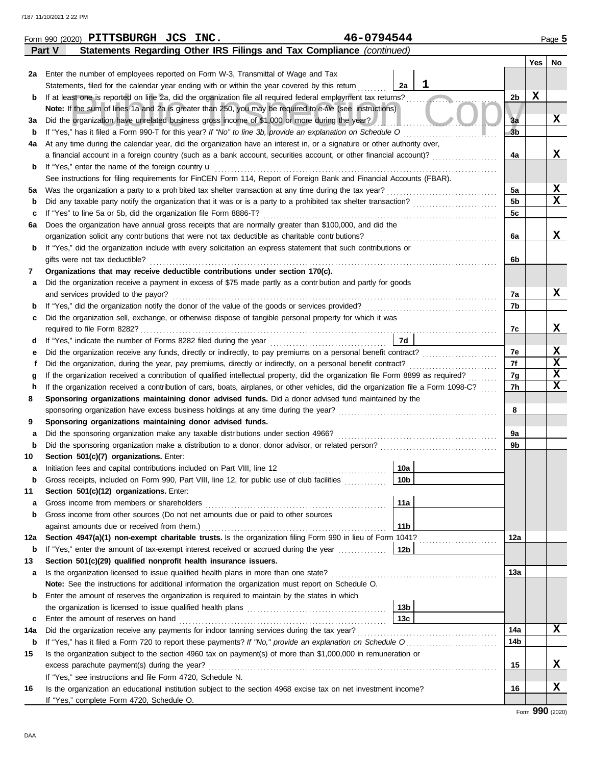|     | 46-0794544<br>Form 990 (2020) PITTSBURGH JCS INC.                                                                                     |                 |                |             | Page 5           |  |  |  |  |  |  |
|-----|---------------------------------------------------------------------------------------------------------------------------------------|-----------------|----------------|-------------|------------------|--|--|--|--|--|--|
|     | Statements Regarding Other IRS Filings and Tax Compliance (continued)<br>Part V                                                       |                 |                |             |                  |  |  |  |  |  |  |
|     |                                                                                                                                       |                 |                | Yes         | No               |  |  |  |  |  |  |
| 2a  | Enter the number of employees reported on Form W-3, Transmittal of Wage and Tax                                                       |                 |                |             |                  |  |  |  |  |  |  |
|     | Statements, filed for the calendar year ending with or within the year covered by this return                                         | 1<br>2a         |                |             |                  |  |  |  |  |  |  |
| b   | If at least one is reported on line 2a, did the organization file all required federal employment tax returns?                        |                 | 2b             | $\mathbf x$ |                  |  |  |  |  |  |  |
|     | Note: If the sum of lines 1a and 2a is greater than 250, you may be required to e-file (see instructions)                             |                 |                |             |                  |  |  |  |  |  |  |
| За  | Did the organization have unrelated business gross income of \$1,000 or more during the year?                                         |                 | 3a             |             | X                |  |  |  |  |  |  |
| b   | If "Yes," has it filed a Form 990-T for this year? If "No" to line 3b, provide an explanation on Schedule O                           |                 | 3 <sub>b</sub> |             |                  |  |  |  |  |  |  |
| 4a  | At any time during the calendar year, did the organization have an interest in, or a signature or other authority over,               |                 |                |             |                  |  |  |  |  |  |  |
|     | a financial account in a foreign country (such as a bank account, securities account, or other financial account)?                    |                 | 4a             |             | X                |  |  |  |  |  |  |
| b   | If "Yes," enter the name of the foreign country u                                                                                     |                 |                |             |                  |  |  |  |  |  |  |
|     | See instructions for filing requirements for FinCEN Form 114, Report of Foreign Bank and Financial Accounts (FBAR).                   |                 |                |             |                  |  |  |  |  |  |  |
| 5a  | Was the organization a party to a proh bited tax shelter transaction at any time during the tax year?                                 |                 | 5a             |             | X<br>$\mathbf x$ |  |  |  |  |  |  |
| b   | Did any taxable party notify the organization that it was or is a party to a prohibited tax shelter transaction?                      |                 | 5 <sub>b</sub> |             |                  |  |  |  |  |  |  |
| c   | If "Yes" to line 5a or 5b, did the organization file Form 8886-T?                                                                     |                 | 5c             |             |                  |  |  |  |  |  |  |
| 6а  | Does the organization have annual gross receipts that are normally greater than \$100,000, and did the                                |                 |                |             | x                |  |  |  |  |  |  |
|     | organization solicit any contr butions that were not tax deductible as charitable contr butions?                                      |                 | 6a             |             |                  |  |  |  |  |  |  |
| b   | If "Yes," did the organization include with every solicitation an express statement that such contributions or                        |                 |                |             |                  |  |  |  |  |  |  |
|     | gifts were not tax deductible?<br>Organizations that may receive deductible contributions under section 170(c).                       |                 | 6b             |             |                  |  |  |  |  |  |  |
| 7   | Did the organization receive a payment in excess of \$75 made partly as a contr bution and partly for goods                           |                 |                |             |                  |  |  |  |  |  |  |
| а   | and services provided to the payor?                                                                                                   |                 | 7a             |             | X                |  |  |  |  |  |  |
| b   | If "Yes," did the organization notify the donor of the value of the goods or services provided?                                       |                 | 7b             |             |                  |  |  |  |  |  |  |
| c   | Did the organization sell, exchange, or otherwise dispose of tangible personal property for which it was                              |                 |                |             |                  |  |  |  |  |  |  |
|     |                                                                                                                                       |                 | 7c             |             | x                |  |  |  |  |  |  |
| d   |                                                                                                                                       | 7d              |                |             |                  |  |  |  |  |  |  |
| е   | Did the organization receive any funds, directly or indirectly, to pay premiums on a personal benefit contract?                       |                 | 7e             |             | X                |  |  |  |  |  |  |
|     | Did the organization, during the year, pay premiums, directly or indirectly, on a personal benefit contract?                          |                 | 7f             |             | $\mathbf x$      |  |  |  |  |  |  |
|     | If the organization received a contribution of qualified intellectual property, did the organization file Form 8899 as required?<br>g |                 |                |             |                  |  |  |  |  |  |  |
| h   | If the organization received a contribution of cars, boats, airplanes, or other vehicles, did the organization file a Form 1098-C?    |                 |                |             |                  |  |  |  |  |  |  |
| 8   | Sponsoring organizations maintaining donor advised funds. Did a donor advised fund maintained by the                                  |                 | 7h             |             | $\mathbf x$      |  |  |  |  |  |  |
|     |                                                                                                                                       |                 | 8              |             |                  |  |  |  |  |  |  |
| 9   | Sponsoring organizations maintaining donor advised funds.                                                                             |                 |                |             |                  |  |  |  |  |  |  |
| а   | Did the sponsoring organization make any taxable distrbutions under section 4966?                                                     |                 | 9a             |             |                  |  |  |  |  |  |  |
| b   |                                                                                                                                       |                 | 9b             |             |                  |  |  |  |  |  |  |
| 10  | Section 501(c)(7) organizations. Enter:                                                                                               |                 |                |             |                  |  |  |  |  |  |  |
|     | Initiation fees and capital contributions included on Part VIII, line 12 [11] [11] [11] [12] [11] [11] [12] [1                        | 10a             |                |             |                  |  |  |  |  |  |  |
| b   | Gross receipts, included on Form 990, Part VIII, line 12, for public use of club facilities                                           | 10 <sub>b</sub> |                |             |                  |  |  |  |  |  |  |
| 11  | Section 501(c)(12) organizations. Enter:                                                                                              |                 |                |             |                  |  |  |  |  |  |  |
| а   | Gross income from members or shareholders                                                                                             | 11a             |                |             |                  |  |  |  |  |  |  |
| b   | Gross income from other sources (Do not net amounts due or paid to other sources                                                      |                 |                |             |                  |  |  |  |  |  |  |
|     | against amounts due or received from them.)                                                                                           | 11 <sub>b</sub> |                |             |                  |  |  |  |  |  |  |
| 12a | Section 4947(a)(1) non-exempt charitable trusts. Is the organization filing Form 990 in lieu of Form 1041?                            |                 | 12a            |             |                  |  |  |  |  |  |  |
| b   | If "Yes," enter the amount of tax-exempt interest received or accrued during the year                                                 | 12b             |                |             |                  |  |  |  |  |  |  |
| 13  | Section 501(c)(29) qualified nonprofit health insurance issuers.                                                                      |                 |                |             |                  |  |  |  |  |  |  |
| а   | Is the organization licensed to issue qualified health plans in more than one state?                                                  |                 | 13а            |             |                  |  |  |  |  |  |  |
|     | Note: See the instructions for additional information the organization must report on Schedule O.                                     |                 |                |             |                  |  |  |  |  |  |  |
| b   | Enter the amount of reserves the organization is required to maintain by the states in which                                          |                 |                |             |                  |  |  |  |  |  |  |
|     |                                                                                                                                       | 13b             |                |             |                  |  |  |  |  |  |  |
| c   | Enter the amount of reserves on hand                                                                                                  | 13 <sub>c</sub> |                |             |                  |  |  |  |  |  |  |
| 14a | Did the organization receive any payments for indoor tanning services during the tax year?                                            |                 | 14a            |             | x                |  |  |  |  |  |  |
| b   | If "Yes," has it filed a Form 720 to report these payments? If "No," provide an explanation on Schedule O                             |                 | 14b            |             |                  |  |  |  |  |  |  |
| 15  | Is the organization subject to the section 4960 tax on payment(s) of more than \$1,000,000 in remuneration or                         |                 |                |             |                  |  |  |  |  |  |  |
|     | excess parachute payment(s) during the year?                                                                                          |                 | 15             |             | x                |  |  |  |  |  |  |
|     | If "Yes," see instructions and file Form 4720, Schedule N.                                                                            |                 |                |             |                  |  |  |  |  |  |  |
| 16  | Is the organization an educational institution subject to the section 4968 excise tax on net investment income?                       |                 | 16             |             | X                |  |  |  |  |  |  |
|     | If "Yes," complete Form 4720, Schedule O.                                                                                             |                 |                |             |                  |  |  |  |  |  |  |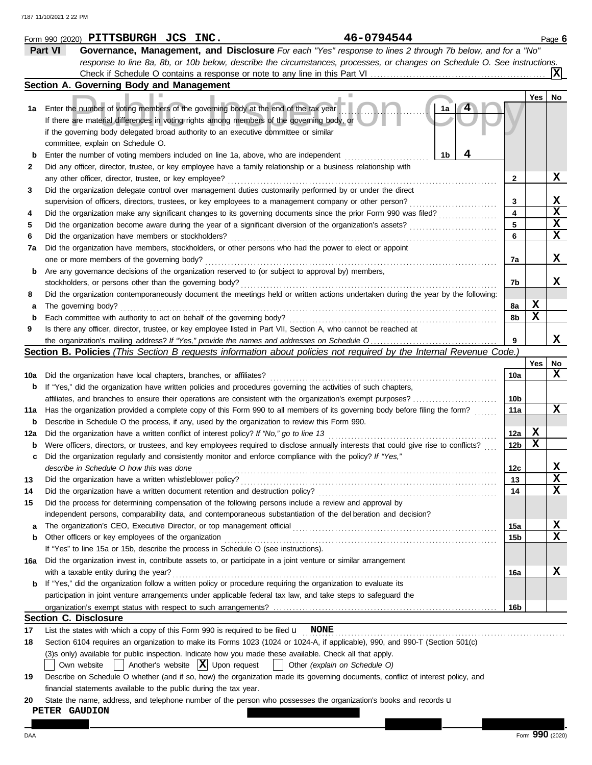|          | 46-0794544<br>Form 990 (2020) PITTSBURGH JCS INC.                                                                                               |                         |     | Page 6                     |
|----------|-------------------------------------------------------------------------------------------------------------------------------------------------|-------------------------|-----|----------------------------|
|          | Part VI<br>Governance, Management, and Disclosure For each "Yes" response to lines 2 through 7b below, and for a "No"                           |                         |     |                            |
|          | response to line 8a, 8b, or 10b below, describe the circumstances, processes, or changes on Schedule O. See instructions.                       |                         |     |                            |
|          |                                                                                                                                                 |                         |     | X                          |
|          | Section A. Governing Body and Management                                                                                                        |                         |     |                            |
|          |                                                                                                                                                 |                         | Yes | No                         |
| 1а       | Enter the number of voting members of the governing body at the end of the tax year<br>1a                                                       |                         |     |                            |
|          | If there are material differences in voting rights among members of the governing body, or                                                      |                         |     |                            |
|          | if the governing body delegated broad authority to an executive committee or similar                                                            |                         |     |                            |
|          | committee, explain on Schedule O.                                                                                                               |                         |     |                            |
| b        | 1b<br>Enter the number of voting members included on line 1a, above, who are independent                                                        |                         |     |                            |
| 2        | Did any officer, director, trustee, or key employee have a family relationship or a business relationship with                                  |                         |     |                            |
|          | any other officer, director, trustee, or key employee?                                                                                          | 2                       |     | X                          |
| 3        | Did the organization delegate control over management duties customarily performed by or under the direct                                       |                         |     |                            |
|          | supervision of officers, directors, trustees, or key employees to a management company or other person?                                         | 3                       |     | X                          |
| 4        | Did the organization make any significant changes to its governing documents since the prior Form 990 was filed?                                | $\overline{\mathbf{4}}$ |     | $\mathbf x$                |
| 5        | Did the organization become aware during the year of a significant diversion of the organization's assets?                                      | 5                       |     | $\mathbf x$<br>$\mathbf x$ |
| 6        | Did the organization have members or stockholders?                                                                                              | 6                       |     |                            |
| 7a       | Did the organization have members, stockholders, or other persons who had the power to elect or appoint                                         |                         |     | x                          |
|          | one or more members of the governing body?<br>Are any governance decisions of the organization reserved to (or subject to approval by) members, | 7a                      |     |                            |
| b        | stockholders, or persons other than the governing body?                                                                                         | 7b                      |     | X                          |
| 8        | Did the organization contemporaneously document the meetings held or written actions undertaken during the year by the following:               |                         |     |                            |
| а        | The governing body?                                                                                                                             | 8а                      | X   |                            |
| b        | Each committee with authority to act on behalf of the governing body?                                                                           | 8b                      | X   |                            |
| 9        | Is there any officer, director, trustee, or key employee listed in Part VII, Section A, who cannot be reached at                                |                         |     |                            |
|          |                                                                                                                                                 | 9                       |     | x                          |
|          | Section B. Policies (This Section B requests information about policies not required by the Internal Revenue Code.)                             |                         |     |                            |
|          |                                                                                                                                                 |                         | Yes | No                         |
| 10a      | Did the organization have local chapters, branches, or affiliates?                                                                              | 10a                     |     | X                          |
| b        | If "Yes," did the organization have written policies and procedures governing the activities of such chapters,                                  |                         |     |                            |
|          | affiliates, and branches to ensure their operations are consistent with the organization's exempt purposes?                                     | 10 <sub>b</sub>         |     |                            |
|          | 11a Has the organization provided a complete copy of this Form 990 to all members of its governing body before filing the form?                 | 11a                     |     | X                          |
| b        | Describe in Schedule O the process, if any, used by the organization to review this Form 990.                                                   |                         |     |                            |
| 12a      | Did the organization have a written conflict of interest policy? If "No," go to line 13                                                         | 12a                     | X   |                            |
| b        | Were officers, directors, or trustees, and key employees required to disclose annually interests that could give rise to conflicts?             | 12 <sub>b</sub>         | X   |                            |
| c        | Did the organization regularly and consistently monitor and enforce compliance with the policy? If "Yes,"                                       |                         |     |                            |
|          | describe in Schedule O how this was done                                                                                                        | 12c                     |     | X,<br>$\mathbf x$          |
| 13       | Did the organization have a written whistleblower policy?                                                                                       | 13                      |     | $\mathbf x$                |
| 14<br>15 | Did the process for determining compensation of the following persons include a review and approval by                                          | 14                      |     |                            |
|          | independent persons, comparability data, and contemporaneous substantiation of the del beration and decision?                                   |                         |     |                            |
| а        |                                                                                                                                                 | 15a                     |     | X                          |
| b        | Other officers or key employees of the organization                                                                                             | 15b                     |     | $\mathbf x$                |
|          | If "Yes" to line 15a or 15b, describe the process in Schedule O (see instructions).                                                             |                         |     |                            |
| 16a      | Did the organization invest in, contribute assets to, or participate in a joint venture or similar arrangement                                  |                         |     |                            |
|          | with a taxable entity during the year?                                                                                                          | 16a                     |     | X                          |
| b        | If "Yes," did the organization follow a written policy or procedure requiring the organization to evaluate its                                  |                         |     |                            |
|          | participation in joint venture arrangements under applicable federal tax law, and take steps to safeguard the                                   |                         |     |                            |
|          |                                                                                                                                                 | 16b                     |     |                            |
|          | <b>Section C. Disclosure</b>                                                                                                                    |                         |     |                            |
| 17       | List the states with which a copy of this Form 990 is required to be filed $\mathbf{u}$ NONE                                                    |                         |     |                            |
| 18       | Section 6104 requires an organization to make its Forms 1023 (1024 or 1024-A, if applicable), 990, and 990-T (Section 501(c)                    |                         |     |                            |
|          | (3)s only) available for public inspection. Indicate how you made these available. Check all that apply.                                        |                         |     |                            |
|          | Another's website $ \mathbf{X} $ Upon request<br>Own website<br>Other (explain on Schedule O)                                                   |                         |     |                            |
| 19       | Describe on Schedule O whether (and if so, how) the organization made its governing documents, conflict of interest policy, and                 |                         |     |                            |
|          | financial statements available to the public during the tax year.                                                                               |                         |     |                            |
| 20       | State the name, address, and telephone number of the person who possesses the organization's books and records u                                |                         |     |                            |
|          | <b>PETER GAUDION</b>                                                                                                                            |                         |     |                            |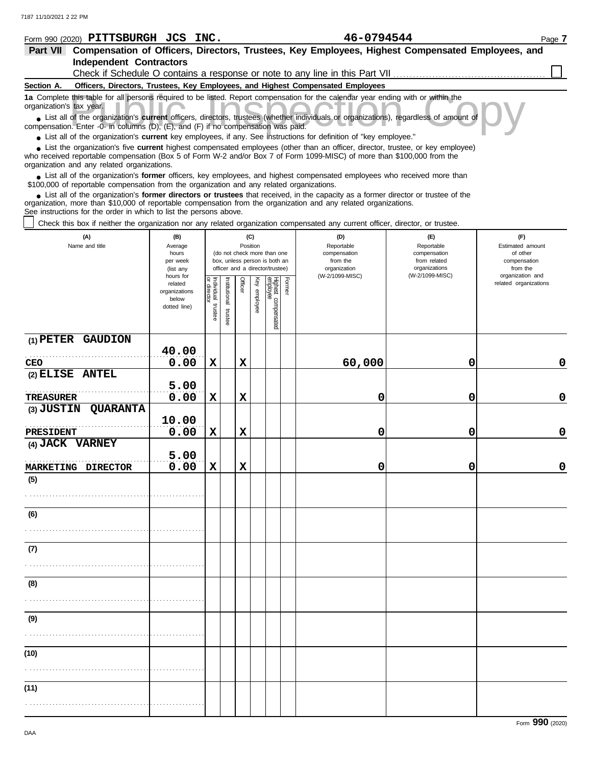| Form 990 (2020) PITTSBURGH JCS INC.                                                                                                                                                                                                                                                                                           |                                                                |                         |                          |         |                 |                                                                                                 | 46-0794544                                                                      |                                                                    |                                                                 | Page 7 |
|-------------------------------------------------------------------------------------------------------------------------------------------------------------------------------------------------------------------------------------------------------------------------------------------------------------------------------|----------------------------------------------------------------|-------------------------|--------------------------|---------|-----------------|-------------------------------------------------------------------------------------------------|---------------------------------------------------------------------------------|--------------------------------------------------------------------|-----------------------------------------------------------------|--------|
| Part VII Compensation of Officers, Directors, Trustees, Key Employees, Highest Compensated Employees, and                                                                                                                                                                                                                     |                                                                |                         |                          |         |                 |                                                                                                 |                                                                                 |                                                                    |                                                                 |        |
| <b>Independent Contractors</b>                                                                                                                                                                                                                                                                                                |                                                                |                         |                          |         |                 |                                                                                                 |                                                                                 |                                                                    |                                                                 |        |
|                                                                                                                                                                                                                                                                                                                               |                                                                |                         |                          |         |                 |                                                                                                 | Check if Schedule O contains a response or note to any line in this Part VII    |                                                                    |                                                                 |        |
| Section A.                                                                                                                                                                                                                                                                                                                    |                                                                |                         |                          |         |                 |                                                                                                 | Officers, Directors, Trustees, Key Employees, and Highest Compensated Employees |                                                                    |                                                                 |        |
| 1a Complete this table for all persons required to be listed. Report compensation for the calendar year ending with or within the<br>organization's tax year.                                                                                                                                                                 |                                                                |                         |                          |         |                 |                                                                                                 |                                                                                 |                                                                    |                                                                 |        |
| • List all of the organization's current officers, directors, trustees (whether individuals or organizations), regardless of amount of<br>compensation. Enter -0- in columns (D), (E), and (F) if no compensation was paid.                                                                                                   |                                                                |                         |                          |         |                 |                                                                                                 |                                                                                 |                                                                    |                                                                 |        |
| • List all of the organization's current key employees, if any. See instructions for definition of "key employee."                                                                                                                                                                                                            |                                                                |                         |                          |         |                 |                                                                                                 |                                                                                 |                                                                    |                                                                 |        |
| List the organization's five current highest compensated employees (other than an officer, director, trustee, or key employee)<br>who received reportable compensation (Box 5 of Form W-2 and/or Box 7 of Form 1099-MISC) of more than \$100,000 from the<br>organization and any related organizations.                      |                                                                |                         |                          |         |                 |                                                                                                 |                                                                                 |                                                                    |                                                                 |        |
| • List all of the organization's former officers, key employees, and highest compensated employees who received more than<br>\$100,000 of reportable compensation from the organization and any related organizations.                                                                                                        |                                                                |                         |                          |         |                 |                                                                                                 |                                                                                 |                                                                    |                                                                 |        |
| • List all of the organization's former directors or trustees that received, in the capacity as a former director or trustee of the<br>organization, more than \$10,000 of reportable compensation from the organization and any related organizations.<br>See instructions for the order in which to list the persons above. |                                                                |                         |                          |         |                 |                                                                                                 |                                                                                 |                                                                    |                                                                 |        |
| Check this box if neither the organization nor any related organization compensated any current officer, director, or trustee.                                                                                                                                                                                                |                                                                |                         |                          |         |                 |                                                                                                 |                                                                                 |                                                                    |                                                                 |        |
| (A)<br>Name and title                                                                                                                                                                                                                                                                                                         | (B)<br>Average<br>hours<br>per week<br>(list any               |                         |                          |         | (C)<br>Position | (do not check more than one<br>box, unless person is both an<br>officer and a director/trustee) | (D)<br>Reportable<br>compensation<br>from the<br>organization                   | (E)<br>Reportable<br>compensation<br>from related<br>organizations | (F)<br>Estimated amount<br>of other<br>compensation<br>from the |        |
|                                                                                                                                                                                                                                                                                                                               | hours for<br>related<br>organizations<br>below<br>dotted line) | Individual 1<br>trustee | Institutional<br>trustee | Officer | Key employee    | Highest compensated<br>employee<br>Former                                                       | (W-2/1099-MISC)                                                                 | (W-2/1099-MISC)                                                    | organization and<br>related organizations                       |        |
| (1) PETER GAUDION                                                                                                                                                                                                                                                                                                             |                                                                |                         |                          |         |                 |                                                                                                 |                                                                                 |                                                                    |                                                                 |        |
|                                                                                                                                                                                                                                                                                                                               | 40.00                                                          |                         |                          |         |                 |                                                                                                 |                                                                                 |                                                                    |                                                                 |        |
| CEO                                                                                                                                                                                                                                                                                                                           | 0.00                                                           | $\mathbf x$             |                          | X       |                 |                                                                                                 | 60,000                                                                          | 0                                                                  |                                                                 | 0      |
| (2) ELISE ANTEL                                                                                                                                                                                                                                                                                                               |                                                                |                         |                          |         |                 |                                                                                                 |                                                                                 |                                                                    |                                                                 |        |
|                                                                                                                                                                                                                                                                                                                               | 5.00                                                           |                         |                          |         |                 |                                                                                                 |                                                                                 |                                                                    |                                                                 |        |
| TREASURER                                                                                                                                                                                                                                                                                                                     | 0.00                                                           | $\mathbf x$             |                          | X       |                 |                                                                                                 | 0                                                                               | 0                                                                  |                                                                 | 0      |
| (3) JUSTIN<br><b>QUARANTA</b>                                                                                                                                                                                                                                                                                                 |                                                                |                         |                          |         |                 |                                                                                                 |                                                                                 |                                                                    |                                                                 |        |
| PRESIDENT                                                                                                                                                                                                                                                                                                                     | 10.00<br>0.00                                                  | X                       |                          | X       |                 |                                                                                                 | 0                                                                               | 0                                                                  |                                                                 | 0      |

| (9)  |  |  |  |  |                 |
|------|--|--|--|--|-----------------|
|      |  |  |  |  |                 |
|      |  |  |  |  |                 |
| (10) |  |  |  |  |                 |
|      |  |  |  |  |                 |
|      |  |  |  |  |                 |
| (11) |  |  |  |  |                 |
|      |  |  |  |  |                 |
|      |  |  |  |  |                 |
|      |  |  |  |  |                 |
|      |  |  |  |  | Form 990 (2020) |

**0.00 X X 0 0 0**

**0.00 X X 0 0 0**

**(4) JACK VARNEY**

. . . . . . . . . . . . . . . . . . . . . . . . . . . . . . . . . . . . . . . . . . . . . . . . . . . . . . .

. . . . . . . . . . . . . . . . . . . . . . . . . . . . . . . . . . . . . . . . . . . . . . . . . . . . . . .

MARKETING DIRECTOR 0.00

**5.00**

PRESIDENT  $0.00$ 

**(5)**

**(6)**

. . . . . . . . . . . . . . . . . . . . . . . . . . . . . . . . . . . . . . . . . . . . . . . . . . . . . . .

**(7)**

**(8)**

. . . . . . . . . . . . . . . . . . . . . . . . . . . . . . . . . . . . . . . . . . . . . . . . . . . . . . .

**(10)**

**(11)**

. . . . . . . . . . . . . . . . . . . . . . . . . . . . . . . . . . . . . . . . . . . . . . . . . . . . . . .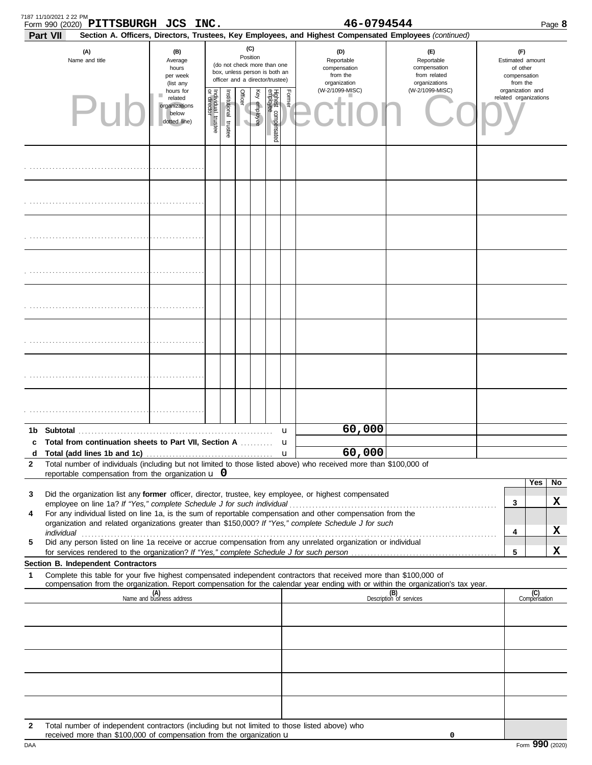| 7187 11/10/2021 2 22 PM<br>Part VII | Form 990 (2020) PITTSBURGH JCS INC.                                                                                                                                             |                                                                |                                                                                                                    |                       |                |              |                                 |                                                                                                                                                                         | 46-0794544                                                                                                                       |                                |                                                          |                  |                       | Page 8 |
|-------------------------------------|---------------------------------------------------------------------------------------------------------------------------------------------------------------------------------|----------------------------------------------------------------|--------------------------------------------------------------------------------------------------------------------|-----------------------|----------------|--------------|---------------------------------|-------------------------------------------------------------------------------------------------------------------------------------------------------------------------|----------------------------------------------------------------------------------------------------------------------------------|--------------------------------|----------------------------------------------------------|------------------|-----------------------|--------|
| (A)<br>Name and title               |                                                                                                                                                                                 | (B)<br>Average<br>hours<br>per week<br>(list any               | (C)<br>Position<br>(do not check more than one<br>box, unless person is both an<br>officer and a director/trustee) |                       |                |              |                                 | Section A. Officers, Directors, Trustees, Key Employees, and Highest Compensated Employees (continued)<br>(D)<br>Reportable<br>compensation<br>from the<br>organization | $(\mathsf{F})$<br>Reportable<br>compensation<br>from related<br>organizations                                                    |                                | Estimated amount<br>of other<br>compensation<br>from the |                  |                       |        |
|                                     |                                                                                                                                                                                 | hours for<br>related<br>organizations<br>below<br>dotted line) | Individual trustee<br>or director                                                                                  | Institutional trustee | <b>Officer</b> | Key employee | Highest compensated<br>employee | Former                                                                                                                                                                  | (W-2/1099-MISC)                                                                                                                  | (W-2/1099-MISC)                |                                                          | organization and | related organizations |        |
|                                     |                                                                                                                                                                                 |                                                                |                                                                                                                    |                       |                |              |                                 |                                                                                                                                                                         |                                                                                                                                  |                                |                                                          |                  |                       |        |
|                                     |                                                                                                                                                                                 |                                                                |                                                                                                                    |                       |                |              |                                 |                                                                                                                                                                         |                                                                                                                                  |                                |                                                          |                  |                       |        |
|                                     |                                                                                                                                                                                 |                                                                |                                                                                                                    |                       |                |              |                                 |                                                                                                                                                                         |                                                                                                                                  |                                |                                                          |                  |                       |        |
|                                     |                                                                                                                                                                                 |                                                                |                                                                                                                    |                       |                |              |                                 |                                                                                                                                                                         |                                                                                                                                  |                                |                                                          |                  |                       |        |
|                                     |                                                                                                                                                                                 |                                                                |                                                                                                                    |                       |                |              |                                 |                                                                                                                                                                         |                                                                                                                                  |                                |                                                          |                  |                       |        |
|                                     |                                                                                                                                                                                 |                                                                |                                                                                                                    |                       |                |              |                                 |                                                                                                                                                                         |                                                                                                                                  |                                |                                                          |                  |                       |        |
|                                     |                                                                                                                                                                                 |                                                                |                                                                                                                    |                       |                |              |                                 |                                                                                                                                                                         |                                                                                                                                  |                                |                                                          |                  |                       |        |
|                                     |                                                                                                                                                                                 |                                                                |                                                                                                                    |                       |                |              |                                 |                                                                                                                                                                         |                                                                                                                                  |                                |                                                          |                  |                       |        |
|                                     | c Total from continuation sheets to Part VII, Section A                                                                                                                         |                                                                |                                                                                                                    |                       |                |              |                                 | u<br>u                                                                                                                                                                  | 60,000                                                                                                                           |                                |                                                          |                  |                       |        |
| d                                   |                                                                                                                                                                                 |                                                                |                                                                                                                    |                       |                |              |                                 | $\mathbf u$                                                                                                                                                             | 60,000                                                                                                                           |                                |                                                          |                  |                       |        |
| 2                                   | reportable compensation from the organization $\bf{u}$ 0                                                                                                                        |                                                                |                                                                                                                    |                       |                |              |                                 |                                                                                                                                                                         | Total number of individuals (including but not limited to those listed above) who received more than \$100,000 of                |                                |                                                          |                  |                       |        |
|                                     |                                                                                                                                                                                 |                                                                |                                                                                                                    |                       |                |              |                                 |                                                                                                                                                                         |                                                                                                                                  |                                |                                                          |                  | Yes                   | No     |
| 3                                   |                                                                                                                                                                                 |                                                                |                                                                                                                    |                       |                |              |                                 |                                                                                                                                                                         | Did the organization list any former officer, director, trustee, key employee, or highest compensated                            |                                |                                                          | 3                |                       | X      |
| 4                                   |                                                                                                                                                                                 |                                                                |                                                                                                                    |                       |                |              |                                 |                                                                                                                                                                         | For any individual listed on line 1a, is the sum of reportable compensation and other compensation from the                      |                                |                                                          |                  |                       |        |
|                                     | individual communications and individual contracts are all the set of the set of the set of the set of the set                                                                  |                                                                |                                                                                                                    |                       |                |              |                                 |                                                                                                                                                                         | organization and related organizations greater than \$150,000? If "Yes," complete Schedule J for such                            |                                |                                                          | 4                |                       | X      |
| 5                                   |                                                                                                                                                                                 |                                                                |                                                                                                                    |                       |                |              |                                 |                                                                                                                                                                         | Did any person listed on line 1a receive or accrue compensation from any unrelated organization or individual                    |                                |                                                          |                  |                       |        |
|                                     | Section B. Independent Contractors                                                                                                                                              |                                                                |                                                                                                                    |                       |                |              |                                 |                                                                                                                                                                         |                                                                                                                                  |                                |                                                          | 5                |                       | X      |
| 1                                   |                                                                                                                                                                                 |                                                                |                                                                                                                    |                       |                |              |                                 |                                                                                                                                                                         | Complete this table for your five highest compensated independent contractors that received more than \$100,000 of               |                                |                                                          |                  |                       |        |
|                                     |                                                                                                                                                                                 | (A)<br>Name and business address                               |                                                                                                                    |                       |                |              |                                 |                                                                                                                                                                         | compensation from the organization. Report compensation for the calendar year ending with or within the organization's tax year. | (B)<br>Description of services |                                                          |                  | (C)<br>Compensation   |        |
|                                     |                                                                                                                                                                                 |                                                                |                                                                                                                    |                       |                |              |                                 |                                                                                                                                                                         |                                                                                                                                  |                                |                                                          |                  |                       |        |
|                                     |                                                                                                                                                                                 |                                                                |                                                                                                                    |                       |                |              |                                 |                                                                                                                                                                         |                                                                                                                                  |                                |                                                          |                  |                       |        |
|                                     |                                                                                                                                                                                 |                                                                |                                                                                                                    |                       |                |              |                                 |                                                                                                                                                                         |                                                                                                                                  |                                |                                                          |                  |                       |        |
|                                     |                                                                                                                                                                                 |                                                                |                                                                                                                    |                       |                |              |                                 |                                                                                                                                                                         |                                                                                                                                  |                                |                                                          |                  |                       |        |
| $\mathbf{2}$                        | Total number of independent contractors (including but not limited to those listed above) who<br>received more than \$100,000 of compensation from the organization $\mathbf u$ |                                                                |                                                                                                                    |                       |                |              |                                 |                                                                                                                                                                         |                                                                                                                                  | 0                              |                                                          |                  |                       |        |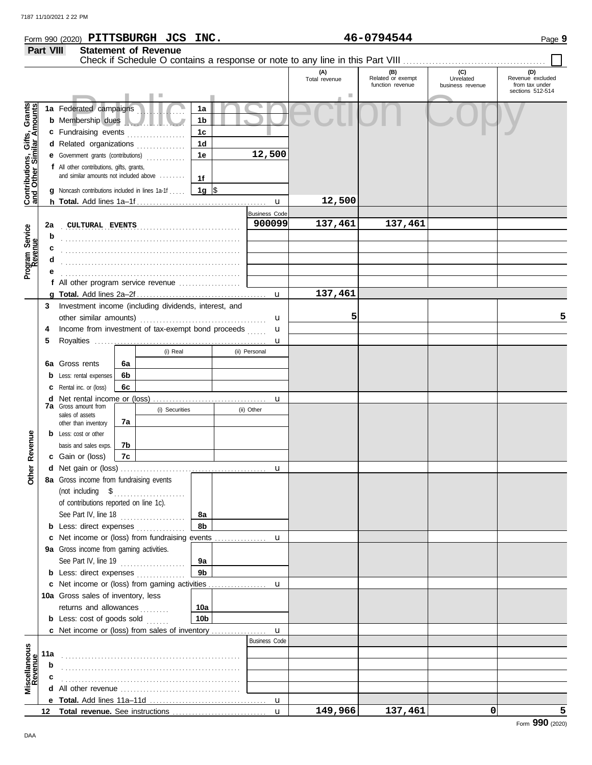|                                                           | Part VIII                                                                                                                                                                                                           |                                                                                                                                               |        | <b>Statement of Revenue</b> |                      |                                     | Check if Schedule O contains a response or note to any line in this Part VIII |                                              |                                      |                                                               |
|-----------------------------------------------------------|---------------------------------------------------------------------------------------------------------------------------------------------------------------------------------------------------------------------|-----------------------------------------------------------------------------------------------------------------------------------------------|--------|-----------------------------|----------------------|-------------------------------------|-------------------------------------------------------------------------------|----------------------------------------------|--------------------------------------|---------------------------------------------------------------|
|                                                           |                                                                                                                                                                                                                     |                                                                                                                                               |        |                             |                      |                                     | (A)<br>Total revenue                                                          | (B)<br>Related or exempt<br>function revenue | (C)<br>Unrelated<br>business revenue | (D)<br>Revenue excluded<br>from tax under<br>sections 512-514 |
| Contributions, Gifts, Grants<br>and Other Similar Amounts | 1a Federated campaigns<br>1a<br><b>b</b> Membership dues<br>1b<br>c Fundraising events<br>1 <sub>c</sub><br>.<br>1 <sub>d</sub><br>d Related organizations<br>.<br>1e<br><b>e</b> Government grants (contributions) |                                                                                                                                               | 12,500 |                             |                      |                                     |                                                                               |                                              |                                      |                                                               |
|                                                           |                                                                                                                                                                                                                     | f All other contributions, gifts, grants,<br>and similar amounts not included above<br><b>g</b> Noncash contributions included in lines 1a-1f |        |                             | 1f<br>1g $\sqrt{3}$  |                                     |                                                                               |                                              |                                      |                                                               |
|                                                           |                                                                                                                                                                                                                     |                                                                                                                                               |        |                             |                      | $\mathbf u$                         | 12,500                                                                        |                                              |                                      |                                                               |
|                                                           |                                                                                                                                                                                                                     |                                                                                                                                               |        |                             |                      | <b>Business Code</b>                |                                                                               |                                              |                                      |                                                               |
|                                                           | 2a                                                                                                                                                                                                                  | <b>CULTURAL EVENTS</b>                                                                                                                        |        |                             |                      | 900099                              | 137,461                                                                       | 137,461                                      |                                      |                                                               |
|                                                           | b                                                                                                                                                                                                                   |                                                                                                                                               |        |                             |                      |                                     |                                                                               |                                              |                                      |                                                               |
| Program Service<br>Revenue                                | c                                                                                                                                                                                                                   |                                                                                                                                               |        |                             |                      |                                     |                                                                               |                                              |                                      |                                                               |
|                                                           | d                                                                                                                                                                                                                   |                                                                                                                                               |        |                             |                      |                                     |                                                                               |                                              |                                      |                                                               |
|                                                           |                                                                                                                                                                                                                     |                                                                                                                                               |        |                             |                      |                                     |                                                                               |                                              |                                      |                                                               |
|                                                           |                                                                                                                                                                                                                     | f All other program service revenue                                                                                                           |        |                             |                      |                                     |                                                                               |                                              |                                      |                                                               |
|                                                           |                                                                                                                                                                                                                     |                                                                                                                                               |        |                             |                      | u                                   | 137,461                                                                       |                                              |                                      |                                                               |
|                                                           | 3                                                                                                                                                                                                                   | Investment income (including dividends, interest, and                                                                                         |        |                             |                      |                                     | 5                                                                             |                                              |                                      | 5                                                             |
|                                                           |                                                                                                                                                                                                                     |                                                                                                                                               |        |                             |                      | u                                   |                                                                               |                                              |                                      |                                                               |
|                                                           | 4                                                                                                                                                                                                                   | Income from investment of tax-exempt bond proceeds                                                                                            |        |                             |                      | u                                   |                                                                               |                                              |                                      |                                                               |
|                                                           | 5                                                                                                                                                                                                                   |                                                                                                                                               |        |                             |                      | u                                   |                                                                               |                                              |                                      |                                                               |
|                                                           |                                                                                                                                                                                                                     |                                                                                                                                               |        | (i) Real                    |                      | (ii) Personal                       |                                                                               |                                              |                                      |                                                               |
|                                                           |                                                                                                                                                                                                                     | 6a Gross rents                                                                                                                                | 6a     |                             |                      |                                     |                                                                               |                                              |                                      |                                                               |
|                                                           |                                                                                                                                                                                                                     | <b>b</b> Less: rental expenses                                                                                                                | 6b     |                             |                      |                                     |                                                                               |                                              |                                      |                                                               |
|                                                           |                                                                                                                                                                                                                     | <b>c</b> Rental inc. or (loss)                                                                                                                | 6с     |                             |                      |                                     |                                                                               |                                              |                                      |                                                               |
|                                                           |                                                                                                                                                                                                                     | <b>7a</b> Gross amount from                                                                                                                   |        |                             |                      | u                                   |                                                                               |                                              |                                      |                                                               |
|                                                           |                                                                                                                                                                                                                     | sales of assets                                                                                                                               |        | (i) Securities              |                      | (ii) Other                          |                                                                               |                                              |                                      |                                                               |
|                                                           |                                                                                                                                                                                                                     | other than inventory                                                                                                                          | 7а     |                             |                      |                                     |                                                                               |                                              |                                      |                                                               |
| Revenue                                                   |                                                                                                                                                                                                                     | <b>b</b> Less: cost or other                                                                                                                  |        |                             |                      |                                     |                                                                               |                                              |                                      |                                                               |
|                                                           |                                                                                                                                                                                                                     | basis and sales exps.                                                                                                                         | 7b     |                             |                      |                                     |                                                                               |                                              |                                      |                                                               |
|                                                           |                                                                                                                                                                                                                     | c Gain or (loss)                                                                                                                              | 7c     |                             |                      |                                     |                                                                               |                                              |                                      |                                                               |
| Other                                                     |                                                                                                                                                                                                                     |                                                                                                                                               |        |                             |                      | u                                   |                                                                               |                                              |                                      |                                                               |
|                                                           |                                                                                                                                                                                                                     | 8a Gross income from fundraising events                                                                                                       |        |                             |                      |                                     |                                                                               |                                              |                                      |                                                               |
|                                                           |                                                                                                                                                                                                                     | (not including $$$                                                                                                                            |        |                             |                      |                                     |                                                                               |                                              |                                      |                                                               |
|                                                           |                                                                                                                                                                                                                     | of contributions reported on line 1c).                                                                                                        |        |                             |                      |                                     |                                                                               |                                              |                                      |                                                               |
|                                                           |                                                                                                                                                                                                                     | See Part IV, line 18                                                                                                                          |        |                             | 8а<br>8b             |                                     |                                                                               |                                              |                                      |                                                               |
|                                                           |                                                                                                                                                                                                                     | <b>b</b> Less: direct expenses <i>minimum</i>                                                                                                 |        |                             |                      |                                     |                                                                               |                                              |                                      |                                                               |
|                                                           |                                                                                                                                                                                                                     | c Net income or (loss) from fundraising events                                                                                                |        |                             |                      | u                                   |                                                                               |                                              |                                      |                                                               |
|                                                           |                                                                                                                                                                                                                     | 9a Gross income from gaming activities.                                                                                                       |        |                             |                      |                                     |                                                                               |                                              |                                      |                                                               |
|                                                           |                                                                                                                                                                                                                     | See Part IV, line 19                                                                                                                          |        |                             | 9a<br>9 <sub>b</sub> |                                     |                                                                               |                                              |                                      |                                                               |
|                                                           |                                                                                                                                                                                                                     | <b>b</b> Less: direct expenses <i>minimum</i>                                                                                                 |        |                             |                      |                                     |                                                                               |                                              |                                      |                                                               |
|                                                           |                                                                                                                                                                                                                     | c Net income or (loss) from gaming activities                                                                                                 |        |                             |                      | u                                   |                                                                               |                                              |                                      |                                                               |
|                                                           |                                                                                                                                                                                                                     | 10a Gross sales of inventory, less                                                                                                            |        |                             |                      |                                     |                                                                               |                                              |                                      |                                                               |
|                                                           |                                                                                                                                                                                                                     | returns and allowances                                                                                                                        |        |                             | 10a                  |                                     |                                                                               |                                              |                                      |                                                               |
|                                                           |                                                                                                                                                                                                                     | <b>b</b> Less: cost of goods sold                                                                                                             |        |                             | 10 <sub>b</sub>      |                                     |                                                                               |                                              |                                      |                                                               |
|                                                           |                                                                                                                                                                                                                     | c Net income or (loss) from sales of inventory                                                                                                |        |                             |                      | $\mathbf u$<br><b>Business Code</b> |                                                                               |                                              |                                      |                                                               |
|                                                           |                                                                                                                                                                                                                     |                                                                                                                                               |        |                             |                      |                                     |                                                                               |                                              |                                      |                                                               |
|                                                           | 11a                                                                                                                                                                                                                 |                                                                                                                                               |        |                             |                      |                                     |                                                                               |                                              |                                      |                                                               |
| Miscellaneous<br>Revenue                                  | b                                                                                                                                                                                                                   |                                                                                                                                               |        |                             |                      |                                     |                                                                               |                                              |                                      |                                                               |
|                                                           |                                                                                                                                                                                                                     |                                                                                                                                               |        |                             |                      |                                     |                                                                               |                                              |                                      |                                                               |
|                                                           | d                                                                                                                                                                                                                   |                                                                                                                                               |        |                             |                      |                                     |                                                                               |                                              |                                      |                                                               |
|                                                           |                                                                                                                                                                                                                     |                                                                                                                                               |        |                             |                      |                                     | 149,966                                                                       | 137,461                                      | 0                                    | 5                                                             |
|                                                           | 12                                                                                                                                                                                                                  |                                                                                                                                               |        |                             |                      |                                     |                                                                               |                                              |                                      |                                                               |

## **Form 990 (2020) PITTSBURGH JCS INC.**  $46-0794544$  Page 9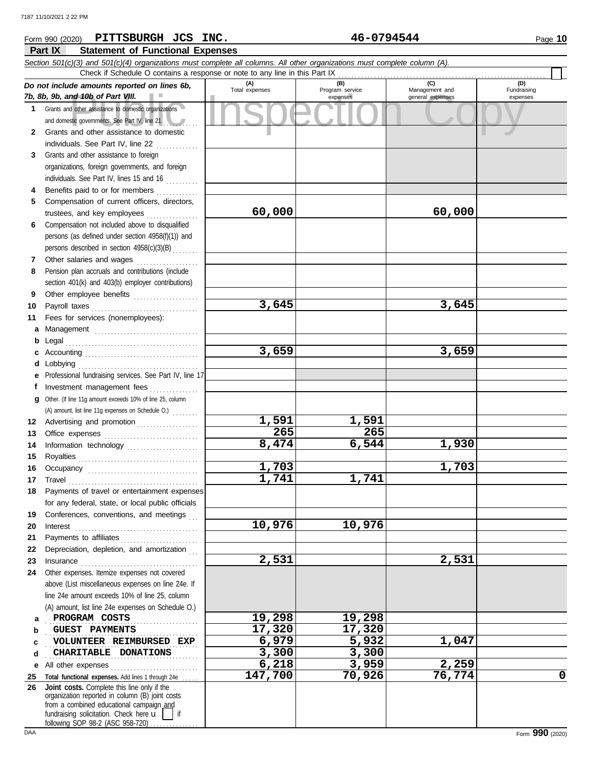## nd 10b of Part VIII.<br>
dother assistance to domestic organizations<br>
and other assistance to domestic<br>
and other assistance to domestic **Part IX Statement of Functional Expenses** Form 990 (2020) Page **10 PITTSBURGH JCS INC. 46-0794544** *Section 501(c)(3) and 501(c)(4) organizations must complete all columns. All other organizations must complete column (A). Do not include amounts reported on lines 6b, 7b, 8b, 9b, and 10b of Part VIII.* **1 2** Grants and other assistance to domestic organizations and domestic governments. See Part IV, line 21 Grants and other assistance to domestic individuals. See Part IV, line 22 .............. **(A) (B) (C) (D)** Management and expenses and general expenses Check if Schedule O contains a response or note to any line in this Part IX

**60,000 60,000**

**3,645 3,645**

**3,659 3,659**

**8,474 6,544 1,930**

**1,703 1,703**

**2,531 2,531**

**6,218 3,959 2,259**

**147,700 70,926 76,774 0**

**1,591 1,591 265 265**

**10,976 10,976**

**1,741 1,741**

- **3** Grants and other assistance to foreign **4** organizations, foreign governments, and foreign individuals. See Part IV, lines 15 and 16 Benefits paid to or for members .............
- **5** Compensation of current officers, directors, trustees, and key employees . . . . . . . . . . . . . . . .
- **6** Compensation not included above to disqualified persons (as defined under section 4958(f)(1)) and persons described in section 4958(c)(3)(B) . . . . . . . .
- **7 8** Other salaries and wages ................... Pension plan accruals and contributions (include section 401(k) and 403(b) employer contributions)
- **9 10** Other employee benefits .................... Payroll taxes . . . . . . . . . . . . . . . . . . . . . . . . . . . . . . . . .
- **11 a** Management ................................. Fees for services (nonemployees):
- **b** Legal . . . . . . . . . . . . . . . . . . . . . . . . . . . . . . . . . . . . . . . . . **c** Accounting . . . . . . . . . . . . . . . . . . . . . . . . . . . . . . . . . . . **d** Lobbying . . . . . . . . . . . . . . . . . . . . . . . . . . . . . . . . . . . . . **e** Professional fundraising services. See Part IV, line 17
- **f g** Other. (If line 11g amount exceeds 10% of line 25, column **12** Advertising and promotion . . . . . . . . . . . . . . . . . . **13** Investment management fees ................ Office expenses ................................ (A) amount, list line 11g expenses on Schedule O.) . . . . . . . .
- **14 15 16 17 18 19** Information technology ..................... Royalties . . . . . . . . . . . . . . . . . . . . . . . . . . . . . . . . . . . . . Occupancy . . . . . . . . . . . . . . . . . . . . . . . . . . . . . . . . . . Travel . . . . . . . . . . . . . . . . . . . . . . . . . . . . . . . . . . . . . . . . Payments of travel or entertainment expenses for any federal, state, or local public officials Conferences, conventions, and meetings
- **20 21 22** Depreciation, depletion, and amortization . . . **23** Interest . . . . . . . . . . . . . . . . . . . . . . . . . . . . . . . . . . . . . . Payments to affiliates . . . . . . . . . . . . . . . . . . . . . . . . Insurance . . . . . . . . . . . . . . . . . . . . . . . . . . . . . . . . . . . .
- **24** Other expenses. Itemize expenses not covered above (List miscellaneous expenses on line 24e. If line 24e amount exceeds 10% of line 25, column (A) amount, list line 24e expenses on Schedule O.) **PROGRAM COSTS** 19,298 19,298
- **a b c d** . . . . . . . . . . . . . . . . . . . . . . . . . . . . . . . . . . . . . . . . . . . . . . . **guest payments 17,320** 17,320 **VOLUNTEER REIMBURSED EXP** 6,979 5,932 1,047 **CHARITABLE DONATIONS** 2,300 3,300
- **e** All other expenses . . . . . . . . . . . . . . . . . . . . . . . . . . .
- **25 Total functional expenses.** Add lines 1 through 24e . . . . . **26** fundraising solicitation. Check here  $\mathbf{u}$  | if organization reported in column (B) joint costs from a combined educational campaign and following SOP 98-2 (ASC 958-720) **Joint costs.** Complete this line only if the

(D)<br>Fundraising expenses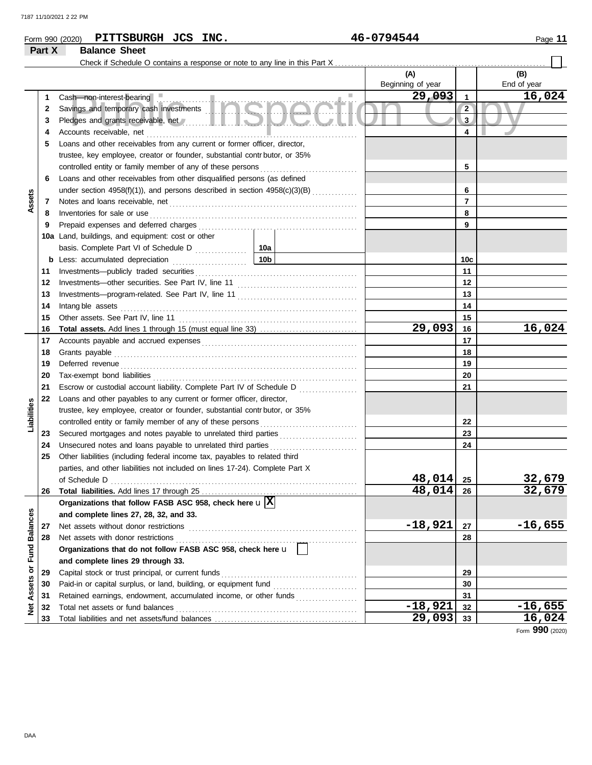|             | PITTSBURGH JCS INC.<br>Form 990 (2020)                                                                                                                                                                                                                                                 |                 | 46-0794544        |                 | Page 11            |
|-------------|----------------------------------------------------------------------------------------------------------------------------------------------------------------------------------------------------------------------------------------------------------------------------------------|-----------------|-------------------|-----------------|--------------------|
| Part X      | <b>Balance Sheet</b>                                                                                                                                                                                                                                                                   |                 |                   |                 |                    |
|             |                                                                                                                                                                                                                                                                                        |                 |                   |                 |                    |
|             |                                                                                                                                                                                                                                                                                        |                 | (A)               |                 | (B)<br>End of year |
|             |                                                                                                                                                                                                                                                                                        | $\sim$          | Beginning of year |                 |                    |
| 1           | Cash-non-interest-bearing<br>Savings and temporary cash investments<br>Diadase cash are through the structure of the structure of the structure of the structure of the structure of                                                                                                   |                 | 29,093            | $\mathbf{1}$    | 16,024             |
| 2           |                                                                                                                                                                                                                                                                                        |                 |                   | $\overline{2}$  |                    |
| 3           | Pledges and grants receivable, net / www.allen.com/ and and allenger and state of                                                                                                                                                                                                      |                 |                   | 3               |                    |
| 4           | Accounts receivable, net                                                                                                                                                                                                                                                               |                 | 4                 |                 |                    |
| 5           | Loans and other receivables from any current or former officer, director,                                                                                                                                                                                                              |                 |                   |                 |                    |
|             | trustee, key employee, creator or founder, substantial contributor, or 35%                                                                                                                                                                                                             |                 |                   |                 |                    |
|             | controlled entity or family member of any of these persons                                                                                                                                                                                                                             |                 | 5                 |                 |                    |
| 6           | Loans and other receivables from other disqualified persons (as defined                                                                                                                                                                                                                |                 |                   |                 |                    |
|             | under section $4958(f)(1)$ ), and persons described in section $4958(c)(3)(B)$                                                                                                                                                                                                         |                 |                   | 6               |                    |
| 7           |                                                                                                                                                                                                                                                                                        |                 |                   | $\overline{7}$  |                    |
| Assets<br>8 | Inventories for sale or use <i>construction</i> and <i>construction</i> and <i>construction</i> and <i>construction</i> and <i>construction</i> and <i>construction</i> and <i>construction</i> and <i>construction</i> and <i>construction</i> and <i>construction</i> and <i>con</i> |                 |                   | 8               |                    |
| 9           |                                                                                                                                                                                                                                                                                        |                 |                   | 9               |                    |
|             | 10a Land, buildings, and equipment: cost or other                                                                                                                                                                                                                                      |                 |                   |                 |                    |
|             |                                                                                                                                                                                                                                                                                        |                 |                   |                 |                    |
|             |                                                                                                                                                                                                                                                                                        | 10 <sub>b</sub> |                   | 10 <sub>c</sub> |                    |
| 11          |                                                                                                                                                                                                                                                                                        |                 |                   | 11              |                    |
| 12          |                                                                                                                                                                                                                                                                                        |                 |                   | 12              |                    |
| 13          |                                                                                                                                                                                                                                                                                        |                 |                   | 13              |                    |
| 14          | Intang ble assets                                                                                                                                                                                                                                                                      |                 |                   | 14              |                    |
| 15          |                                                                                                                                                                                                                                                                                        |                 |                   | 15              |                    |
| 16          |                                                                                                                                                                                                                                                                                        |                 | 29,093            | 16              | 16,024             |
| 17          |                                                                                                                                                                                                                                                                                        |                 |                   | 17              |                    |
| 18          |                                                                                                                                                                                                                                                                                        |                 |                   | 18              |                    |
| 19          | Deferred revenue contains and all the container and all the container and all the container and all the container and all the container and all the container and all the container and all the container and all the containe                                                         |                 | 19                |                 |                    |
| 20          |                                                                                                                                                                                                                                                                                        |                 | 20                |                 |                    |
| 21          | Escrow or custodial account liability. Complete Part IV of Schedule D                                                                                                                                                                                                                  |                 |                   | 21              |                    |
| 22          | Loans and other payables to any current or former officer, director,                                                                                                                                                                                                                   |                 |                   |                 |                    |
|             | trustee, key employee, creator or founder, substantial contr butor, or 35%                                                                                                                                                                                                             |                 |                   |                 |                    |
| abilities   | controlled entity or family member of any of these persons                                                                                                                                                                                                                             |                 |                   | 22              |                    |

## **Liabilities 23 23** Secured mortgages and notes payable to unrelated third parties *.....................*... **24 24** Unsecured notes and loans payable to unrelated third parties . . . . . . . . . . . . . . . . . . . . . . . . . . . **25** Other liabilities (including federal income tax, payables to related third parties, and other liabilities not included on lines 17-24). Complete Part X **48,014 32,679** of Schedule D . . . . . . . . . . . . . . . . . . . . . . . . . . . . . . . . . . . . . . . . . . . . . . . . . . . . . . . . . . . . . . . . . . . . . . . . . . . . **25 48,014 32,679 26 26 Total liabilities.** Add lines 17 through 25 . . . . . . . . . . . . . . . . . . . . . . . . . . . . . . . . . . . . . . . . . . . . . . . . **Organizations that follow FASB ASC 958, check here** u **X Balances and complete lines 27, 28, 32, and 33.** Net assets without donor restrictions . . . . . . . . . . . . . . . . . . . . . . . . . . . . . . . . . . . . . . . . . . . . . . . . . . . . **-18,921 -16,655 27 27 28 28** Net assets with donor restrictions **Organizations that do not follow FASB ASC 958, check here** u

|                  |     | and complete lines 27, 28, 32, and 33.                           |           |    |           |
|------------------|-----|------------------------------------------------------------------|-----------|----|-----------|
| Balances<br>Fund | 27  | Net assets without donor restrictions                            | $-18,921$ | 27 | $-16,655$ |
|                  | 28  | Net assets with donor restrictions                               |           | 28 |           |
|                  |     | Organizations that do not follow FASB ASC 958, check here u      |           |    |           |
|                  |     | and complete lines 29 through 33.                                |           |    |           |
| $\bf \bar{o}$    | 29  | Capital stock or trust principal, or current funds               |           | 29 |           |
| <b>Assets</b>    | 30  | Paid-in or capital surplus, or land, building, or equipment fund |           | 30 |           |
|                  | 31  | Retained earnings, endowment, accumulated income, or other funds |           | 31 |           |
| 횾                | -32 | Total net assets or fund balances                                | $-18,921$ | 32 | $-16,655$ |
|                  | -33 | Total liabilities and net assets/fund balances                   | 29,093    | 33 | 16,024    |

Form **990** (2020)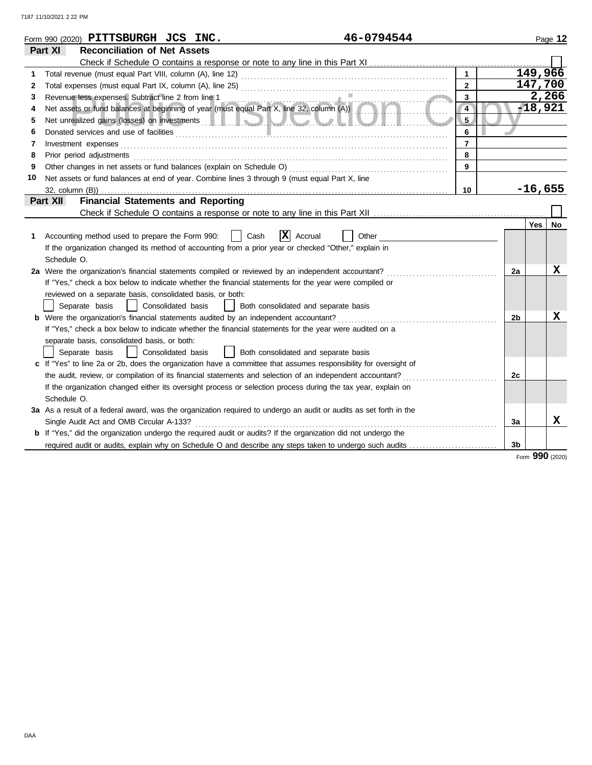|    | 46-0794544<br>Form 990 (2020) PITTSBURGH JCS INC.                                                                                                                                                                                    |                |                |           | Page 12   |
|----|--------------------------------------------------------------------------------------------------------------------------------------------------------------------------------------------------------------------------------------|----------------|----------------|-----------|-----------|
|    | <b>Reconciliation of Net Assets</b><br>Part XI                                                                                                                                                                                       |                |                |           |           |
|    |                                                                                                                                                                                                                                      |                |                |           |           |
| 1  |                                                                                                                                                                                                                                      | $\mathbf{1}$   |                | 149, 966  |           |
| 2  |                                                                                                                                                                                                                                      | $\mathbf{2}$   |                | 147,700   |           |
| 3  | Revenue less expenses. Subtract line 2 from line 1                                                                                                                                                                                   | 3              |                |           | 2,266     |
| 4  | Revenue less expenses. Subtract line 2 from line 1<br>Net assets or fund balances at beginning of year (must equal Part X, line 32, column (A))<br>1.                                                                                | $\overline{4}$ |                |           | -18,921   |
| 5  | Net unrealized gains (losses) on investments <b>and all and all and all and all and all and all and all and all and all and all and all and all and all and all and all and all and all and all and all and all and all and all </b> | 5              |                |           |           |
| 6  |                                                                                                                                                                                                                                      | 6              |                |           |           |
| 7  | Investment expenses                                                                                                                                                                                                                  | $\overline{7}$ |                |           |           |
| 8  | Prior period adjustments                                                                                                                                                                                                             | 8              |                |           |           |
| 9  | Other changes in net assets or fund balances (explain on Schedule O)                                                                                                                                                                 | 9              |                |           |           |
| 10 | Net assets or fund balances at end of year. Combine lines 3 through 9 (must equal Part X, line                                                                                                                                       |                |                |           |           |
|    | 32, column (B))                                                                                                                                                                                                                      | 10             |                | $-16,655$ |           |
|    | <b>Financial Statements and Reporting</b><br>Part XII                                                                                                                                                                                |                |                |           |           |
|    |                                                                                                                                                                                                                                      |                |                |           |           |
|    |                                                                                                                                                                                                                                      |                |                | Yes       | <b>No</b> |
| 1  | $\mathbf{X}$ Accrual<br>Cash<br>Accounting method used to prepare the Form 990:<br>Other                                                                                                                                             |                |                |           |           |
|    | If the organization changed its method of accounting from a prior year or checked "Other," explain in                                                                                                                                |                |                |           |           |
|    | Schedule O.                                                                                                                                                                                                                          |                |                |           |           |
|    | 2a Were the organization's financial statements compiled or reviewed by an independent accountant?                                                                                                                                   |                | 2a             |           | x         |
|    | If "Yes," check a box below to indicate whether the financial statements for the year were compiled or                                                                                                                               |                |                |           |           |
|    | reviewed on a separate basis, consolidated basis, or both:                                                                                                                                                                           |                |                |           |           |
|    | Separate basis<br>  Consolidated basis<br>Both consolidated and separate basis                                                                                                                                                       |                |                |           |           |
|    |                                                                                                                                                                                                                                      |                | 2 <sub>b</sub> |           | X         |
|    | If "Yes," check a box below to indicate whether the financial statements for the year were audited on a                                                                                                                              |                |                |           |           |
|    | separate basis, consolidated basis, or both:                                                                                                                                                                                         |                |                |           |           |
|    | Consolidated basis<br>Separate basis<br>  Both consolidated and separate basis                                                                                                                                                       |                |                |           |           |
|    | c If "Yes" to line 2a or 2b, does the organization have a committee that assumes responsibility for oversight of                                                                                                                     |                |                |           |           |
|    | the audit, review, or compilation of its financial statements and selection of an independent accountant?                                                                                                                            |                | 2c             |           |           |
|    | If the organization changed either its oversight process or selection process during the tax year, explain on                                                                                                                        |                |                |           |           |
|    | Schedule O.                                                                                                                                                                                                                          |                |                |           |           |
|    | 3a As a result of a federal award, was the organization required to undergo an audit or audits as set forth in the                                                                                                                   |                |                |           |           |
|    | Single Audit Act and OMB Circular A-133?                                                                                                                                                                                             |                | 3a             |           | x         |
|    | <b>b</b> If "Yes," did the organization undergo the required audit or audits? If the organization did not undergo the                                                                                                                |                |                |           |           |
|    | required audit or audits, explain why on Schedule O and describe any steps taken to undergo such audits                                                                                                                              |                | 3b             |           |           |

Form **990** (2020)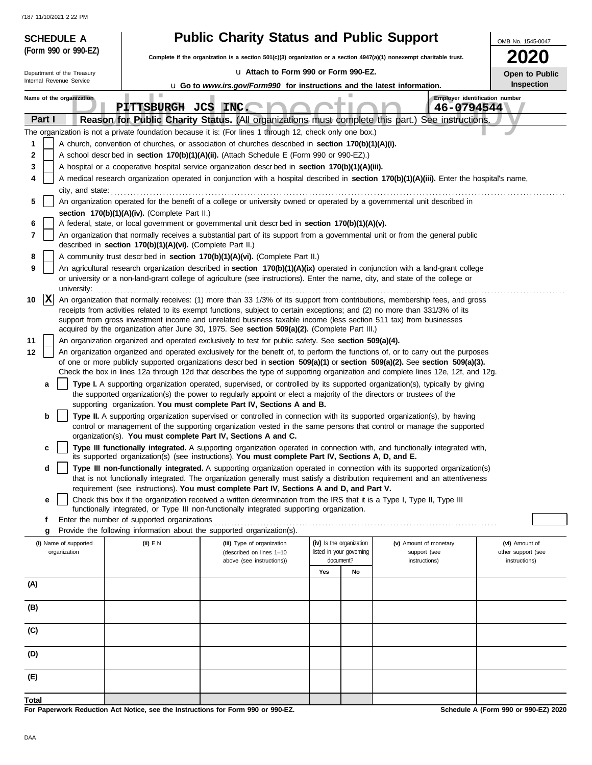| <b>SCHEDULE A</b>          |                                                                                                                                            | <b>Public Charity Status and Public Support</b><br>OMB No. 1545-0047                                                                                                                                                                                            |                          |                          |                               |                                      |  |  |  |  |
|----------------------------|--------------------------------------------------------------------------------------------------------------------------------------------|-----------------------------------------------------------------------------------------------------------------------------------------------------------------------------------------------------------------------------------------------------------------|--------------------------|--------------------------|-------------------------------|--------------------------------------|--|--|--|--|
| (Form 990 or 990-EZ)       |                                                                                                                                            | Complete if the organization is a section $501(c)(3)$ organization or a section $4947(a)(1)$ nonexempt charitable trust.                                                                                                                                        |                          |                          |                               | <b>2020</b>                          |  |  |  |  |
| Department of the Treasury |                                                                                                                                            | La Attach to Form 990 or Form 990-EZ.                                                                                                                                                                                                                           |                          |                          |                               | Open to Public                       |  |  |  |  |
| Internal Revenue Service   |                                                                                                                                            | <b>u</b> Go to www.irs.gov/Form990 for instructions and the latest information.                                                                                                                                                                                 | <b>Inspection</b>        |                          |                               |                                      |  |  |  |  |
| Name of the organization   | ш                                                                                                                                          |                                                                                                                                                                                                                                                                 |                          |                          |                               | Employer identification number       |  |  |  |  |
|                            | PITTSBURGH JCS INC.                                                                                                                        |                                                                                                                                                                                                                                                                 |                          |                          | 46-0794544                    |                                      |  |  |  |  |
| Part I                     |                                                                                                                                            | Reason for Public Charity Status. (All organizations must complete this part.) See instructions.<br>The organization is not a private foundation because it is: (For lines 1 through 12, check only one box.)                                                   |                          |                          |                               |                                      |  |  |  |  |
| 1                          |                                                                                                                                            | A church, convention of churches, or association of churches described in section 170(b)(1)(A)(i).                                                                                                                                                              |                          |                          |                               |                                      |  |  |  |  |
| 2                          |                                                                                                                                            | A school descr bed in section 170(b)(1)(A)(ii). (Attach Schedule E (Form 990 or 990-EZ).)                                                                                                                                                                       |                          |                          |                               |                                      |  |  |  |  |
| 3                          |                                                                                                                                            | A hospital or a cooperative hospital service organization descrbed in section 170(b)(1)(A)(iii).                                                                                                                                                                |                          |                          |                               |                                      |  |  |  |  |
| 4                          | A medical research organization operated in conjunction with a hospital described in section 170(b)(1)(A)(iii). Enter the hospital's name, |                                                                                                                                                                                                                                                                 |                          |                          |                               |                                      |  |  |  |  |
| city, and state:           |                                                                                                                                            |                                                                                                                                                                                                                                                                 |                          |                          |                               |                                      |  |  |  |  |
| 5                          | section 170(b)(1)(A)(iv). (Complete Part II.)                                                                                              | An organization operated for the benefit of a college or university owned or operated by a governmental unit described in                                                                                                                                       |                          |                          |                               |                                      |  |  |  |  |
| 6                          |                                                                                                                                            | A federal, state, or local government or governmental unit descr bed in section 170(b)(1)(A)(v).                                                                                                                                                                |                          |                          |                               |                                      |  |  |  |  |
| 7                          | described in section 170(b)(1)(A)(vi). (Complete Part II.)                                                                                 | An organization that normally receives a substantial part of its support from a governmental unit or from the general public                                                                                                                                    |                          |                          |                               |                                      |  |  |  |  |
| 8                          |                                                                                                                                            | A community trust descr bed in section 170(b)(1)(A)(vi). (Complete Part II.)                                                                                                                                                                                    |                          |                          |                               |                                      |  |  |  |  |
| 9<br>university:           |                                                                                                                                            | An agricultural research organization described in section 170(b)(1)(A)(ix) operated in conjunction with a land-grant college<br>or university or a non-land-grant college of agriculture (see instructions). Enter the name, city, and state of the college or |                          |                          |                               |                                      |  |  |  |  |
| $\mathbf{x}$<br>10         |                                                                                                                                            | An organization that normally receives: (1) more than 33 1/3% of its support from contributions, membership fees, and gross                                                                                                                                     |                          |                          |                               |                                      |  |  |  |  |
|                            |                                                                                                                                            | receipts from activities related to its exempt functions, subject to certain exceptions; and (2) no more than 331/3% of its                                                                                                                                     |                          |                          |                               |                                      |  |  |  |  |
|                            |                                                                                                                                            | support from gross investment income and unrelated business taxable income (less section 511 tax) from businesses<br>acquired by the organization after June 30, 1975. See section 509(a)(2). (Complete Part III.)                                              |                          |                          |                               |                                      |  |  |  |  |
| 11                         |                                                                                                                                            | An organization organized and operated exclusively to test for public safety. See section 509(a)(4).                                                                                                                                                            |                          |                          |                               |                                      |  |  |  |  |
| 12                         |                                                                                                                                            | An organization organized and operated exclusively for the benefit of, to perform the functions of, or to carry out the purposes                                                                                                                                |                          |                          |                               |                                      |  |  |  |  |
|                            |                                                                                                                                            | of one or more publicly supported organizations descrbed in section 509(a)(1) or section 509(a)(2). See section 509(a)(3).<br>Check the box in lines 12a through 12d that describes the type of supporting organization and complete lines 12e, 12f, and 12g.   |                          |                          |                               |                                      |  |  |  |  |
| a                          |                                                                                                                                            | Type I. A supporting organization operated, supervised, or controlled by its supported organization(s), typically by giving                                                                                                                                     |                          |                          |                               |                                      |  |  |  |  |
|                            |                                                                                                                                            | the supported organization(s) the power to regularly appoint or elect a majority of the directors or trustees of the                                                                                                                                            |                          |                          |                               |                                      |  |  |  |  |
| b                          |                                                                                                                                            | supporting organization. You must complete Part IV, Sections A and B.<br>Type II. A supporting organization supervised or controlled in connection with its supported organization(s), by having                                                                |                          |                          |                               |                                      |  |  |  |  |
|                            |                                                                                                                                            | control or management of the supporting organization vested in the same persons that control or manage the supported                                                                                                                                            |                          |                          |                               |                                      |  |  |  |  |
|                            |                                                                                                                                            | organization(s). You must complete Part IV, Sections A and C.                                                                                                                                                                                                   |                          |                          |                               |                                      |  |  |  |  |
| c                          |                                                                                                                                            | Type III functionally integrated. A supporting organization operated in connection with, and functionally integrated with,<br>its supported organization(s) (see instructions). You must complete Part IV, Sections A, D, and E.                                |                          |                          |                               |                                      |  |  |  |  |
| d                          |                                                                                                                                            | Type III non-functionally integrated. A supporting organization operated in connection with its supported organization(s)<br>that is not functionally integrated. The organization generally must satisfy a distribution requirement and an attentiveness       |                          |                          |                               |                                      |  |  |  |  |
|                            |                                                                                                                                            | requirement (see instructions). You must complete Part IV, Sections A and D, and Part V.                                                                                                                                                                        |                          |                          |                               |                                      |  |  |  |  |
| е                          |                                                                                                                                            | Check this box if the organization received a written determination from the IRS that it is a Type I, Type II, Type III                                                                                                                                         |                          |                          |                               |                                      |  |  |  |  |
| f                          | Enter the number of supported organizations                                                                                                | functionally integrated, or Type III non-functionally integrated supporting organization.                                                                                                                                                                       |                          |                          |                               |                                      |  |  |  |  |
| g                          |                                                                                                                                            | Provide the following information about the supported organization(s).                                                                                                                                                                                          |                          |                          |                               |                                      |  |  |  |  |
| (i) Name of supported      | (ii) $E N$                                                                                                                                 | (iii) Type of organization                                                                                                                                                                                                                                      | (iv) Is the organization |                          | (v) Amount of monetary        | (vi) Amount of                       |  |  |  |  |
| organization               |                                                                                                                                            | (described on lines 1-10<br>above (see instructions))                                                                                                                                                                                                           | document?                | listed in your governing | support (see<br>instructions) | other support (see<br>instructions)  |  |  |  |  |
|                            |                                                                                                                                            |                                                                                                                                                                                                                                                                 | Yes                      | No                       |                               |                                      |  |  |  |  |
| (A)                        |                                                                                                                                            |                                                                                                                                                                                                                                                                 |                          |                          |                               |                                      |  |  |  |  |
| (B)                        |                                                                                                                                            |                                                                                                                                                                                                                                                                 |                          |                          |                               |                                      |  |  |  |  |
| (C)                        |                                                                                                                                            |                                                                                                                                                                                                                                                                 |                          |                          |                               |                                      |  |  |  |  |
|                            |                                                                                                                                            |                                                                                                                                                                                                                                                                 |                          |                          |                               |                                      |  |  |  |  |
| (D)                        |                                                                                                                                            |                                                                                                                                                                                                                                                                 |                          |                          |                               |                                      |  |  |  |  |
| (E)                        |                                                                                                                                            |                                                                                                                                                                                                                                                                 |                          |                          |                               |                                      |  |  |  |  |
| Total                      | For Paperwork Reduction Act Notice, see the Instructions for Form 990 or 990-EZ.                                                           |                                                                                                                                                                                                                                                                 |                          |                          |                               | Schedule A (Form 990 or 990-EZ) 2020 |  |  |  |  |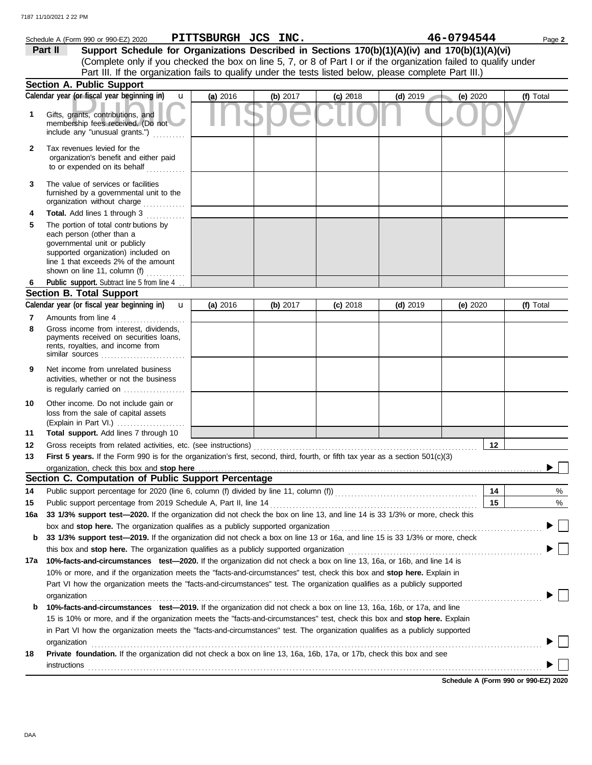|              | Schedule A (Form 990 or 990-EZ) 2020                                                                                                                                                                                        | PITTSBURGH JCS INC. |          |            |            | 46-0794544 | Page 2    |
|--------------|-----------------------------------------------------------------------------------------------------------------------------------------------------------------------------------------------------------------------------|---------------------|----------|------------|------------|------------|-----------|
|              | Support Schedule for Organizations Described in Sections 170(b)(1)(A)(iv) and 170(b)(1)(A)(vi)<br>Part II                                                                                                                   |                     |          |            |            |            |           |
|              | (Complete only if you checked the box on line 5, 7, or 8 of Part I or if the organization failed to qualify under                                                                                                           |                     |          |            |            |            |           |
|              | Part III. If the organization fails to qualify under the tests listed below, please complete Part III.)                                                                                                                     |                     |          |            |            |            |           |
|              | Section A. Public Support                                                                                                                                                                                                   |                     |          |            |            |            |           |
|              | Calendar year (or fiscal year beginning in)<br>$\mathbf{u}$                                                                                                                                                                 | (a) 2016            | (b) 2017 | $(c)$ 2018 | $(d)$ 2019 | (e) 2020   | (f) Total |
| 1            | Gifts, grants, contributions, and<br>membership fees received. (Do not<br>include any "unusual grants.")                                                                                                                    |                     |          |            |            |            |           |
| $\mathbf{2}$ | Tax revenues levied for the<br>organization's benefit and either paid<br>to or expended on its behalf                                                                                                                       |                     |          |            |            |            |           |
| 3            | The value of services or facilities<br>furnished by a governmental unit to the<br>organization without charge                                                                                                               |                     |          |            |            |            |           |
| 4            | Total. Add lines 1 through 3<br>.                                                                                                                                                                                           |                     |          |            |            |            |           |
| 5            | The portion of total contr butions by<br>each person (other than a<br>governmental unit or publicly<br>supported organization) included on<br>line 1 that exceeds 2% of the amount<br>shown on line 11, column (f) $\ldots$ |                     |          |            |            |            |           |
| 6            | Public support. Subtract line 5 from line 4.                                                                                                                                                                                |                     |          |            |            |            |           |
|              | <b>Section B. Total Support</b>                                                                                                                                                                                             |                     |          |            |            |            |           |
|              | Calendar year (or fiscal year beginning in)<br>$\mathbf u$                                                                                                                                                                  | (a) 2016            | (b) 2017 | $(c)$ 2018 | $(d)$ 2019 | (e) 2020   | (f) Total |
| 7            | Amounts from line 4                                                                                                                                                                                                         |                     |          |            |            |            |           |
| 8            | Gross income from interest, dividends,<br>payments received on securities loans,<br>rents, royalties, and income from<br>similar sources $\ldots, \ldots, \ldots, \ldots, \ldots, \ldots$                                   |                     |          |            |            |            |           |
| 9            | Net income from unrelated business<br>activities, whether or not the business<br>is regularly carried on                                                                                                                    |                     |          |            |            |            |           |
| 10<br>11     | Other income. Do not include gain or<br>loss from the sale of capital assets<br>(Explain in Part VI.)<br>Total support. Add lines 7 through 10                                                                              |                     |          |            |            |            |           |
| 12           |                                                                                                                                                                                                                             |                     |          |            |            | $12 \,$    |           |
| 13           | First 5 years. If the Form 990 is for the organization's first, second, third, fourth, or fifth tax year as a section 501(c)(3)                                                                                             |                     |          |            |            |            |           |
|              | organization, check this box and stop here                                                                                                                                                                                  |                     |          |            |            |            |           |
|              | Section C. Computation of Public Support Percentage                                                                                                                                                                         |                     |          |            |            |            |           |
| 14           | Public support percentage for 2020 (line 6, column (f) divided by line 11, column (f)) [[[[[[[[[[[[[[[[[[[[[[                                                                                                               |                     |          |            |            | 14         | %         |
| 15           | Public support percentage from 2019 Schedule A, Part II, line 14                                                                                                                                                            |                     |          |            |            | 15         | %         |
| 16a          | 33 1/3% support test-2020. If the organization did not check the box on line 13, and line 14 is 33 1/3% or more, check this                                                                                                 |                     |          |            |            |            |           |
|              | box and stop here. The organization qualifies as a publicly supported organization                                                                                                                                          |                     |          |            |            |            |           |
| b            | 33 1/3% support test-2019. If the organization did not check a box on line 13 or 16a, and line 15 is 33 1/3% or more, check                                                                                                 |                     |          |            |            |            |           |
|              | this box and stop here. The organization qualifies as a publicly supported organization                                                                                                                                     |                     |          |            |            |            |           |
| 17a          | 10%-facts-and-circumstances test-2020. If the organization did not check a box on line 13, 16a, or 16b, and line 14 is                                                                                                      |                     |          |            |            |            |           |
|              | 10% or more, and if the organization meets the "facts-and-circumstances" test, check this box and stop here. Explain in                                                                                                     |                     |          |            |            |            |           |
|              | Part VI how the organization meets the "facts-and-circumstances" test. The organization qualifies as a publicly supported                                                                                                   |                     |          |            |            |            |           |
|              | organization                                                                                                                                                                                                                |                     |          |            |            |            |           |
| b            | 10%-facts-and-circumstances test-2019. If the organization did not check a box on line 13, 16a, 16b, or 17a, and line                                                                                                       |                     |          |            |            |            |           |
|              | 15 is 10% or more, and if the organization meets the "facts-and-circumstances" test, check this box and stop here. Explain                                                                                                  |                     |          |            |            |            |           |
|              | in Part VI how the organization meets the "facts-and-circumstances" test. The organization qualifies as a publicly supported                                                                                                |                     |          |            |            |            |           |
|              | organization                                                                                                                                                                                                                |                     |          |            |            |            |           |
| 18           | Private foundation. If the organization did not check a box on line 13, 16a, 16b, 17a, or 17b, check this box and see<br>instructions                                                                                       |                     |          |            |            |            |           |
|              |                                                                                                                                                                                                                             |                     |          |            |            |            |           |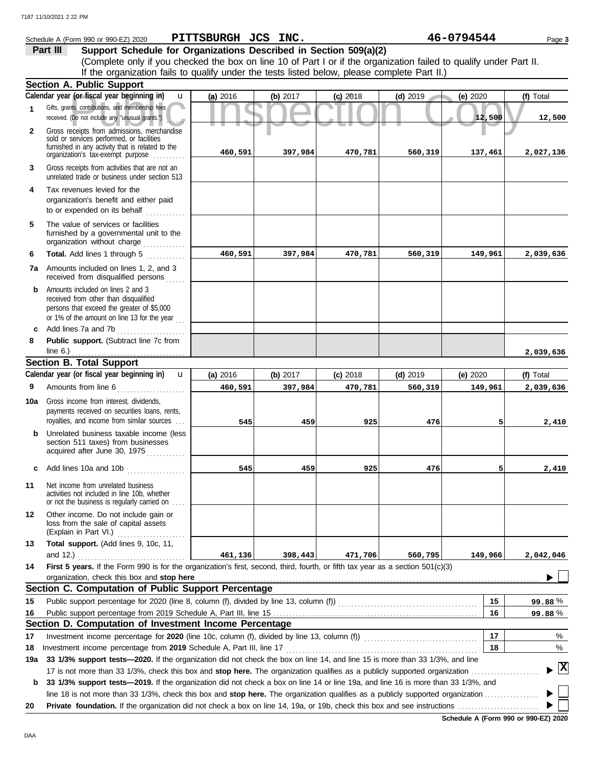|              | Schedule A (Form 990 or 990-EZ) 2020                                                                                                                                              | PITTSBURGH JCS INC. |            |            |            | 46-0794544 | Page 3       |
|--------------|-----------------------------------------------------------------------------------------------------------------------------------------------------------------------------------|---------------------|------------|------------|------------|------------|--------------|
|              | Support Schedule for Organizations Described in Section 509(a)(2)<br>Part III                                                                                                     |                     |            |            |            |            |              |
|              | (Complete only if you checked the box on line 10 of Part I or if the organization failed to qualify under Part II.                                                                |                     |            |            |            |            |              |
|              | If the organization fails to qualify under the tests listed below, please complete Part II.)                                                                                      |                     |            |            |            |            |              |
|              | Section A. Public Support                                                                                                                                                         |                     |            |            |            |            |              |
|              | Calendar year (or fiscal year beginning in)<br>u                                                                                                                                  | (a) 2016            | (b) $2017$ | $(c)$ 2018 | $(d)$ 2019 | (e) 2020   | (f) Total    |
| 1            | Gifts, grants, contributions, and membership fees<br>received. (Do not include any "unusual grants.")                                                                             |                     |            |            |            | 12,500     | 12,500       |
| $\mathbf{2}$ | Gross receipts from admissions, merchandise<br>sold or services performed, or facilities<br>furnished in any activity that is related to the<br>organization's tax-exempt purpose | 460,591             | 397,984    | 470,781    | 560,319    | 137,461    | 2,027,136    |
| 3            | Gross receipts from activities that are not an<br>unrelated trade or business under section 513                                                                                   |                     |            |            |            |            |              |
| 4            | Tax revenues levied for the<br>organization's benefit and either paid<br>to or expended on its behalf                                                                             |                     |            |            |            |            |              |
| 5            | The value of services or facilities<br>furnished by a governmental unit to the<br>organization without charge                                                                     |                     |            |            |            |            |              |
| 6            | Total. Add lines 1 through 5                                                                                                                                                      | 460,591             | 397,984    | 470,781    | 560,319    | 149,961    | 2,039,636    |
|              | 7a Amounts included on lines 1, 2, and 3<br>received from disqualified persons                                                                                                    |                     |            |            |            |            |              |
| b            | Amounts included on lines 2 and 3<br>received from other than disqualified<br>persons that exceed the greater of \$5,000<br>or 1% of the amount on line 13 for the year           |                     |            |            |            |            |              |
| c            | Add lines 7a and 7b                                                                                                                                                               |                     |            |            |            |            |              |
| 8            | Public support. (Subtract line 7c from<br>line $6.$ )                                                                                                                             |                     |            |            |            |            | 2,039,636    |
|              | <b>Section B. Total Support</b>                                                                                                                                                   |                     |            |            |            |            |              |
|              | Calendar year (or fiscal year beginning in)<br>$\mathbf{u}$                                                                                                                       | (a) 2016            | (b) 2017   | $(c)$ 2018 | $(d)$ 2019 | (e) 2020   | (f) Total    |
| 9            | Amounts from line 6<br>.                                                                                                                                                          | 460,591             | 397,984    | 470,781    | 560,319    | 149,961    | 2,039,636    |
| 10a          | Gross income from interest, dividends,<br>payments received on securities loans, rents,                                                                                           |                     |            |            |            |            |              |
|              | royalties, and income from similar sources                                                                                                                                        | 545                 | 459        | 925        | 476        | 5          | 2,410        |
|              | Unrelated business taxable income (less<br>section 511 taxes) from businesses<br>acquired after June 30, 1975<br>.                                                                |                     |            |            |            |            |              |
|              | Add lines 10a and 10b                                                                                                                                                             | 545                 | 459        | 925        | 476        |            | 2,410        |
| 11           | Net income from unrelated business<br>activities not included in line 10b, whether<br>or not the business is regularly carried on                                                 |                     |            |            |            |            |              |
| $12 \,$      | Other income. Do not include gain or<br>loss from the sale of capital assets<br>(Explain in Part VI.)                                                                             |                     |            |            |            |            |              |
| 13           | Total support. (Add lines 9, 10c, 11,<br>and 12.)                                                                                                                                 | 461,136             | 398,443    | 471,706    | 560,795    | 149,966    | 2,042,046    |
| 14           | First 5 years. If the Form 990 is for the organization's first, second, third, fourth, or fifth tax year as a section 501(c)(3)<br>organization, check this box and stop here     |                     |            |            |            |            |              |
|              | Section C. Computation of Public Support Percentage                                                                                                                               |                     |            |            |            |            |              |
| 15           |                                                                                                                                                                                   |                     |            |            |            | 15         | 99.88%       |
| 16           |                                                                                                                                                                                   |                     |            |            |            | 16         | 99.88%       |
|              | Section D. Computation of Investment Income Percentage                                                                                                                            |                     |            |            |            |            |              |
| 17           | Investment income percentage for 2020 (line 10c, column (f), divided by line 13, column (f)) [[[[[[[[[[[[[[[[                                                                     |                     |            |            |            | 17         | %            |
| 18           | Investment income percentage from 2019 Schedule A, Part III, line 17                                                                                                              |                     |            |            |            | 18         | %            |
| 19a          | 33 1/3% support tests—2020. If the organization did not check the box on line 14, and line 15 is more than 33 1/3%, and line                                                      |                     |            |            |            |            |              |
|              |                                                                                                                                                                                   |                     |            |            |            |            | $\mathbf{x}$ |
| b            | 33 1/3% support tests-2019. If the organization did not check a box on line 14 or line 19a, and line 16 is more than 33 1/3%, and                                                 |                     |            |            |            |            |              |
|              |                                                                                                                                                                                   |                     |            |            |            |            |              |
| 20           |                                                                                                                                                                                   |                     |            |            |            |            |              |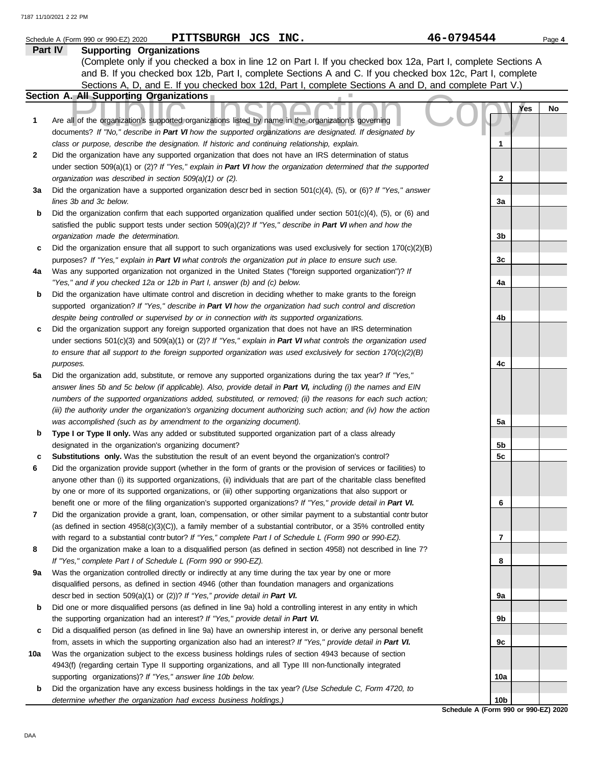|     | PITTSBURGH JCS INC.<br>Schedule A (Form 990 or 990-EZ) 2020                                                                                                                                                                       | 46-0794544                                              | Page 4 |
|-----|-----------------------------------------------------------------------------------------------------------------------------------------------------------------------------------------------------------------------------------|---------------------------------------------------------|--------|
|     | Part IV<br><b>Supporting Organizations</b>                                                                                                                                                                                        |                                                         |        |
|     | (Complete only if you checked a box in line 12 on Part I. If you checked box 12a, Part I, complete Sections A                                                                                                                     |                                                         |        |
|     | and B. If you checked box 12b, Part I, complete Sections A and C. If you checked box 12c, Part I, complete                                                                                                                        |                                                         |        |
|     | Sections A, D, and E. If you checked box 12d, Part I, complete Sections A and D, and complete Part V.)                                                                                                                            |                                                         |        |
|     | Section A. All Supporting Organizations                                                                                                                                                                                           |                                                         |        |
|     |                                                                                                                                                                                                                                   | Yes                                                     | No     |
| 1   | Are all of the organization's supported organizations listed by name in the organization's governing                                                                                                                              |                                                         |        |
|     | documents? If "No," describe in Part VI how the supported organizations are designated. If designated by                                                                                                                          |                                                         |        |
|     | class or purpose, describe the designation. If historic and continuing relationship, explain.                                                                                                                                     | 1                                                       |        |
| 2   | Did the organization have any supported organization that does not have an IRS determination of status<br>under section 509(a)(1) or (2)? If "Yes," explain in Part VI how the organization determined that the supported         |                                                         |        |
|     | organization was described in section 509(a)(1) or (2).                                                                                                                                                                           | $\mathbf{2}$                                            |        |
| За  | Did the organization have a supported organization descrbed in section $501(c)(4)$ , (5), or (6)? If "Yes," answer                                                                                                                |                                                         |        |
|     | lines 3b and 3c below.                                                                                                                                                                                                            | 3a                                                      |        |
| b   | Did the organization confirm that each supported organization qualified under section $501(c)(4)$ , $(5)$ , or $(6)$ and                                                                                                          |                                                         |        |
|     | satisfied the public support tests under section 509(a)(2)? If "Yes," describe in Part VI when and how the                                                                                                                        |                                                         |        |
|     | organization made the determination.                                                                                                                                                                                              | 3b                                                      |        |
| с   | Did the organization ensure that all support to such organizations was used exclusively for section $170(c)(2)(B)$                                                                                                                |                                                         |        |
|     | purposes? If "Yes," explain in Part VI what controls the organization put in place to ensure such use.                                                                                                                            | 3c                                                      |        |
| 4a  | Was any supported organization not organized in the United States ("foreign supported organization")? If                                                                                                                          |                                                         |        |
|     | "Yes," and if you checked 12a or 12b in Part I, answer (b) and (c) below.                                                                                                                                                         | 4a                                                      |        |
| b   | Did the organization have ultimate control and discretion in deciding whether to make grants to the foreign                                                                                                                       |                                                         |        |
|     | supported organization? If "Yes," describe in Part VI how the organization had such control and discretion                                                                                                                        |                                                         |        |
|     | despite being controlled or supervised by or in connection with its supported organizations.                                                                                                                                      | 4b                                                      |        |
| с   | Did the organization support any foreign supported organization that does not have an IRS determination                                                                                                                           |                                                         |        |
|     | under sections $501(c)(3)$ and $509(a)(1)$ or (2)? If "Yes," explain in Part VI what controls the organization used                                                                                                               |                                                         |        |
|     | to ensure that all support to the foreign supported organization was used exclusively for section $170(c)(2)(B)$                                                                                                                  |                                                         |        |
|     | purposes.                                                                                                                                                                                                                         | 4c                                                      |        |
| 5a  | Did the organization add, substitute, or remove any supported organizations during the tax year? If "Yes,"                                                                                                                        |                                                         |        |
|     | answer lines 5b and 5c below (if applicable). Also, provide detail in Part VI, including (i) the names and EIN                                                                                                                    |                                                         |        |
|     | numbers of the supported organizations added, substituted, or removed; (ii) the reasons for each such action;                                                                                                                     |                                                         |        |
|     | (iii) the authority under the organization's organizing document authorizing such action; and (iv) how the action                                                                                                                 |                                                         |        |
|     | was accomplished (such as by amendment to the organizing document).                                                                                                                                                               | 5a                                                      |        |
| b   | Type I or Type II only. Was any added or substituted supported organization part of a class already                                                                                                                               |                                                         |        |
|     | designated in the organization's organizing document?                                                                                                                                                                             | 5b                                                      |        |
|     | <b>Substitutions only.</b> Was the substitution the result of an event beyond the organization's control?                                                                                                                         | 5c                                                      |        |
| 6   | Did the organization provide support (whether in the form of grants or the provision of services or facilities) to                                                                                                                |                                                         |        |
|     | anyone other than (i) its supported organizations, (ii) individuals that are part of the charitable class benefited                                                                                                               |                                                         |        |
|     | by one or more of its supported organizations, or (iii) other supporting organizations that also support or                                                                                                                       | 6                                                       |        |
| 7   | benefit one or more of the filing organization's supported organizations? If "Yes," provide detail in Part VI.<br>Did the organization provide a grant, loan, compensation, or other similar payment to a substantial contributor |                                                         |        |
|     | (as defined in section $4958(c)(3)(C)$ ), a family member of a substantial contributor, or a 35% controlled entity                                                                                                                |                                                         |        |
|     | with regard to a substantial contr butor? If "Yes," complete Part I of Schedule L (Form 990 or 990-EZ).                                                                                                                           | 7                                                       |        |
| 8   | Did the organization make a loan to a disqualified person (as defined in section 4958) not described in line 7?                                                                                                                   |                                                         |        |
|     | If "Yes," complete Part I of Schedule L (Form 990 or 990-EZ).                                                                                                                                                                     | 8                                                       |        |
| 9a  | Was the organization controlled directly or indirectly at any time during the tax year by one or more                                                                                                                             |                                                         |        |
|     | disqualified persons, as defined in section 4946 (other than foundation managers and organizations                                                                                                                                |                                                         |        |
|     | descr bed in section 509(a)(1) or (2))? If "Yes," provide detail in Part VI.                                                                                                                                                      | 9а                                                      |        |
| b   | Did one or more disqualified persons (as defined in line 9a) hold a controlling interest in any entity in which                                                                                                                   |                                                         |        |
|     | the supporting organization had an interest? If "Yes," provide detail in Part VI.                                                                                                                                                 | 9b                                                      |        |
| с   | Did a disqualified person (as defined in line 9a) have an ownership interest in, or derive any personal benefit                                                                                                                   |                                                         |        |
|     | from, assets in which the supporting organization also had an interest? If "Yes," provide detail in Part VI.                                                                                                                      | 9с                                                      |        |
| 10a | Was the organization subject to the excess business holdings rules of section 4943 because of section                                                                                                                             |                                                         |        |
|     | 4943(f) (regarding certain Type II supporting organizations, and all Type III non-functionally integrated                                                                                                                         |                                                         |        |
|     | supporting organizations)? If "Yes," answer line 10b below.                                                                                                                                                                       | 10a                                                     |        |
| b   | Did the organization have any excess business holdings in the tax year? (Use Schedule C, Form 4720, to                                                                                                                            |                                                         |        |
|     | determine whether the organization had excess business holdings.)                                                                                                                                                                 | 10 <sub>b</sub><br>Schodule A (Form 990 or 990-F7) 2020 |        |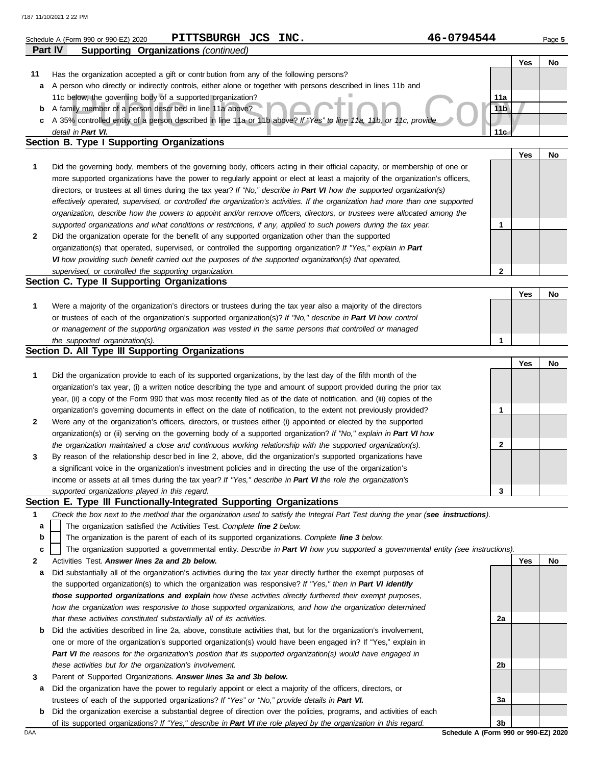|         | 46-0794544<br>PITTSBURGH JCS INC.<br>Schedule A (Form 990 or 990-EZ) 2020                                                         |                 |            | Page 5 |
|---------|-----------------------------------------------------------------------------------------------------------------------------------|-----------------|------------|--------|
| Part IV | <b>Supporting Organizations (continued)</b>                                                                                       |                 |            |        |
|         |                                                                                                                                   |                 | Yes        | No     |
| 11      | Has the organization accepted a gift or contribution from any of the following persons?                                           |                 |            |        |
| а       | A person who directly or indirectly controls, either alone or together with persons described in lines 11b and                    |                 |            |        |
|         | 11c below, the governing body of a supported organization?                                                                        | 11a             |            |        |
| b       | A family member of a person descrbed in line 11a above?                                                                           | 11 <sub>b</sub> |            |        |
|         | c A 35% controlled entity of a person described in line 11a or 11b above? If "Yes" to line 11a, 11b, or 11c, provide              |                 |            |        |
|         | detail in Part VI.                                                                                                                | 11 <sub>c</sub> |            |        |
|         | <b>Section B. Type I Supporting Organizations</b>                                                                                 |                 |            |        |
|         |                                                                                                                                   |                 | <b>Yes</b> | No     |
| 1       | Did the governing body, members of the governing body, officers acting in their official capacity, or membership of one or        |                 |            |        |
|         | more supported organizations have the power to regularly appoint or elect at least a majority of the organization's officers,     |                 |            |        |
|         | directors, or trustees at all times during the tax year? If "No," describe in Part VI how the supported organization(s)           |                 |            |        |
|         | effectively operated, supervised, or controlled the organization's activities. If the organization had more than one supported    |                 |            |        |
|         | organization, describe how the powers to appoint and/or remove officers, directors, or trustees were allocated among the          |                 |            |        |
|         | supported organizations and what conditions or restrictions, if any, applied to such powers during the tax year.                  | 1               |            |        |
| 2       | Did the organization operate for the benefit of any supported organization other than the supported                               |                 |            |        |
|         | organization(s) that operated, supervised, or controlled the supporting organization? If "Yes," explain in Part                   |                 |            |        |
|         | VI how providing such benefit carried out the purposes of the supported organization(s) that operated,                            |                 |            |        |
|         | supervised, or controlled the supporting organization.                                                                            | $\mathbf{2}$    |            |        |
|         | Section C. Type II Supporting Organizations                                                                                       |                 |            |        |
|         |                                                                                                                                   |                 | Yes        | No     |
| 1       | Were a majority of the organization's directors or trustees during the tax year also a majority of the directors                  |                 |            |        |
|         | or trustees of each of the organization's supported organization(s)? If "No," describe in Part VI how control                     |                 |            |        |
|         | or management of the supporting organization was vested in the same persons that controlled or managed                            |                 |            |        |
|         | the supported organization(s).                                                                                                    | 1               |            |        |
|         | Section D. All Type III Supporting Organizations                                                                                  |                 |            |        |
|         |                                                                                                                                   |                 | Yes        | No     |
| 1       | Did the organization provide to each of its supported organizations, by the last day of the fifth month of the                    |                 |            |        |
|         | organization's tax year, (i) a written notice describing the type and amount of support provided during the prior tax             |                 |            |        |
|         | year, (ii) a copy of the Form 990 that was most recently filed as of the date of notification, and (iii) copies of the            |                 |            |        |
|         | organization's governing documents in effect on the date of notification, to the extent not previously provided?                  | 1               |            |        |
| 2       | Were any of the organization's officers, directors, or trustees either (i) appointed or elected by the supported                  |                 |            |        |
|         | organization(s) or (ii) serving on the governing body of a supported organization? If "No," explain in Part VI how                |                 |            |        |
|         | the organization maintained a close and continuous working relationship with the supported organization(s).                       | 2               |            |        |
| 3       | By reason of the relationship descr bed in line 2, above, did the organization's supported organizations have                     |                 |            |        |
|         | a significant voice in the organization's investment policies and in directing the use of the organization's                      |                 |            |        |
|         | income or assets at all times during the tax year? If "Yes," describe in Part VI the role the organization's                      |                 |            |        |
|         | supported organizations played in this regard.                                                                                    | 3               |            |        |
|         | Section E. Type III Functionally-Integrated Supporting Organizations                                                              |                 |            |        |
| 1       | Check the box next to the method that the organization used to satisfy the Integral Part Test during the year (see instructions). |                 |            |        |
| a       | The organization satisfied the Activities Test. Complete line 2 below.                                                            |                 |            |        |
| b       | The organization is the parent of each of its supported organizations. Complete line 3 below.                                     |                 |            |        |
| c       | The organization supported a governmental entity. Describe in Part VI how you supported a governmental entity (see instructions). |                 |            |        |
| 2       | Activities Test. Answer lines 2a and 2b below.                                                                                    |                 | Yes        | No     |
| а       | Did substantially all of the organization's activities during the tax year directly further the exempt purposes of                |                 |            |        |
|         | the supported organization(s) to which the organization was responsive? If "Yes," then in Part VI identify                        |                 |            |        |
|         | those supported organizations and explain how these activities directly furthered their exempt purposes,                          |                 |            |        |
|         | how the organization was responsive to those supported organizations, and how the organization determined                         |                 |            |        |
|         | that these activities constituted substantially all of its activities.                                                            | 2a              |            |        |
| b       | Did the activities described in line 2a, above, constitute activities that, but for the organization's involvement,               |                 |            |        |
|         | one or more of the organization's supported organization(s) would have been engaged in? If "Yes," explain in                      |                 |            |        |
|         | Part VI the reasons for the organization's position that its supported organization(s) would have engaged in                      |                 |            |        |
|         | these activities but for the organization's involvement.                                                                          | 2b              |            |        |
| 3       | Parent of Supported Organizations. Answer lines 3a and 3b below.                                                                  |                 |            |        |
| а       | Did the organization have the power to regularly appoint or elect a majority of the officers, directors, or                       |                 |            |        |
|         | trustees of each of the supported organizations? If "Yes" or "No," provide details in Part VI.                                    | За              |            |        |
| b       | Did the organization exercise a substantial degree of direction over the policies, programs, and activities of each               |                 |            |        |

of its supported organizations? *If "Yes," describe in Part VI the role played by the organization in this regard.*

DAA **Schedule A (Form 990 or 990-EZ) 2020 3b**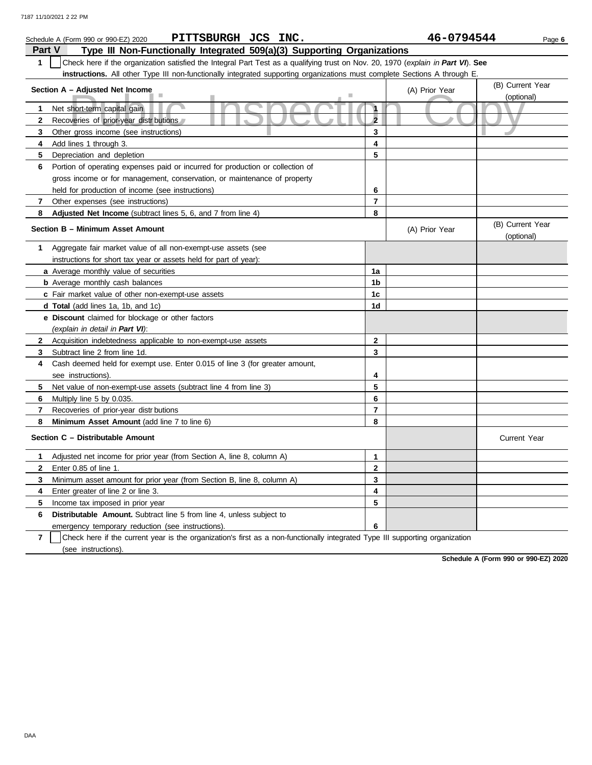|              | PITTSBURGH JCS INC.<br>Schedule A (Form 990 or 990-EZ) 2020                                                                      |                | 46-0794544     | Page 6                         |
|--------------|----------------------------------------------------------------------------------------------------------------------------------|----------------|----------------|--------------------------------|
| Part V       | Type III Non-Functionally Integrated 509(a)(3) Supporting Organizations                                                          |                |                |                                |
| $\mathbf{1}$ | Check here if the organization satisfied the Integral Part Test as a qualifying trust on Nov. 20, 1970 (explain in Part VI). See |                |                |                                |
|              | instructions. All other Type III non-functionally integrated supporting organizations must complete Sections A through E.        |                |                |                                |
|              | Section A - Adjusted Net Income                                                                                                  |                | (A) Prior Year | (B) Current Year               |
|              |                                                                                                                                  |                |                | (optional)                     |
| 1            | Net short-term capital gain                                                                                                      | $\mathbf{A}$   |                |                                |
| $\mathbf{2}$ | Recoveries of prior-year distributions                                                                                           | $\overline{2}$ |                |                                |
| 3            | Other gross income (see instructions)                                                                                            | 3              |                |                                |
| 4            | Add lines 1 through 3.                                                                                                           | 4              |                |                                |
| 5            | Depreciation and depletion                                                                                                       | 5              |                |                                |
| 6            | Portion of operating expenses paid or incurred for production or collection of                                                   |                |                |                                |
|              | gross income or for management, conservation, or maintenance of property                                                         |                |                |                                |
|              | held for production of income (see instructions)                                                                                 | 6              |                |                                |
| 7            | Other expenses (see instructions)                                                                                                | $\overline{7}$ |                |                                |
| 8            | Adjusted Net Income (subtract lines 5, 6, and 7 from line 4)                                                                     | 8              |                |                                |
|              | Section B - Minimum Asset Amount                                                                                                 |                | (A) Prior Year | (B) Current Year<br>(optional) |
| 1            | Aggregate fair market value of all non-exempt-use assets (see                                                                    |                |                |                                |
|              | instructions for short tax year or assets held for part of year):                                                                |                |                |                                |
|              | a Average monthly value of securities                                                                                            | 1a             |                |                                |
|              | <b>b</b> Average monthly cash balances                                                                                           | 1b             |                |                                |
|              | c Fair market value of other non-exempt-use assets                                                                               | 1c             |                |                                |
|              | d Total (add lines 1a, 1b, and 1c)                                                                                               | 1 <sub>d</sub> |                |                                |
|              | e Discount claimed for blockage or other factors                                                                                 |                |                |                                |
|              | (explain in detail in Part VI):                                                                                                  |                |                |                                |
| $\mathbf{2}$ | Acquisition indebtedness applicable to non-exempt-use assets                                                                     | $\mathbf{2}$   |                |                                |
| 3            | Subtract line 2 from line 1d.                                                                                                    | 3              |                |                                |
| 4            | Cash deemed held for exempt use. Enter 0.015 of line 3 (for greater amount,                                                      |                |                |                                |
|              | see instructions).                                                                                                               | 4              |                |                                |
| 5            | Net value of non-exempt-use assets (subtract line 4 from line 3)                                                                 | 5              |                |                                |
| 6            | Multiply line 5 by 0.035.                                                                                                        | 6              |                |                                |
| 7            | Recoveries of prior-year distrbutions                                                                                            | $\overline{7}$ |                |                                |
| 8            | Minimum Asset Amount (add line 7 to line 6)                                                                                      | 8              |                |                                |
|              | Section C - Distributable Amount                                                                                                 |                |                | <b>Current Year</b>            |
| 1            | Adjusted net income for prior year (from Section A, line 8, column A)                                                            | $\mathbf{1}$   |                |                                |
| $\mathbf{2}$ | Enter 0.85 of line 1.                                                                                                            | $\mathbf 2$    |                |                                |
| 3            | Minimum asset amount for prior year (from Section B, line 8, column A)                                                           | 3              |                |                                |
| 4            | Enter greater of line 2 or line 3.                                                                                               | 4              |                |                                |
| 5            | Income tax imposed in prior year                                                                                                 | 5              |                |                                |
| 6            | <b>Distributable Amount.</b> Subtract line 5 from line 4, unless subject to                                                      |                |                |                                |
|              | emergency temporary reduction (see instructions).                                                                                | 6              |                |                                |

**7** | Check here if the current year is the organization's first as a non-functionally integrated Type III supporting organization (see instructions).

**Schedule A (Form 990 or 990-EZ) 2020**

DAA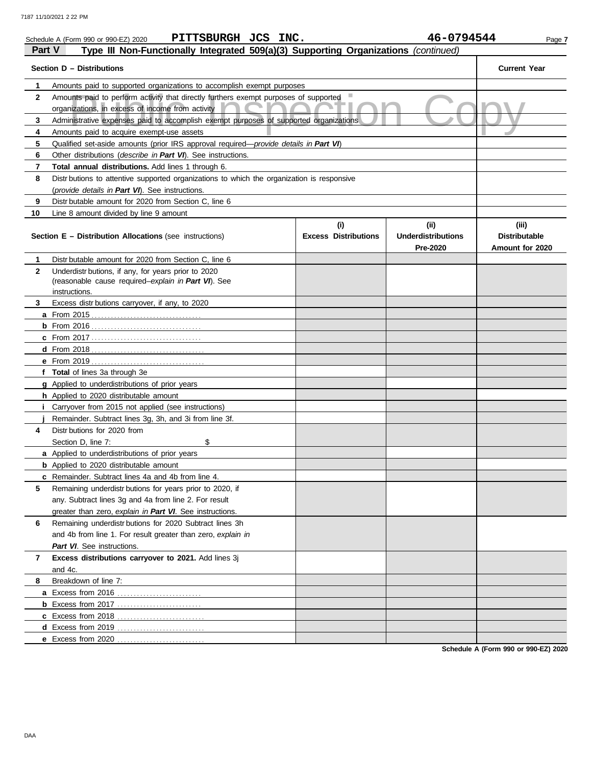|              | PITTSBURGH JCS INC.<br>Schedule A (Form 990 or 990-EZ) 2020                                                                              |                                    | 46-0794544                                    | Page 7                                           |  |  |  |  |  |  |
|--------------|------------------------------------------------------------------------------------------------------------------------------------------|------------------------------------|-----------------------------------------------|--------------------------------------------------|--|--|--|--|--|--|
| Part V       | Type III Non-Functionally Integrated 509(a)(3) Supporting Organizations (continued)                                                      |                                    |                                               |                                                  |  |  |  |  |  |  |
|              | Section D - Distributions                                                                                                                |                                    |                                               | <b>Current Year</b>                              |  |  |  |  |  |  |
| 1            | Amounts paid to supported organizations to accomplish exempt purposes                                                                    |                                    |                                               |                                                  |  |  |  |  |  |  |
| $\mathbf{2}$ | Amounts paid to perform activity that directly furthers exempt purposes of supported<br>organizations, in excess of income from activity |                                    |                                               |                                                  |  |  |  |  |  |  |
| 3            | Administrative expenses paid to accomplish exempt purposes of supported organizations                                                    |                                    |                                               |                                                  |  |  |  |  |  |  |
| 4            | Amounts paid to acquire exempt-use assets                                                                                                |                                    |                                               |                                                  |  |  |  |  |  |  |
| 5            | Qualified set-aside amounts (prior IRS approval required—provide details in Part VI)                                                     |                                    |                                               |                                                  |  |  |  |  |  |  |
| 6            | Other distributions (describe in Part VI). See instructions.                                                                             |                                    |                                               |                                                  |  |  |  |  |  |  |
| 7            | Total annual distributions. Add lines 1 through 6.                                                                                       |                                    |                                               |                                                  |  |  |  |  |  |  |
| 8            | Distr butions to attentive supported organizations to which the organization is responsive                                               |                                    |                                               |                                                  |  |  |  |  |  |  |
|              | (provide details in Part VI). See instructions.                                                                                          |                                    |                                               |                                                  |  |  |  |  |  |  |
| 9            | Distr butable amount for 2020 from Section C, line 6                                                                                     |                                    |                                               |                                                  |  |  |  |  |  |  |
| 10           | Line 8 amount divided by line 9 amount                                                                                                   |                                    |                                               |                                                  |  |  |  |  |  |  |
|              | <b>Section E – Distribution Allocations</b> (see instructions)                                                                           | (i)<br><b>Excess Distributions</b> | (ii)<br><b>Underdistributions</b><br>Pre-2020 | (iii)<br><b>Distributable</b><br>Amount for 2020 |  |  |  |  |  |  |
| 1            | Distr butable amount for 2020 from Section C, line 6                                                                                     |                                    |                                               |                                                  |  |  |  |  |  |  |
| $\mathbf{2}$ | Underdistr butions, if any, for years prior to 2020                                                                                      |                                    |                                               |                                                  |  |  |  |  |  |  |
|              | (reasonable cause required-explain in Part VI). See                                                                                      |                                    |                                               |                                                  |  |  |  |  |  |  |
|              | instructions.                                                                                                                            |                                    |                                               |                                                  |  |  |  |  |  |  |
| 3            | Excess distributions carryover, if any, to 2020                                                                                          |                                    |                                               |                                                  |  |  |  |  |  |  |
|              |                                                                                                                                          |                                    |                                               |                                                  |  |  |  |  |  |  |
|              |                                                                                                                                          |                                    |                                               |                                                  |  |  |  |  |  |  |
|              |                                                                                                                                          |                                    |                                               |                                                  |  |  |  |  |  |  |
|              |                                                                                                                                          |                                    |                                               |                                                  |  |  |  |  |  |  |
|              |                                                                                                                                          |                                    |                                               |                                                  |  |  |  |  |  |  |
|              | f Total of lines 3a through 3e<br>g Applied to underdistributions of prior years                                                         |                                    |                                               |                                                  |  |  |  |  |  |  |
|              | h Applied to 2020 distributable amount                                                                                                   |                                    |                                               |                                                  |  |  |  |  |  |  |
|              | <i>i</i> Carryover from 2015 not applied (see instructions)                                                                              |                                    |                                               |                                                  |  |  |  |  |  |  |
|              | Remainder. Subtract lines 3g, 3h, and 3i from line 3f.                                                                                   |                                    |                                               |                                                  |  |  |  |  |  |  |
| 4            | Distr butions for 2020 from                                                                                                              |                                    |                                               |                                                  |  |  |  |  |  |  |
|              | Section D, line 7:<br>\$                                                                                                                 |                                    |                                               |                                                  |  |  |  |  |  |  |
|              | a Applied to underdistributions of prior years                                                                                           |                                    |                                               |                                                  |  |  |  |  |  |  |
|              | <b>b</b> Applied to 2020 distributable amount                                                                                            |                                    |                                               |                                                  |  |  |  |  |  |  |
|              | c Remainder. Subtract lines 4a and 4b from line 4.                                                                                       |                                    |                                               |                                                  |  |  |  |  |  |  |
| 5            | Remaining underdistr butions for years prior to 2020, if                                                                                 |                                    |                                               |                                                  |  |  |  |  |  |  |
|              | any. Subtract lines 3g and 4a from line 2. For result                                                                                    |                                    |                                               |                                                  |  |  |  |  |  |  |
|              | greater than zero, explain in Part VI. See instructions.                                                                                 |                                    |                                               |                                                  |  |  |  |  |  |  |
| 6            | Remaining underdistr butions for 2020 Subtract lines 3h                                                                                  |                                    |                                               |                                                  |  |  |  |  |  |  |
|              | and 4b from line 1. For result greater than zero, explain in                                                                             |                                    |                                               |                                                  |  |  |  |  |  |  |
|              | Part VI. See instructions.                                                                                                               |                                    |                                               |                                                  |  |  |  |  |  |  |
| 7            | Excess distributions carryover to 2021. Add lines 3j                                                                                     |                                    |                                               |                                                  |  |  |  |  |  |  |
|              | and 4c.                                                                                                                                  |                                    |                                               |                                                  |  |  |  |  |  |  |
| 8            | Breakdown of line 7:                                                                                                                     |                                    |                                               |                                                  |  |  |  |  |  |  |
|              |                                                                                                                                          |                                    |                                               |                                                  |  |  |  |  |  |  |
|              |                                                                                                                                          |                                    |                                               |                                                  |  |  |  |  |  |  |
|              |                                                                                                                                          |                                    |                                               |                                                  |  |  |  |  |  |  |
|              | d Excess from 2019                                                                                                                       |                                    |                                               |                                                  |  |  |  |  |  |  |
|              | e Excess from 2020                                                                                                                       |                                    |                                               |                                                  |  |  |  |  |  |  |
|              |                                                                                                                                          |                                    |                                               |                                                  |  |  |  |  |  |  |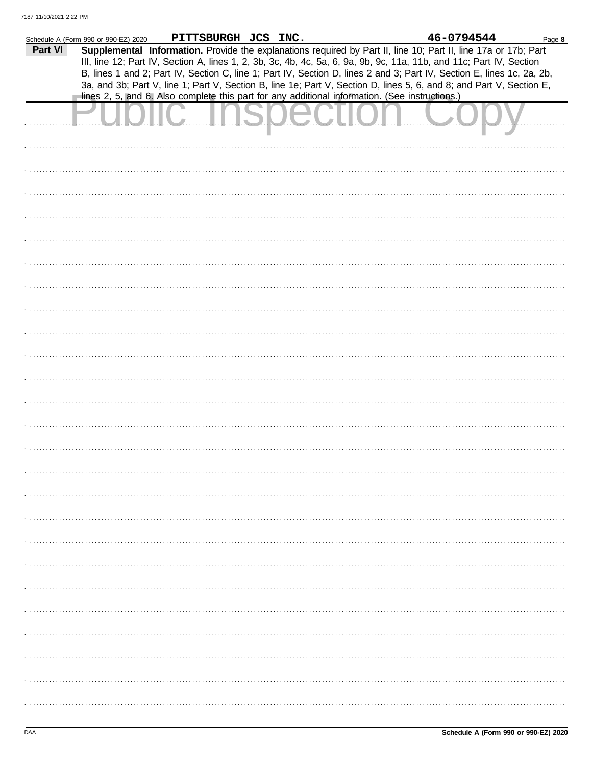|         | Schedule A (Form 990 or 990-EZ) 2020 | PITTSBURGH JCS INC.                                                                                                                                                                                                                     |  | 46-0794544 | Page 8 |
|---------|--------------------------------------|-----------------------------------------------------------------------------------------------------------------------------------------------------------------------------------------------------------------------------------------|--|------------|--------|
| Part VI |                                      | Supplemental Information. Provide the explanations required by Part II, line 10; Part II, line 17a or 17b; Part<br>III, line 12; Part IV, Section A, lines 1, 2, 3b, 3c, 4b, 4c, 5a, 6, 9a, 9b, 9c, 11a, 11b, and 11c; Part IV, Section |  |            |        |
|         |                                      | B, lines 1 and 2; Part IV, Section C, line 1; Part IV, Section D, lines 2 and 3; Part IV, Section E, lines 1c, 2a, 2b,                                                                                                                  |  |            |        |
|         |                                      | 3a, and 3b; Part V, line 1; Part V, Section B, line 1e; Part V, Section D, lines 5, 6, and 8; and Part V, Section E,<br>lines 2, 5, and 6. Also complete this part for any additional information. (See instructions.)                  |  |            |        |
|         |                                      |                                                                                                                                                                                                                                         |  |            |        |
|         |                                      |                                                                                                                                                                                                                                         |  |            |        |
|         |                                      |                                                                                                                                                                                                                                         |  |            |        |
|         |                                      |                                                                                                                                                                                                                                         |  |            |        |
|         |                                      |                                                                                                                                                                                                                                         |  |            |        |
|         |                                      |                                                                                                                                                                                                                                         |  |            |        |
|         |                                      |                                                                                                                                                                                                                                         |  |            |        |
|         |                                      |                                                                                                                                                                                                                                         |  |            |        |
|         |                                      |                                                                                                                                                                                                                                         |  |            |        |
|         |                                      |                                                                                                                                                                                                                                         |  |            |        |
|         |                                      |                                                                                                                                                                                                                                         |  |            |        |
|         |                                      |                                                                                                                                                                                                                                         |  |            |        |
|         |                                      |                                                                                                                                                                                                                                         |  |            |        |
|         |                                      |                                                                                                                                                                                                                                         |  |            |        |
|         |                                      |                                                                                                                                                                                                                                         |  |            |        |
|         |                                      |                                                                                                                                                                                                                                         |  |            |        |
|         |                                      |                                                                                                                                                                                                                                         |  |            |        |
|         |                                      |                                                                                                                                                                                                                                         |  |            |        |
|         |                                      |                                                                                                                                                                                                                                         |  |            |        |
|         |                                      |                                                                                                                                                                                                                                         |  |            |        |
|         |                                      |                                                                                                                                                                                                                                         |  |            |        |
|         |                                      |                                                                                                                                                                                                                                         |  |            |        |
|         |                                      |                                                                                                                                                                                                                                         |  |            |        |
|         |                                      |                                                                                                                                                                                                                                         |  |            |        |
|         |                                      |                                                                                                                                                                                                                                         |  |            |        |
|         |                                      |                                                                                                                                                                                                                                         |  |            |        |
|         |                                      |                                                                                                                                                                                                                                         |  |            |        |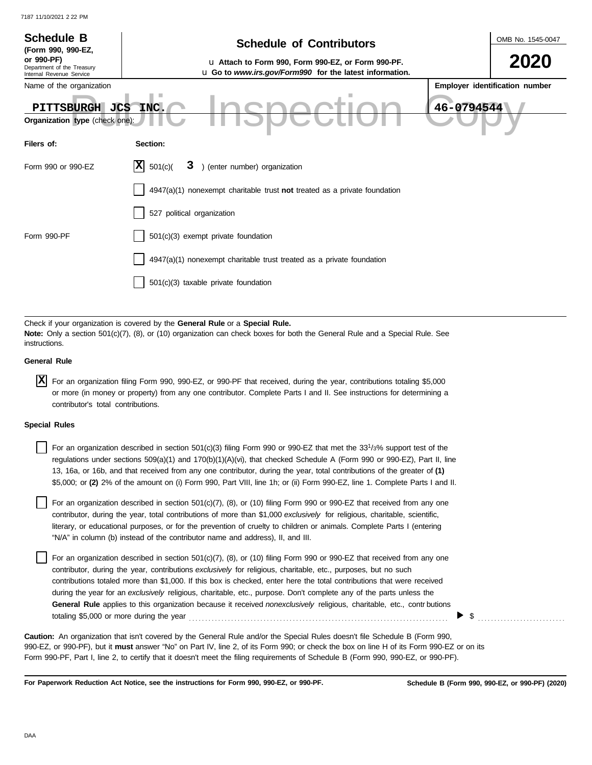| <b>Schedule B</b><br>(Form 990, 990-EZ,<br>or 990-PF)                               | <b>Schedule of Contributors</b><br>u Attach to Form 990, Form 990-EZ, or Form 990-PF.                                                                                                                                                                                                                                                                                                                                                                                                                                   | OMB No. 1545-0047              |
|-------------------------------------------------------------------------------------|-------------------------------------------------------------------------------------------------------------------------------------------------------------------------------------------------------------------------------------------------------------------------------------------------------------------------------------------------------------------------------------------------------------------------------------------------------------------------------------------------------------------------|--------------------------------|
| Department of the Treasury<br>Internal Revenue Service                              | u Go to www.irs.gov/Form990 for the latest information.                                                                                                                                                                                                                                                                                                                                                                                                                                                                 |                                |
| Name of the organization<br>PITTSBURGH JCS<br><b>Organization type</b> (check one): | 46-0794544<br>INC.                                                                                                                                                                                                                                                                                                                                                                                                                                                                                                      | Employer identification number |
| Filers of:                                                                          | Section:                                                                                                                                                                                                                                                                                                                                                                                                                                                                                                                |                                |
| Form 990 or 990-EZ                                                                  | IXI<br>3 ) (enter number) organization<br>501(c)                                                                                                                                                                                                                                                                                                                                                                                                                                                                        |                                |
|                                                                                     | 4947(a)(1) nonexempt charitable trust not treated as a private foundation                                                                                                                                                                                                                                                                                                                                                                                                                                               |                                |
|                                                                                     | 527 political organization                                                                                                                                                                                                                                                                                                                                                                                                                                                                                              |                                |
| Form 990-PF                                                                         | 501(c)(3) exempt private foundation                                                                                                                                                                                                                                                                                                                                                                                                                                                                                     |                                |
|                                                                                     | 4947(a)(1) nonexempt charitable trust treated as a private foundation                                                                                                                                                                                                                                                                                                                                                                                                                                                   |                                |
|                                                                                     | 501(c)(3) taxable private foundation                                                                                                                                                                                                                                                                                                                                                                                                                                                                                    |                                |
| instructions.                                                                       | Check if your organization is covered by the General Rule or a Special Rule.<br>Note: Only a section 501(c)(7), (8), or (10) organization can check boxes for both the General Rule and a Special Rule. See                                                                                                                                                                                                                                                                                                             |                                |
| <b>General Rule</b>                                                                 |                                                                                                                                                                                                                                                                                                                                                                                                                                                                                                                         |                                |
| ΙX<br>contributor's total contributions.                                            | For an organization filing Form 990, 990-EZ, or 990-PF that received, during the year, contributions totaling \$5,000<br>or more (in money or property) from any one contributor. Complete Parts I and II. See instructions for determining a                                                                                                                                                                                                                                                                           |                                |
| <b>Special Rules</b>                                                                |                                                                                                                                                                                                                                                                                                                                                                                                                                                                                                                         |                                |
|                                                                                     | For an organization described in section $501(c)(3)$ filing Form 990 or 990-EZ that met the 33 <sup>1</sup> /3% support test of the<br>regulations under sections 509(a)(1) and 170(b)(1)(A)(vi), that checked Schedule A (Form 990 or 990-EZ), Part II, line<br>13, 16a, or 16b, and that received from any one contributor, during the year, total contributions of the greater of (1)<br>\$5,000; or (2) 2% of the amount on (i) Form 990, Part VIII, line 1h; or (ii) Form 990-EZ, line 1. Complete Parts I and II. |                                |
|                                                                                     | For an organization described in section 501(c)(7), (8), or (10) filing Form 990 or 990-EZ that received from any one<br>contributor, during the year, total contributions of more than \$1,000 exclusively for religious, charitable, scientific,<br>literary, or educational purposes, or for the prevention of cruelty to children or animals. Complete Parts I (entering<br>"N/A" in column (b) instead of the contributor name and address), II, and III.                                                          |                                |
|                                                                                     | For an organization described in section 501(c)(7), (8), or (10) filing Form 990 or 990-EZ that received from any one<br>contributor during the year, contributions evaluations for religious charitable ate, purposes but no such                                                                                                                                                                                                                                                                                      |                                |

contributor, during the year, contributions *exclusively* for religious, charitable, etc., purposes, but no such contributions totaled more than \$1,000. If this box is checked, enter here the total contributions that were received during the year for an *exclusively* religious, charitable, etc., purpose. Don't complete any of the parts unless the **General Rule** applies to this organization because it received *nonexclusively* religious, charitable, etc., contr butions totaling \$5,000 or more during the year . . . . . . . . . . . . . . . . . . . . . . . . . . . . . . . . . . . . . . . . . . . . . . . . . . . . . . . . . . . . . . . . . . . . . . . . . . . . . . . . \$ . . . . . . . . . . . . . . . . . . . . . . . . . . .

990-EZ, or 990-PF), but it **must** answer "No" on Part IV, line 2, of its Form 990; or check the box on line H of its Form 990-EZ or on its Form 990-PF, Part I, line 2, to certify that it doesn't meet the filing requirements of Schedule B (Form 990, 990-EZ, or 990-PF). **Caution:** An organization that isn't covered by the General Rule and/or the Special Rules doesn't file Schedule B (Form 990,

**For Paperwork Reduction Act Notice, see the instructions for Form 990, 990-EZ, or 990-PF.**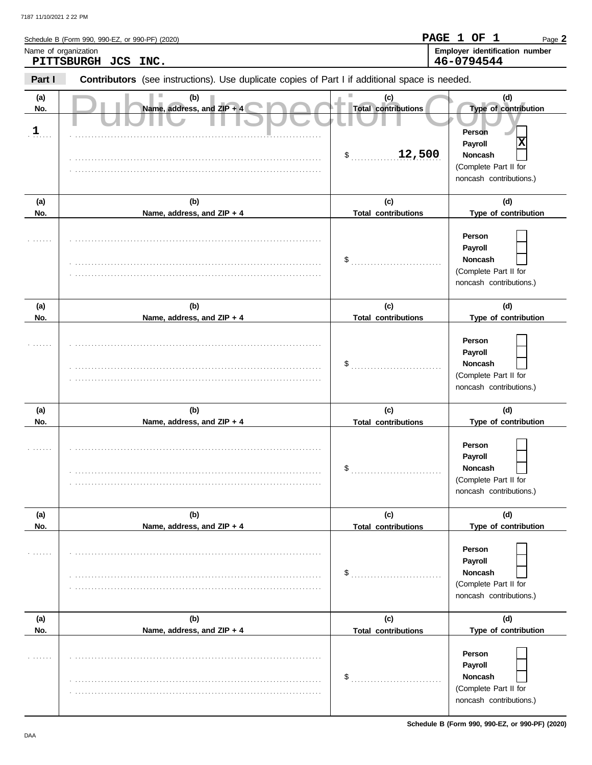|                            | Schedule B (Form 990, 990-EZ, or 990-PF) (2020)                                                |                                                   | PAGE 1 OF 1<br>Page 2                                                                                                |
|----------------------------|------------------------------------------------------------------------------------------------|---------------------------------------------------|----------------------------------------------------------------------------------------------------------------------|
|                            | Name of organization<br>PITTSBURGH JCS INC.                                                    |                                                   | Employer identification number<br>46-0794544                                                                         |
| Part I                     | Contributors (see instructions). Use duplicate copies of Part I if additional space is needed. |                                                   |                                                                                                                      |
| (a)<br>No.<br>$\mathbf{1}$ | (b)<br>Name, address, and ZIP + 4                                                              | (c)<br><b>Total contributions</b><br>12,500<br>\$ | (d)<br>Type of contribution<br>Person<br>X<br>Payroll<br>Noncash<br>(Complete Part II for<br>noncash contributions.) |
| (a)<br>No.                 | (b)<br>Name, address, and ZIP + 4                                                              | (c)<br><b>Total contributions</b>                 | (d)<br>Type of contribution                                                                                          |
|                            |                                                                                                | \$                                                | Person<br>Payroll<br><b>Noncash</b><br>(Complete Part II for<br>noncash contributions.)                              |
| (a)                        | (b)                                                                                            | (c)                                               | (d)                                                                                                                  |
| No.                        | Name, address, and ZIP + 4                                                                     | <b>Total contributions</b>                        | Type of contribution                                                                                                 |
|                            |                                                                                                | \$                                                | Person<br>Payroll<br>Noncash<br>(Complete Part II for<br>noncash contributions.)                                     |
| (a)                        | (b)                                                                                            | (c)                                               | (d)                                                                                                                  |
| No.                        | Name, address, and ZIP + 4                                                                     | <b>Total contributions</b>                        | Type of contribution                                                                                                 |
|                            |                                                                                                | \$                                                | Person<br><b>Payroll</b><br>Noncash<br>(Complete Part II for<br>noncash contributions.)                              |
| (a)                        | (b)                                                                                            | (c)                                               | (d)                                                                                                                  |
| No.                        | Name, address, and ZIP + 4                                                                     | <b>Total contributions</b>                        | Type of contribution<br>Person<br>Payroll                                                                            |
|                            |                                                                                                | \$                                                | Noncash<br>(Complete Part II for<br>noncash contributions.)                                                          |
| (a)                        | (b)                                                                                            | (c)                                               | (d)                                                                                                                  |
| No.                        | Name, address, and ZIP + 4                                                                     | <b>Total contributions</b>                        | Type of contribution                                                                                                 |
|                            |                                                                                                | \$                                                | Person<br>Payroll<br>Noncash<br>(Complete Part II for<br>noncash contributions.)                                     |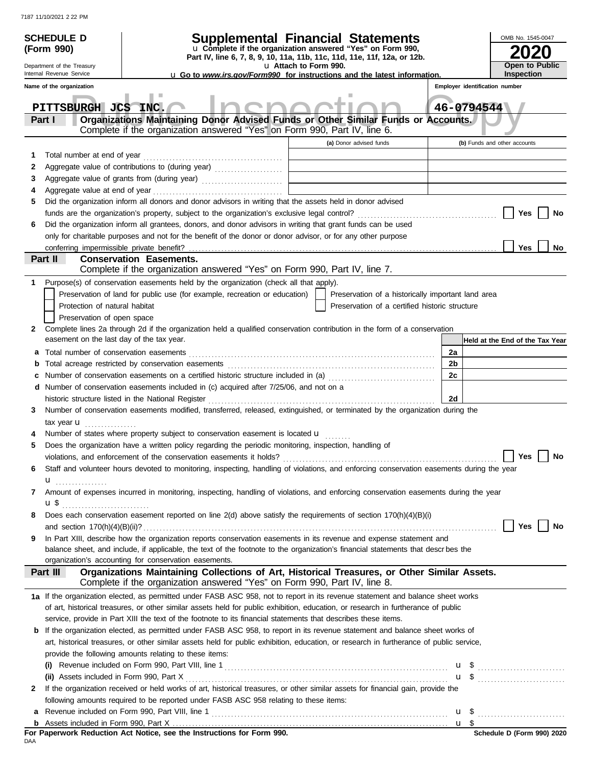| <b>SCHEDULE D</b>                         | Supplemental Financial Statements                                                                                                                                                           |                       |                                                    |    |                                | OMB No. 1545-0047                   |
|-------------------------------------------|---------------------------------------------------------------------------------------------------------------------------------------------------------------------------------------------|-----------------------|----------------------------------------------------|----|--------------------------------|-------------------------------------|
| (Form 990)                                | u Complete if the organization answered "Yes" on Form 990,<br>Part IV, line 6, 7, 8, 9, 10, 11a, 11b, 11c, 11d, 11e, 11f, 12a, or 12b.                                                      |                       |                                                    |    |                                |                                     |
| Department of the Treasury                |                                                                                                                                                                                             | u Attach to Form 990. |                                                    |    |                                | Open to Public                      |
| Internal Revenue Service                  | <b>u</b> Go to www.irs.gov/Form990 for instructions and the latest information.                                                                                                             |                       |                                                    |    |                                | <b>Inspection</b>                   |
| Name of the organization                  |                                                                                                                                                                                             |                       |                                                    |    | Employer identification number |                                     |
| PITTSBURGH JCS INC.<br>Part I             | Organizations Maintaining Donor Advised Funds or Other Similar Funds or Accounts.                                                                                                           |                       |                                                    |    | 46-0794544                     |                                     |
|                                           | Complete if the organization answered "Yes" on Form 990, Part IV, line 6.                                                                                                                   |                       |                                                    |    |                                |                                     |
|                                           |                                                                                                                                                                                             |                       | (a) Donor advised funds                            |    |                                | (b) Funds and other accounts        |
| Total number at end of year<br>1          |                                                                                                                                                                                             |                       |                                                    |    |                                |                                     |
| 2                                         | Aggregate value of contributions to (during year) [11] Aggregate value of contributions to (during year)                                                                                    |                       |                                                    |    |                                |                                     |
| 3                                         | Aggregate value of grants from (during year)                                                                                                                                                |                       |                                                    |    |                                |                                     |
| 4                                         |                                                                                                                                                                                             |                       |                                                    |    |                                |                                     |
| 5                                         | Did the organization inform all donors and donor advisors in writing that the assets held in donor advised                                                                                  |                       |                                                    |    |                                |                                     |
|                                           |                                                                                                                                                                                             |                       |                                                    |    |                                | Yes<br>No                           |
| 6                                         | Did the organization inform all grantees, donors, and donor advisors in writing that grant funds can be used                                                                                |                       |                                                    |    |                                |                                     |
|                                           | only for charitable purposes and not for the benefit of the donor or donor advisor, or for any other purpose                                                                                |                       |                                                    |    |                                | Yes<br>No                           |
| Part II                                   | <b>Conservation Easements.</b>                                                                                                                                                              |                       |                                                    |    |                                |                                     |
|                                           | Complete if the organization answered "Yes" on Form 990, Part IV, line 7.                                                                                                                   |                       |                                                    |    |                                |                                     |
| 1                                         | Purpose(s) of conservation easements held by the organization (check all that apply).                                                                                                       |                       |                                                    |    |                                |                                     |
|                                           | Preservation of land for public use (for example, recreation or education)                                                                                                                  |                       | Preservation of a historically important land area |    |                                |                                     |
| Protection of natural habitat             |                                                                                                                                                                                             |                       | Preservation of a certified historic structure     |    |                                |                                     |
| Preservation of open space                |                                                                                                                                                                                             |                       |                                                    |    |                                |                                     |
| 2                                         | Complete lines 2a through 2d if the organization held a qualified conservation contribution in the form of a conservation                                                                   |                       |                                                    |    |                                |                                     |
| easement on the last day of the tax year. |                                                                                                                                                                                             |                       |                                                    |    |                                | Held at the End of the Tax Year     |
| a                                         |                                                                                                                                                                                             |                       |                                                    | 2a |                                |                                     |
| b                                         |                                                                                                                                                                                             |                       |                                                    | 2b |                                |                                     |
| c                                         | Number of conservation easements on a certified historic structure included in (a) [[[[[ [ [ ]]]<br>d Number of conservation easements included in (c) acquired after 7/25/06, and not on a |                       |                                                    | 2c |                                |                                     |
|                                           |                                                                                                                                                                                             |                       |                                                    | 2d |                                |                                     |
| 3                                         | Number of conservation easements modified, transferred, released, extinguished, or terminated by the organization during the                                                                |                       |                                                    |    |                                |                                     |
| tax year $\mathbf{u}$                     |                                                                                                                                                                                             |                       |                                                    |    |                                |                                     |
|                                           | Number of states where property subject to conservation easement is located <b>u</b>                                                                                                        |                       |                                                    |    |                                |                                     |
| 5                                         | Does the organization have a written policy regarding the periodic monitoring, inspection, handling of                                                                                      |                       |                                                    |    |                                |                                     |
|                                           | violations, and enforcement of the conservation easements it holds?                                                                                                                         |                       |                                                    |    |                                | $\operatorname{\mathsf{Yes}}$<br>No |
| 6                                         | Staff and volunteer hours devoted to monitoring, inspecting, handling of violations, and enforcing conservation easements during the year                                                   |                       |                                                    |    |                                |                                     |
| $\mathbf{u}$                              |                                                                                                                                                                                             |                       |                                                    |    |                                |                                     |
| 7                                         | Amount of expenses incurred in monitoring, inspecting, handling of violations, and enforcing conservation easements during the year                                                         |                       |                                                    |    |                                |                                     |
| $\mathbf{u}$ \$                           | Does each conservation easement reported on line 2(d) above satisfy the requirements of section 170(h)(4)(B)(i)                                                                             |                       |                                                    |    |                                |                                     |
| 8                                         |                                                                                                                                                                                             |                       |                                                    |    |                                | Yes<br>No                           |
| 9                                         | In Part XIII, describe how the organization reports conservation easements in its revenue and expense statement and                                                                         |                       |                                                    |    |                                |                                     |
|                                           | balance sheet, and include, if applicable, the text of the footnote to the organization's financial statements that descrbes the                                                            |                       |                                                    |    |                                |                                     |
|                                           | organization's accounting for conservation easements.                                                                                                                                       |                       |                                                    |    |                                |                                     |
| Part III                                  | Organizations Maintaining Collections of Art, Historical Treasures, or Other Similar Assets.<br>Complete if the organization answered "Yes" on Form 990, Part IV, line 8.                   |                       |                                                    |    |                                |                                     |
|                                           | 1a If the organization elected, as permitted under FASB ASC 958, not to report in its revenue statement and balance sheet works                                                             |                       |                                                    |    |                                |                                     |
|                                           | of art, historical treasures, or other similar assets held for public exhibition, education, or research in furtherance of public                                                           |                       |                                                    |    |                                |                                     |
|                                           | service, provide in Part XIII the text of the footnote to its financial statements that describes these items.                                                                              |                       |                                                    |    |                                |                                     |
| b                                         | If the organization elected, as permitted under FASB ASC 958, to report in its revenue statement and balance sheet works of                                                                 |                       |                                                    |    |                                |                                     |
|                                           | art, historical treasures, or other similar assets held for public exhibition, education, or research in furtherance of public service,                                                     |                       |                                                    |    |                                |                                     |
|                                           | provide the following amounts relating to these items:                                                                                                                                      |                       |                                                    |    |                                |                                     |
|                                           |                                                                                                                                                                                             |                       |                                                    |    |                                |                                     |
| 2                                         | If the organization received or held works of art, historical treasures, or other similar assets for financial gain, provide the                                                            |                       |                                                    |    |                                |                                     |
|                                           | following amounts required to be reported under FASB ASC 958 relating to these items:                                                                                                       |                       |                                                    |    |                                |                                     |
| a                                         |                                                                                                                                                                                             |                       |                                                    |    | u \$                           |                                     |
|                                           |                                                                                                                                                                                             |                       |                                                    |    |                                |                                     |
|                                           |                                                                                                                                                                                             |                       |                                                    |    |                                | Schodule D (Form 000) 2020          |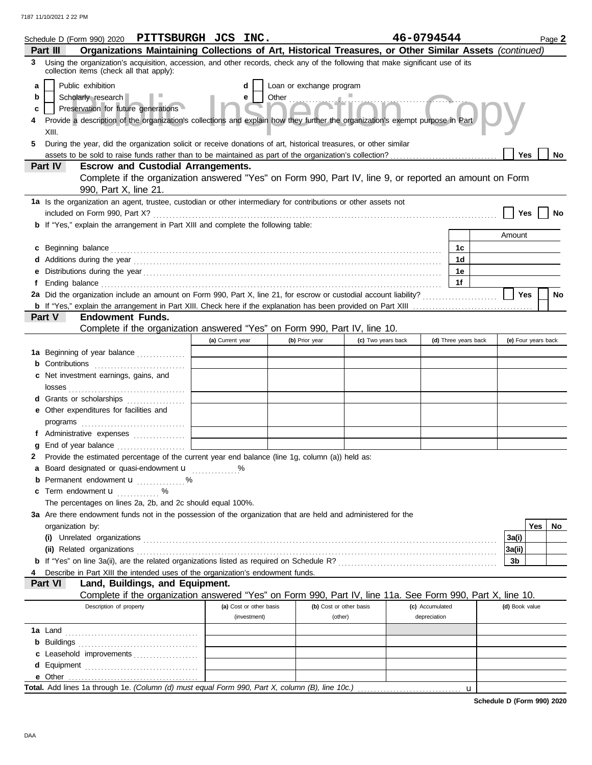| Schedule D (Form 990) 2020 PITTSBURGH JCS INC.                                                                                                                                                                                       |                                                            |                                                                                                                                                                                                                                     |                          |                    | 46-0794544      |                      |                | Page 2              |     |
|--------------------------------------------------------------------------------------------------------------------------------------------------------------------------------------------------------------------------------------|------------------------------------------------------------|-------------------------------------------------------------------------------------------------------------------------------------------------------------------------------------------------------------------------------------|--------------------------|--------------------|-----------------|----------------------|----------------|---------------------|-----|
| Part III                                                                                                                                                                                                                             |                                                            | Organizations Maintaining Collections of Art, Historical Treasures, or Other Similar Assets (continued)                                                                                                                             |                          |                    |                 |                      |                |                     |     |
| 3 Using the organization's acquisition, accession, and other records, check any of the following that make significant use of its<br>collection items (check all that apply):                                                        |                                                            |                                                                                                                                                                                                                                     |                          |                    |                 |                      |                |                     |     |
| Public exhibition<br>a                                                                                                                                                                                                               |                                                            | d                                                                                                                                                                                                                                   | Loan or exchange program |                    |                 |                      |                |                     |     |
| Scholarly research<br>b                                                                                                                                                                                                              |                                                            | e                                                                                                                                                                                                                                   |                          |                    |                 |                      |                |                     |     |
| c                                                                                                                                                                                                                                    | Preservation for future generations                        |                                                                                                                                                                                                                                     | <b>Dection Col</b>       |                    |                 |                      |                |                     |     |
|                                                                                                                                                                                                                                      |                                                            | Provide a description of the organization's collections and explain how they further the organization's exempt purpose in Part                                                                                                      |                          |                    |                 |                      |                |                     |     |
| XIII.                                                                                                                                                                                                                                |                                                            |                                                                                                                                                                                                                                     |                          |                    |                 |                      |                |                     |     |
| 5                                                                                                                                                                                                                                    |                                                            | During the year, did the organization solicit or receive donations of art, historical treasures, or other similar                                                                                                                   |                          |                    |                 |                      |                |                     |     |
|                                                                                                                                                                                                                                      |                                                            |                                                                                                                                                                                                                                     |                          |                    |                 |                      | <b>Yes</b>     |                     | No  |
| Part IV                                                                                                                                                                                                                              | <b>Escrow and Custodial Arrangements.</b>                  |                                                                                                                                                                                                                                     |                          |                    |                 |                      |                |                     |     |
|                                                                                                                                                                                                                                      |                                                            | Complete if the organization answered "Yes" on Form 990, Part IV, line 9, or reported an amount on Form                                                                                                                             |                          |                    |                 |                      |                |                     |     |
|                                                                                                                                                                                                                                      | 990, Part X, line 21.                                      |                                                                                                                                                                                                                                     |                          |                    |                 |                      |                |                     |     |
| 1a Is the organization an agent, trustee, custodian or other intermediary for contributions or other assets not                                                                                                                      |                                                            |                                                                                                                                                                                                                                     |                          |                    |                 |                      |                |                     |     |
|                                                                                                                                                                                                                                      |                                                            |                                                                                                                                                                                                                                     |                          |                    |                 |                      | Yes            |                     |     |
| b If "Yes," explain the arrangement in Part XIII and complete the following table:                                                                                                                                                   |                                                            |                                                                                                                                                                                                                                     |                          |                    |                 |                      |                |                     |     |
|                                                                                                                                                                                                                                      |                                                            |                                                                                                                                                                                                                                     |                          |                    |                 |                      | Amount         |                     |     |
| c Beginning balance <b>contract to the contract of the set of the contract of the contract of the contract of the contract of the contract of the contract of the contract of the contract of the contract of the contract of th</b> |                                                            |                                                                                                                                                                                                                                     |                          |                    |                 | 1c                   |                |                     |     |
|                                                                                                                                                                                                                                      |                                                            | Additions during the year contains and an account of the year contained and account of the year contains and a                                                                                                                      |                          |                    |                 | 1d                   |                |                     |     |
| е                                                                                                                                                                                                                                    |                                                            |                                                                                                                                                                                                                                     |                          |                    |                 | 1е                   |                |                     |     |
| f                                                                                                                                                                                                                                    |                                                            | Ending balance <b>constructs</b> and constructs and constructs and constructs and constructs and constructs and constructs and constructs and constructs and constructs and constructs and constructs and constructs and constructs |                          |                    |                 | 1f                   |                |                     |     |
| 2a Did the organization include an amount on Form 990, Part X, line 21, for escrow or custodial account liability?                                                                                                                   |                                                            |                                                                                                                                                                                                                                     |                          |                    |                 |                      | Yes            |                     | No  |
|                                                                                                                                                                                                                                      |                                                            |                                                                                                                                                                                                                                     |                          |                    |                 |                      |                |                     |     |
| Part V                                                                                                                                                                                                                               | <b>Endowment Funds.</b>                                    |                                                                                                                                                                                                                                     |                          |                    |                 |                      |                |                     |     |
|                                                                                                                                                                                                                                      |                                                            | Complete if the organization answered "Yes" on Form 990, Part IV, line 10.                                                                                                                                                          |                          |                    |                 |                      |                |                     |     |
|                                                                                                                                                                                                                                      |                                                            | (a) Current year                                                                                                                                                                                                                    | (b) Prior year           | (c) Two years back |                 | (d) Three years back |                | (e) Four years back |     |
| 1a Beginning of year balance                                                                                                                                                                                                         |                                                            |                                                                                                                                                                                                                                     |                          |                    |                 |                      |                |                     |     |
| <b>b</b> Contributions <b>contributions</b>                                                                                                                                                                                          |                                                            |                                                                                                                                                                                                                                     |                          |                    |                 |                      |                |                     |     |
| c Net investment earnings, gains, and                                                                                                                                                                                                |                                                            |                                                                                                                                                                                                                                     |                          |                    |                 |                      |                |                     |     |
|                                                                                                                                                                                                                                      |                                                            |                                                                                                                                                                                                                                     |                          |                    |                 |                      |                |                     |     |
| d Grants or scholarships                                                                                                                                                                                                             |                                                            |                                                                                                                                                                                                                                     |                          |                    |                 |                      |                |                     |     |
| e Other expenditures for facilities and                                                                                                                                                                                              |                                                            |                                                                                                                                                                                                                                     |                          |                    |                 |                      |                |                     |     |
|                                                                                                                                                                                                                                      |                                                            |                                                                                                                                                                                                                                     |                          |                    |                 |                      |                |                     |     |
| f Administrative expenses                                                                                                                                                                                                            |                                                            |                                                                                                                                                                                                                                     |                          |                    |                 |                      |                |                     |     |
| 2                                                                                                                                                                                                                                    |                                                            | Provide the estimated percentage of the current year end balance (line 1g, column (a)) held as:                                                                                                                                     |                          |                    |                 |                      |                |                     |     |
| a Board designated or quasi-endowment u                                                                                                                                                                                              |                                                            |                                                                                                                                                                                                                                     |                          |                    |                 |                      |                |                     |     |
| <b>b</b> Permanent endowment $\mathbf{u}$ %                                                                                                                                                                                          |                                                            |                                                                                                                                                                                                                                     |                          |                    |                 |                      |                |                     |     |
| c Term endowment <b>u</b>                                                                                                                                                                                                            |                                                            |                                                                                                                                                                                                                                     |                          |                    |                 |                      |                |                     |     |
|                                                                                                                                                                                                                                      | The percentages on lines 2a, 2b, and 2c should equal 100%. |                                                                                                                                                                                                                                     |                          |                    |                 |                      |                |                     |     |
| 3a Are there endowment funds not in the possession of the organization that are held and administered for the                                                                                                                        |                                                            |                                                                                                                                                                                                                                     |                          |                    |                 |                      |                |                     |     |
| organization by:                                                                                                                                                                                                                     |                                                            |                                                                                                                                                                                                                                     |                          |                    |                 |                      |                | Yes                 | No. |
|                                                                                                                                                                                                                                      |                                                            |                                                                                                                                                                                                                                     |                          |                    |                 |                      | 3a(i)          |                     |     |
|                                                                                                                                                                                                                                      |                                                            |                                                                                                                                                                                                                                     |                          |                    |                 |                      | 3a(ii)         |                     |     |
|                                                                                                                                                                                                                                      |                                                            |                                                                                                                                                                                                                                     |                          |                    |                 |                      | 3b             |                     |     |
|                                                                                                                                                                                                                                      |                                                            | Describe in Part XIII the intended uses of the organization's endowment funds.                                                                                                                                                      |                          |                    |                 |                      |                |                     |     |
| <b>Part VI</b>                                                                                                                                                                                                                       | Land, Buildings, and Equipment.                            |                                                                                                                                                                                                                                     |                          |                    |                 |                      |                |                     |     |
|                                                                                                                                                                                                                                      |                                                            | Complete if the organization answered "Yes" on Form 990, Part IV, line 11a. See Form 990, Part X, line 10.                                                                                                                          |                          |                    |                 |                      |                |                     |     |
|                                                                                                                                                                                                                                      | Description of property                                    | (a) Cost or other basis                                                                                                                                                                                                             | (b) Cost or other basis  |                    | (c) Accumulated |                      | (d) Book value |                     |     |
|                                                                                                                                                                                                                                      |                                                            | (investment)                                                                                                                                                                                                                        | (other)                  |                    | depreciation    |                      |                |                     |     |
|                                                                                                                                                                                                                                      |                                                            |                                                                                                                                                                                                                                     |                          |                    |                 |                      |                |                     |     |
|                                                                                                                                                                                                                                      |                                                            |                                                                                                                                                                                                                                     |                          |                    |                 |                      |                |                     |     |
| c Leasehold improvements                                                                                                                                                                                                             |                                                            |                                                                                                                                                                                                                                     |                          |                    |                 |                      |                |                     |     |
|                                                                                                                                                                                                                                      |                                                            |                                                                                                                                                                                                                                     |                          |                    |                 |                      |                |                     |     |
|                                                                                                                                                                                                                                      |                                                            |                                                                                                                                                                                                                                     |                          |                    |                 |                      |                |                     |     |
| Total. Add lines 1a through 1e. (Column (d) must equal Form 990, Part X, column (B), line 10c.)                                                                                                                                      |                                                            |                                                                                                                                                                                                                                     |                          |                    |                 | u                    |                |                     |     |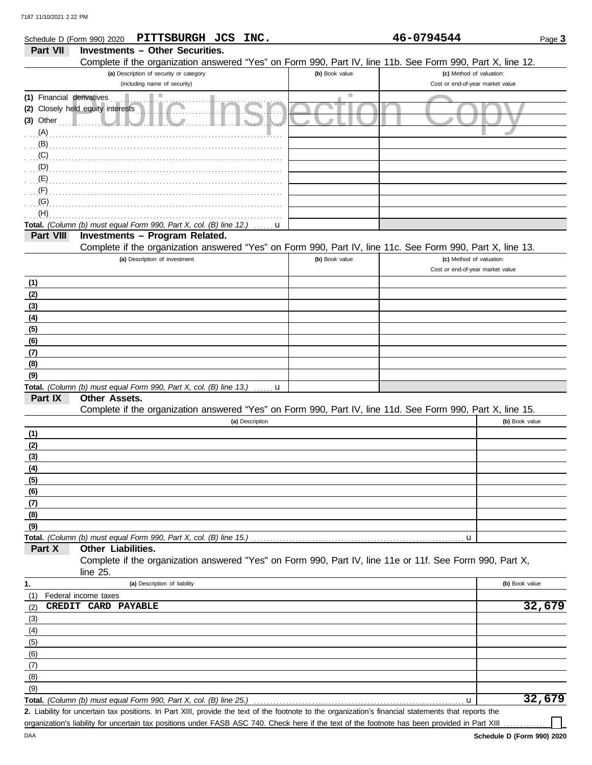| Schedule D (Form 990) 2020 | PITTSBURGH JCS INC.                                                                                        |                | 46-0794544                       | Page 3         |
|----------------------------|------------------------------------------------------------------------------------------------------------|----------------|----------------------------------|----------------|
| Part VII                   | <b>Investments - Other Securities.</b>                                                                     |                |                                  |                |
|                            | Complete if the organization answered "Yes" on Form 990, Part IV, line 11b. See Form 990, Part X, line 12. |                |                                  |                |
|                            | (a) Description of security or category                                                                    | (b) Book value | (c) Method of valuation:         |                |
|                            | (including name of security)                                                                               |                | Cost or end-of-year market value |                |
| (1) Financial derivatives  | ш                                                                                                          | ш              |                                  |                |
|                            | (2) Closely held equity interests                                                                          |                |                                  |                |
| $(3)$ Other                |                                                                                                            |                |                                  |                |
| (A)                        |                                                                                                            |                |                                  |                |
| (B)                        |                                                                                                            |                |                                  |                |
| (C)                        |                                                                                                            |                |                                  |                |
| (D)                        |                                                                                                            |                |                                  |                |
| (E)                        |                                                                                                            |                |                                  |                |
| (F)                        |                                                                                                            |                |                                  |                |
| (G)                        |                                                                                                            |                |                                  |                |
| (H)                        |                                                                                                            |                |                                  |                |
|                            | Total. (Column (b) must equal Form 990, Part X, col. (B) line 12.)                                         | u              |                                  |                |
| Part VIII                  | Investments - Program Related.                                                                             |                |                                  |                |
|                            | Complete if the organization answered "Yes" on Form 990, Part IV, line 11c. See Form 990, Part X, line 13. |                |                                  |                |
|                            | (a) Description of investment                                                                              | (b) Book value | (c) Method of valuation:         |                |
|                            |                                                                                                            |                | Cost or end-of-year market value |                |
| (1)                        |                                                                                                            |                |                                  |                |
| (2)                        |                                                                                                            |                |                                  |                |
| (3)                        |                                                                                                            |                |                                  |                |
| (4)                        |                                                                                                            |                |                                  |                |
| (5)                        |                                                                                                            |                |                                  |                |
| (6)                        |                                                                                                            |                |                                  |                |
| (7)                        |                                                                                                            |                |                                  |                |
| (8)                        |                                                                                                            |                |                                  |                |
| (9)                        |                                                                                                            |                |                                  |                |
|                            | Total. (Column (b) must equal Form 990, Part X, col. (B) line 13.)                                         | u              |                                  |                |
| Part IX                    | Other Assets.                                                                                              |                |                                  |                |
|                            | Complete if the organization answered "Yes" on Form 990, Part IV, line 11d. See Form 990, Part X, line 15. |                |                                  |                |
|                            | (a) Description                                                                                            |                |                                  | (b) Book value |
| (1)                        |                                                                                                            |                |                                  |                |
| (2)                        |                                                                                                            |                |                                  |                |
| (3)                        |                                                                                                            |                |                                  |                |
| (4)                        |                                                                                                            |                |                                  |                |
| (5)                        |                                                                                                            |                |                                  |                |
| (6)                        |                                                                                                            |                |                                  |                |
| (7)                        |                                                                                                            |                |                                  |                |
| (8)                        |                                                                                                            |                |                                  |                |
| (9)                        |                                                                                                            |                |                                  |                |
|                            |                                                                                                            |                | u                                |                |
| Part X                     | Other Liabilities.                                                                                         |                |                                  |                |
|                            | Complete if the organization answered "Yes" on Form 990, Part IV, line 11e or 11f. See Form 990, Part X,   |                |                                  |                |
|                            | line $25$ .                                                                                                |                |                                  |                |
| 1.                         | (a) Description of liability                                                                               |                |                                  | (b) Book value |
| (1)                        | Federal income taxes                                                                                       |                |                                  |                |
| (2)                        | CREDIT CARD PAYABLE                                                                                        |                |                                  | 32,679         |
| (3)                        |                                                                                                            |                |                                  |                |
| (4)                        |                                                                                                            |                |                                  |                |
| (5)                        |                                                                                                            |                |                                  |                |
| (6)                        |                                                                                                            |                |                                  |                |
|                            |                                                                                                            |                |                                  |                |
| (7)<br>(8)                 |                                                                                                            |                |                                  |                |
| (9)                        |                                                                                                            |                |                                  |                |
|                            | Total. (Column (b) must equal Form 990, Part X, col. (B) line 25.)                                         |                | u                                | 32,679         |
|                            |                                                                                                            |                |                                  |                |

Liability for uncertain tax positions. In Part XIII, provide the text of the footnote to the organization's financial statements that reports the **2.** organization's liability for uncertain tax positions under FASB ASC 740. Check here if the text of the footnote has been provided in Part XIII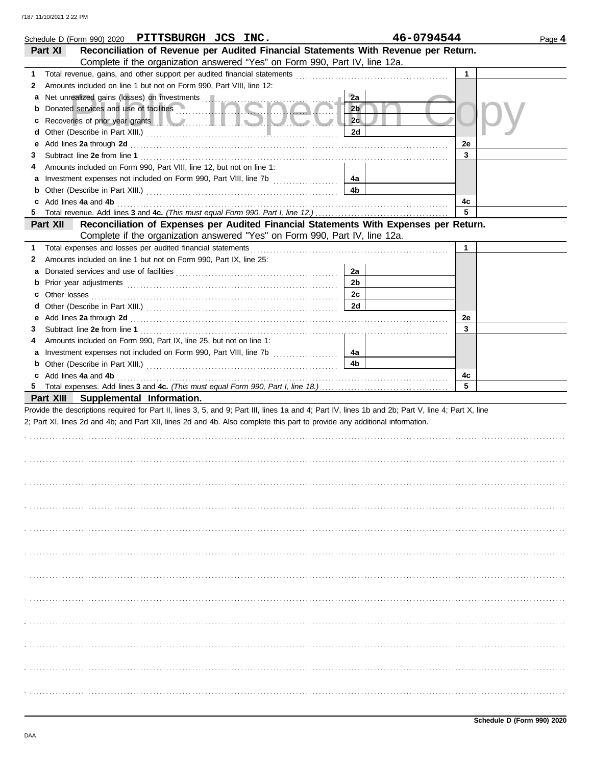|                          | Schedule D (Form 990) 2020 PITTSBURGH JCS INC.                                                                                                                                                                                 |                | 46-0794544   | Page 4 |
|--------------------------|--------------------------------------------------------------------------------------------------------------------------------------------------------------------------------------------------------------------------------|----------------|--------------|--------|
| Part XI                  | Reconciliation of Revenue per Audited Financial Statements With Revenue per Return.<br>Complete if the organization answered "Yes" on Form 990, Part IV, line 12a.                                                             |                |              |        |
|                          |                                                                                                                                                                                                                                |                | $\mathbf{1}$ |        |
| 1                        | Amounts included on line 1 but not on Form 990, Part VIII, line 12:                                                                                                                                                            |                |              |        |
| 2                        |                                                                                                                                                                                                                                |                |              |        |
| а                        |                                                                                                                                                                                                                                | 2a             |              |        |
| b                        | Donated services and use of facilities <b>with a service of the services</b>                                                                                                                                                   | 2 <sub>b</sub> |              |        |
| c                        | Recoveries of prior year grants <b>the contract of the contract of prior</b>                                                                                                                                                   | 2c             |              |        |
| d                        |                                                                                                                                                                                                                                | 2d             |              |        |
| е                        | Add lines 2a through 2d [11] Add [12] Add [12] Add lines 2a through 2d [12] Add lines 2a through 2d [12] Add [12] Add [12] Add [12] Add [12] Addd [12] Add [12] Add [12] Add [12] Add [12] Add [12] Add [12] Add [12] Add [12] |                | 2e           |        |
| 3                        |                                                                                                                                                                                                                                |                | 3            |        |
|                          | Amounts included on Form 990, Part VIII, line 12, but not on line 1:                                                                                                                                                           |                |              |        |
| a                        | Investment expenses not included on Form 990, Part VIII, line 7b [[[[[[[[[[[[[[[[[[[[[[[[[[]]]]]]]]]                                                                                                                           | 4a             |              |        |
| b                        |                                                                                                                                                                                                                                | 4b             |              |        |
| Add lines 4a and 4b<br>c |                                                                                                                                                                                                                                |                | 4c<br>5      |        |
| 5.                       |                                                                                                                                                                                                                                |                |              |        |
| Part XII                 | Reconciliation of Expenses per Audited Financial Statements With Expenses per Return.                                                                                                                                          |                |              |        |
|                          | Complete if the organization answered "Yes" on Form 990, Part IV, line 12a.                                                                                                                                                    |                |              |        |
| 1                        | Total expenses and losses per audited financial statements                                                                                                                                                                     |                | $\mathbf 1$  |        |
| 2                        | Amounts included on line 1 but not on Form 990, Part IX, line 25:                                                                                                                                                              |                |              |        |
| а                        |                                                                                                                                                                                                                                | 2a             |              |        |
| b                        |                                                                                                                                                                                                                                | 2 <sub>b</sub> |              |        |
|                          |                                                                                                                                                                                                                                | 2c             |              |        |
|                          |                                                                                                                                                                                                                                | 2d             |              |        |
| е                        | Add lines 2a through 2d [11] Additional Lines and Theorem 2014 10:00 Additional Property and Theorem 2014 10:00                                                                                                                |                | 2e           |        |
| 3                        |                                                                                                                                                                                                                                |                | 3            |        |
|                          | Amounts included on Form 990, Part IX, line 25, but not on line 1:                                                                                                                                                             |                |              |        |
| a                        |                                                                                                                                                                                                                                | 4a             |              |        |
| b                        |                                                                                                                                                                                                                                | 4 <sub>b</sub> |              |        |
| c Add lines 4a and 4b    |                                                                                                                                                                                                                                |                | 4c           |        |
| 5                        |                                                                                                                                                                                                                                |                | 5            |        |
|                          | Part XIII Supplemental Information.                                                                                                                                                                                            |                |              |        |
|                          | Provide the descriptions required for Part II, lines 3, 5, and 9; Part III, lines 1a and 4; Part IV, lines 1b and 2b; Part V, line 4; Part X, line                                                                             |                |              |        |
|                          | 2; Part XI, lines 2d and 4b; and Part XII, lines 2d and 4b. Also complete this part to provide any additional information.                                                                                                     |                |              |        |
|                          |                                                                                                                                                                                                                                |                |              |        |
|                          |                                                                                                                                                                                                                                |                |              |        |
|                          |                                                                                                                                                                                                                                |                |              |        |
|                          |                                                                                                                                                                                                                                |                |              |        |
|                          |                                                                                                                                                                                                                                |                |              |        |
|                          |                                                                                                                                                                                                                                |                |              |        |
|                          |                                                                                                                                                                                                                                |                |              |        |
|                          |                                                                                                                                                                                                                                |                |              |        |
|                          |                                                                                                                                                                                                                                |                |              |        |
|                          |                                                                                                                                                                                                                                |                |              |        |
|                          |                                                                                                                                                                                                                                |                |              |        |
|                          |                                                                                                                                                                                                                                |                |              |        |
|                          |                                                                                                                                                                                                                                |                |              |        |
|                          |                                                                                                                                                                                                                                |                |              |        |
|                          |                                                                                                                                                                                                                                |                |              |        |
|                          |                                                                                                                                                                                                                                |                |              |        |
|                          |                                                                                                                                                                                                                                |                |              |        |
|                          |                                                                                                                                                                                                                                |                |              |        |
|                          |                                                                                                                                                                                                                                |                |              |        |
|                          |                                                                                                                                                                                                                                |                |              |        |
|                          |                                                                                                                                                                                                                                |                |              |        |
|                          |                                                                                                                                                                                                                                |                |              |        |
|                          |                                                                                                                                                                                                                                |                |              |        |
|                          |                                                                                                                                                                                                                                |                |              |        |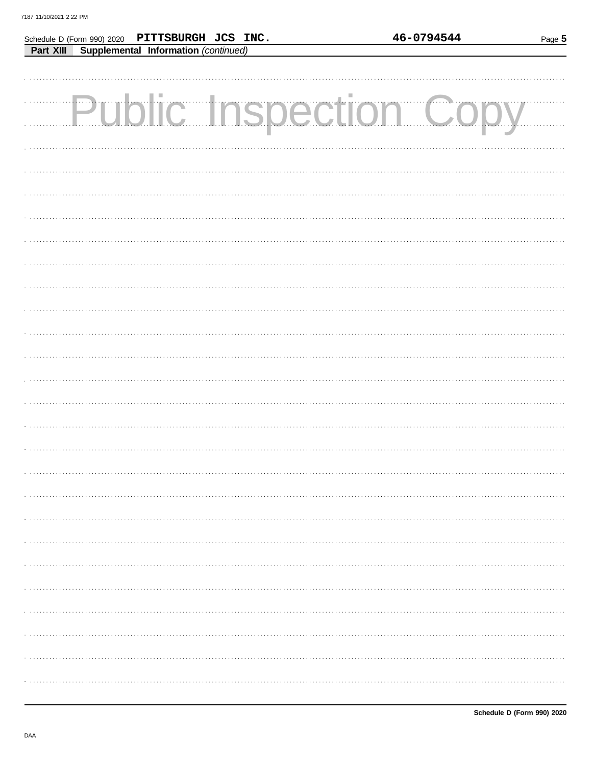| Schedule D (Form 990) 2020 PITTSBURGH JCS INC. |  | 46-0794544                    | Page 5 |
|------------------------------------------------|--|-------------------------------|--------|
| Part XIII Supplemental Information (continued) |  |                               |        |
|                                                |  |                               |        |
|                                                |  |                               |        |
|                                                |  |                               |        |
|                                                |  | <b>Public Inspection Copy</b> |        |
|                                                |  |                               |        |
|                                                |  |                               |        |
|                                                |  |                               |        |
|                                                |  |                               |        |
|                                                |  |                               |        |
|                                                |  |                               |        |
|                                                |  |                               |        |
|                                                |  |                               |        |
|                                                |  |                               |        |
|                                                |  |                               |        |
|                                                |  |                               |        |
|                                                |  |                               |        |
|                                                |  |                               |        |
|                                                |  |                               |        |
|                                                |  |                               |        |
|                                                |  |                               |        |
|                                                |  |                               |        |
|                                                |  |                               |        |
|                                                |  |                               |        |
|                                                |  |                               |        |
|                                                |  |                               |        |
|                                                |  |                               |        |
|                                                |  |                               |        |
|                                                |  |                               |        |
|                                                |  |                               |        |
|                                                |  |                               |        |
|                                                |  |                               |        |
|                                                |  |                               |        |
|                                                |  |                               |        |
|                                                |  |                               |        |
|                                                |  |                               |        |
|                                                |  |                               |        |
|                                                |  |                               |        |
|                                                |  |                               |        |
|                                                |  |                               |        |
|                                                |  |                               |        |
|                                                |  |                               |        |
|                                                |  |                               |        |
|                                                |  |                               |        |
|                                                |  |                               |        |
|                                                |  |                               |        |
|                                                |  |                               |        |
|                                                |  |                               |        |
|                                                |  |                               |        |